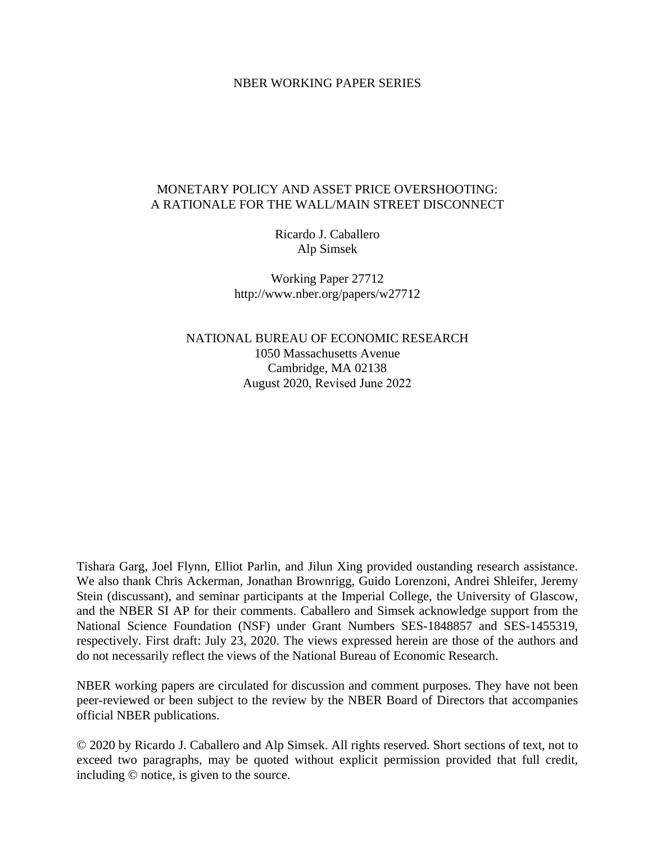#### NBER WORKING PAPER SERIES

## MONETARY POLICY AND ASSET PRICE OVERSHOOTING: A RATIONALE FOR THE WALL/MAIN STREET DISCONNECT

Ricardo J. Caballero Alp Simsek

Working Paper 27712 http://www.nber.org/papers/w27712

NATIONAL BUREAU OF ECONOMIC RESEARCH 1050 Massachusetts Avenue Cambridge, MA 02138 August 2020, Revised June 2022

Tishara Garg, Joel Flynn, Elliot Parlin, and Jilun Xing provided oustanding research assistance. We also thank Chris Ackerman, Jonathan Brownrigg, Guido Lorenzoni, Andrei Shleifer, Jeremy Stein (discussant), and seminar participants at the Imperial College, the University of Glascow, and the NBER SI AP for their comments. Caballero and Simsek acknowledge support from the National Science Foundation (NSF) under Grant Numbers SES-1848857 and SES-1455319, respectively. First draft: July 23, 2020. The views expressed herein are those of the authors and do not necessarily reflect the views of the National Bureau of Economic Research.

NBER working papers are circulated for discussion and comment purposes. They have not been peer-reviewed or been subject to the review by the NBER Board of Directors that accompanies official NBER publications.

© 2020 by Ricardo J. Caballero and Alp Simsek. All rights reserved. Short sections of text, not to exceed two paragraphs, may be quoted without explicit permission provided that full credit, including © notice, is given to the source.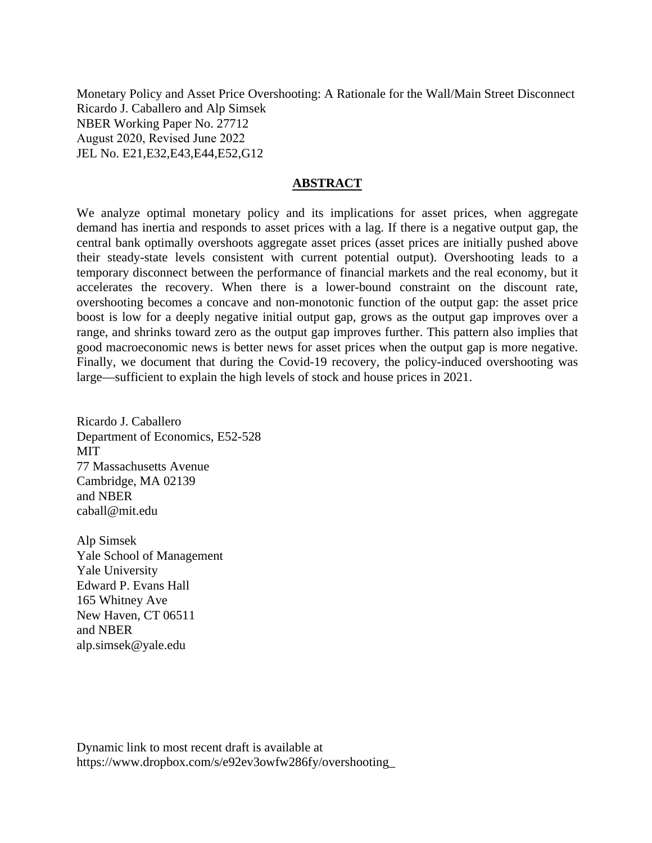Monetary Policy and Asset Price Overshooting: A Rationale for the Wall/Main Street Disconnect Ricardo J. Caballero and Alp Simsek NBER Working Paper No. 27712 August 2020, Revised June 2022 JEL No. E21,E32,E43,E44,E52,G12

# **ABSTRACT**

We analyze optimal monetary policy and its implications for asset prices, when aggregate demand has inertia and responds to asset prices with a lag. If there is a negative output gap, the central bank optimally overshoots aggregate asset prices (asset prices are initially pushed above their steady-state levels consistent with current potential output). Overshooting leads to a temporary disconnect between the performance of financial markets and the real economy, but it accelerates the recovery. When there is a lower-bound constraint on the discount rate, overshooting becomes a concave and non-monotonic function of the output gap: the asset price boost is low for a deeply negative initial output gap, grows as the output gap improves over a range, and shrinks toward zero as the output gap improves further. This pattern also implies that good macroeconomic news is better news for asset prices when the output gap is more negative. Finally, we document that during the Covid-19 recovery, the policy-induced overshooting was large—sufficient to explain the high levels of stock and house prices in 2021.

Ricardo J. Caballero Department of Economics, E52-528 MIT 77 Massachusetts Avenue Cambridge, MA 02139 and NBER caball@mit.edu

Alp Simsek Yale School of Management Yale University Edward P. Evans Hall 165 Whitney Ave New Haven, CT 06511 and NBER alp.simsek@yale.edu

Dynamic link to most recent draft is available at https://www.dropbox.com/s/e92ev3owfw286fy/overshooting\_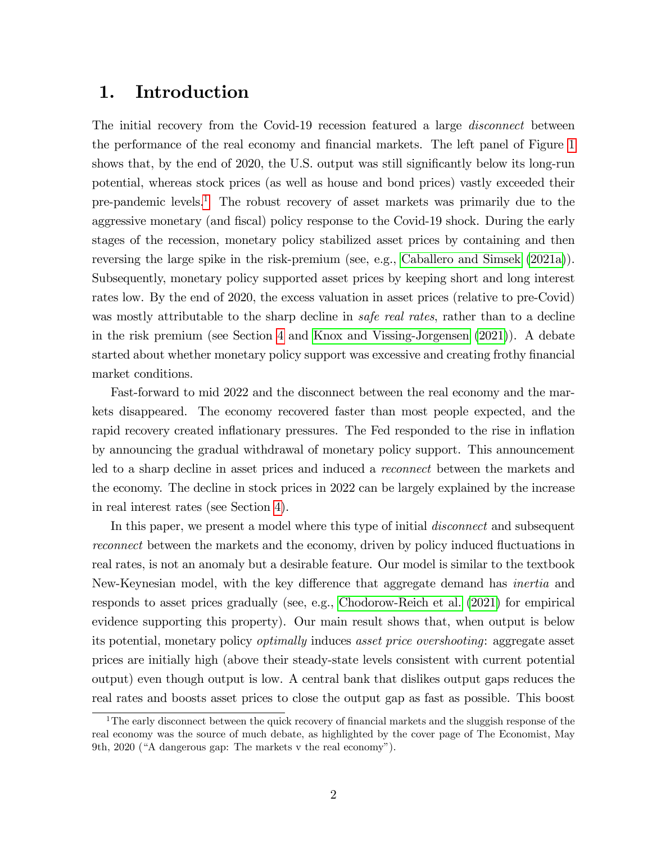# 1. Introduction

The initial recovery from the Covid-19 recession featured a large *disconnect* between the performance of the real economy and financial markets. The left panel of Figure [1](#page-3-0) shows that, by the end of 2020, the U.S. output was still significantly below its long-run potential, whereas stock prices (as well as house and bond prices) vastly exceeded their pre-pandemic levels.[1](#page-2-0) The robust recovery of asset markets was primarily due to the aggressive monetary (and fiscal) policy response to the Covid-19 shock. During the early stages of the recession, monetary policy stabilized asset prices by containing and then reversing the large spike in the risk-premium (see, e.g., [Caballero and Simsek](#page-33-0) [\(2021a\)](#page-33-0)). Subsequently, monetary policy supported asset prices by keeping short and long interest rates low. By the end of 2020, the excess valuation in asset prices (relative to pre-Covid) was mostly attributable to the sharp decline in *safe real rates*, rather than to a decline in the risk premium (see Section [4](#page-23-0) and [Knox and Vissing-Jorgensen](#page-35-0) [\(2021\)](#page-35-0)). A debate started about whether monetary policy support was excessive and creating frothy financial market conditions.

Fast-forward to mid 2022 and the disconnect between the real economy and the markets disappeared. The economy recovered faster than most people expected, and the rapid recovery created inflationary pressures. The Fed responded to the rise in inflation by announcing the gradual withdrawal of monetary policy support. This announcement led to a sharp decline in asset prices and induced a reconnect between the markets and the economy. The decline in stock prices in 2022 can be largely explained by the increase in real interest rates (see Section [4\)](#page-23-0).

In this paper, we present a model where this type of initial *disconnect* and subsequent reconnect between the markets and the economy, driven by policy induced fluctuations in real rates, is not an anomaly but a desirable feature. Our model is similar to the textbook New-Keynesian model, with the key difference that aggregate demand has *inertia* and responds to asset prices gradually (see, e.g., [Chodorow-Reich et al.](#page-33-1) [\(2021\)](#page-33-1) for empirical evidence supporting this property). Our main result shows that, when output is below its potential, monetary policy optimally induces asset price overshooting: aggregate asset prices are initially high (above their steady-state levels consistent with current potential output) even though output is low. A central bank that dislikes output gaps reduces the real rates and boosts asset prices to close the output gap as fast as possible. This boost

<span id="page-2-0"></span><sup>&</sup>lt;sup>1</sup>The early disconnect between the quick recovery of financial markets and the sluggish response of the real economy was the source of much debate, as highlighted by the cover page of The Economist, May 9th, 2020 ("A dangerous gap: The markets v the real economy").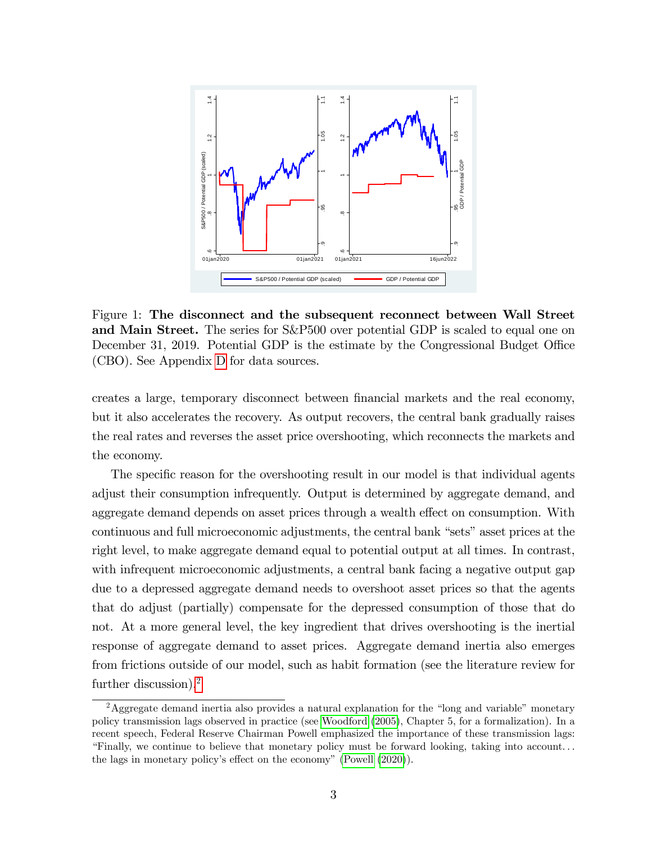

<span id="page-3-0"></span>Figure 1: The disconnect and the subsequent reconnect between Wall Street and Main Street. The series for S&P500 over potential GDP is scaled to equal one on December 31, 2019. Potential GDP is the estimate by the Congressional Budget Office (CBO). See Appendix [D](#page-72-0) for data sources.

creates a large, temporary disconnect between Önancial markets and the real economy, but it also accelerates the recovery. As output recovers, the central bank gradually raises the real rates and reverses the asset price overshooting, which reconnects the markets and the economy.

The specific reason for the overshooting result in our model is that individual agents adjust their consumption infrequently. Output is determined by aggregate demand, and aggregate demand depends on asset prices through a wealth effect on consumption. With continuous and full microeconomic adjustments, the central bank "sets" asset prices at the right level, to make aggregate demand equal to potential output at all times. In contrast, with infrequent microeconomic adjustments, a central bank facing a negative output gap due to a depressed aggregate demand needs to overshoot asset prices so that the agents that do adjust (partially) compensate for the depressed consumption of those that do not. At a more general level, the key ingredient that drives overshooting is the inertial response of aggregate demand to asset prices. Aggregate demand inertia also emerges from frictions outside of our model, such as habit formation (see the literature review for further discussion).<sup>[2](#page-3-1)</sup>

<span id="page-3-1"></span><sup>&</sup>lt;sup>2</sup>Aggregate demand inertia also provides a natural explanation for the "long and variable" monetary policy transmission lags observed in practice (see [Woodford](#page-36-0) [\(2005\)](#page-36-0), Chapter 5, for a formalization). In a recent speech, Federal Reserve Chairman Powell emphasized the importance of these transmission lags: ìFinally, we continue to believe that monetary policy must be forward looking, taking into account. . . the lags in monetary policy's effect on the economy" [\(Powell](#page-35-1)  $(2020)$ ).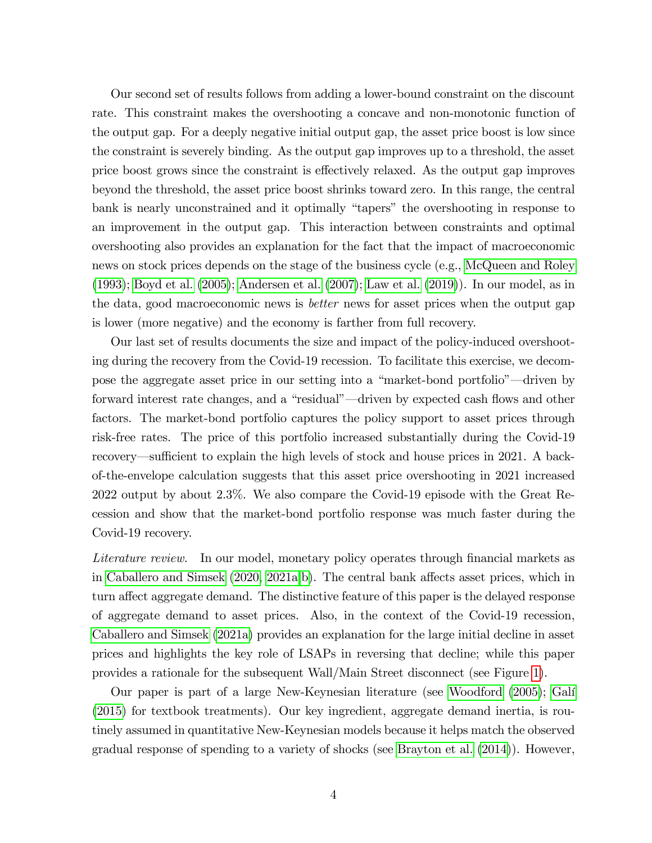Our second set of results follows from adding a lower-bound constraint on the discount rate. This constraint makes the overshooting a concave and non-monotonic function of the output gap. For a deeply negative initial output gap, the asset price boost is low since the constraint is severely binding. As the output gap improves up to a threshold, the asset price boost grows since the constraint is effectively relaxed. As the output gap improves beyond the threshold, the asset price boost shrinks toward zero. In this range, the central bank is nearly unconstrained and it optimally "tapers" the overshooting in response to an improvement in the output gap. This interaction between constraints and optimal overshooting also provides an explanation for the fact that the impact of macroeconomic news on stock prices depends on the stage of the business cycle (e.g., [McQueen and Roley](#page-35-2) [\(1993\)](#page-35-2); [Boyd et al.](#page-33-2) [\(2005\)](#page-33-2); [Andersen et al.](#page-32-0) [\(2007\)](#page-32-0); [Law et al.](#page-35-3) [\(2019\)](#page-35-3)). In our model, as in the data, good macroeconomic news is better news for asset prices when the output gap is lower (more negative) and the economy is farther from full recovery.

Our last set of results documents the size and impact of the policy-induced overshooting during the recovery from the Covid-19 recession. To facilitate this exercise, we decompose the aggregate asset price in our setting into a "market-bond portfolio"—driven by forward interest rate changes, and a "residual"—driven by expected cash flows and other factors. The market-bond portfolio captures the policy support to asset prices through risk-free rates. The price of this portfolio increased substantially during the Covid-19 recovery—sufficient to explain the high levels of stock and house prices in 2021. A backof-the-envelope calculation suggests that this asset price overshooting in 2021 increased 2022 output by about 2.3%. We also compare the Covid-19 episode with the Great Recession and show that the market-bond portfolio response was much faster during the Covid-19 recovery.

Literature review. In our model, monetary policy operates through financial markets as in [Caballero and Simsek](#page-33-3)  $(2020, 2021a,b)$  $(2020, 2021a,b)$  $(2020, 2021a,b)$ . The central bank affects asset prices, which in turn affect aggregate demand. The distinctive feature of this paper is the delayed response of aggregate demand to asset prices. Also, in the context of the Covid-19 recession, [Caballero and Simsek](#page-33-0) [\(2021a\)](#page-33-0) provides an explanation for the large initial decline in asset prices and highlights the key role of LSAPs in reversing that decline; while this paper provides a rationale for the subsequent Wall/Main Street disconnect (see Figure [1\)](#page-3-0).

Our paper is part of a large New-Keynesian literature (see [Woodford](#page-36-0) [\(2005\)](#page-36-0); [GalÌ](#page-34-0) [\(2015\)](#page-34-0) for textbook treatments). Our key ingredient, aggregate demand inertia, is routinely assumed in quantitative New-Keynesian models because it helps match the observed gradual response of spending to a variety of shocks (see [Brayton et al.](#page-33-5) [\(2014\)](#page-33-5)). However,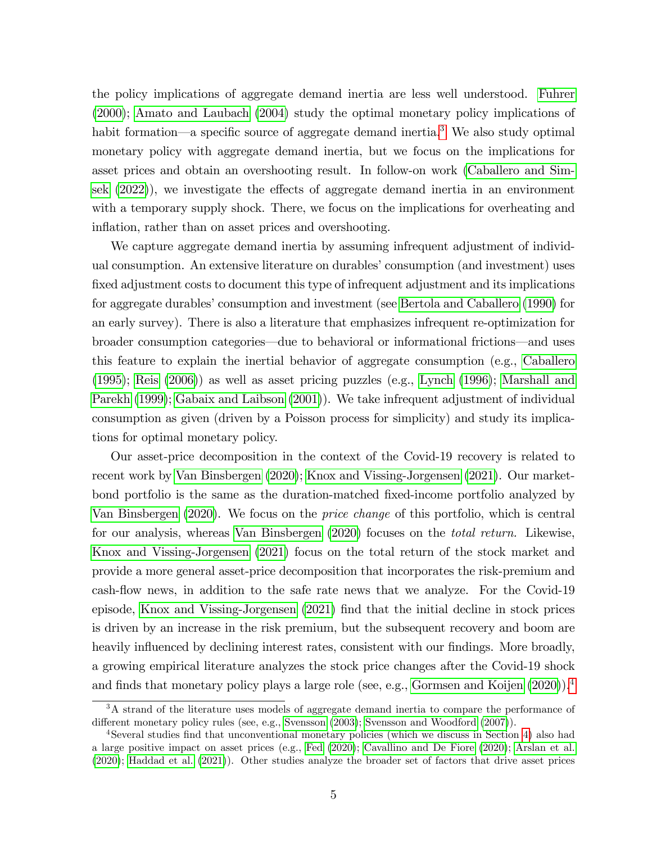the policy implications of aggregate demand inertia are less well understood. [Fuhrer](#page-34-1) [\(2000\)](#page-34-1); [Amato and Laubach](#page-32-1) [\(2004\)](#page-32-1) study the optimal monetary policy implications of habit formation—a specific source of aggregate demand inertia.<sup>[3](#page-5-0)</sup> We also study optimal monetary policy with aggregate demand inertia, but we focus on the implications for asset prices and obtain an overshooting result. In follow-on work [\(Caballero and Sim](#page-33-6)[sek](#page-33-6)  $(2022)$ , we investigate the effects of aggregate demand inertia in an environment with a temporary supply shock. There, we focus on the implications for overheating and inflation, rather than on asset prices and overshooting.

We capture aggregate demand inertia by assuming infrequent adjustment of individual consumption. An extensive literature on durables' consumption (and investment) uses fixed adjustment costs to document this type of infrequent adjustment and its implications for aggregate durables' consumption and investment (see [Bertola and Caballero](#page-32-2) [\(1990\)](#page-32-2) for an early survey). There is also a literature that emphasizes infrequent re-optimization for broader consumption categories—due to behavioral or informational frictions—and uses this feature to explain the inertial behavior of aggregate consumption (e.g., [Caballero](#page-33-7) [\(1995\)](#page-33-7); [Reis](#page-35-4) [\(2006\)](#page-35-4)) as well as asset pricing puzzles (e.g., [Lynch](#page-35-5) [\(1996\)](#page-35-5); [Marshall and](#page-35-6) [Parekh](#page-35-6) [\(1999\)](#page-35-6); [Gabaix and Laibson](#page-34-2) [\(2001\)](#page-34-2)). We take infrequent adjustment of individual consumption as given (driven by a Poisson process for simplicity) and study its implications for optimal monetary policy.

Our asset-price decomposition in the context of the Covid-19 recovery is related to recent work by [Van Binsbergen](#page-36-1) [\(2020\)](#page-36-1); [Knox and Vissing-Jorgensen](#page-35-0) [\(2021\)](#page-35-0). Our marketbond portfolio is the same as the duration-matched fixed-income portfolio analyzed by [Van Binsbergen](#page-36-1) [\(2020\)](#page-36-1). We focus on the price change of this portfolio, which is central for our analysis, whereas [Van Binsbergen](#page-36-1) [\(2020\)](#page-36-1) focuses on the total return. Likewise, [Knox and Vissing-Jorgensen](#page-35-0) [\(2021\)](#page-35-0) focus on the total return of the stock market and provide a more general asset-price decomposition that incorporates the risk-premium and cash-flow news, in addition to the safe rate news that we analyze. For the Covid-19 episode, [Knox and Vissing-Jorgensen](#page-35-0) [\(2021\)](#page-35-0) find that the initial decline in stock prices is driven by an increase in the risk premium, but the subsequent recovery and boom are heavily influenced by declining interest rates, consistent with our findings. More broadly, a growing empirical literature analyzes the stock price changes after the Covid-19 shock and finds that monetary policy plays a large role (see, e.g., [Gormsen and Koijen](#page-34-3)  $(2020)$ ).<sup>[4](#page-5-1)</sup>

<span id="page-5-0"></span><sup>&</sup>lt;sup>3</sup>A strand of the literature uses models of aggregate demand inertia to compare the performance of different monetary policy rules (see, e.g., [Svensson](#page-36-2) [\(2003\)](#page-36-2); [Svensson and Woodford](#page-36-3) [\(2007\)](#page-36-3)).

<span id="page-5-1"></span><sup>&</sup>lt;sup>4</sup>Several studies find that unconventional monetary policies (which we discuss in Section [4\)](#page-23-0) also had a large positive impact on asset prices (e.g., [Fed](#page-34-4) [\(2020\)](#page-34-4); [Cavallino and De Fiore](#page-33-8) [\(2020\)](#page-33-8); [Arslan et al.](#page-32-3) [\(2020\)](#page-32-3); [Haddad et al.](#page-34-5) [\(2021\)](#page-34-5)). Other studies analyze the broader set of factors that drive asset prices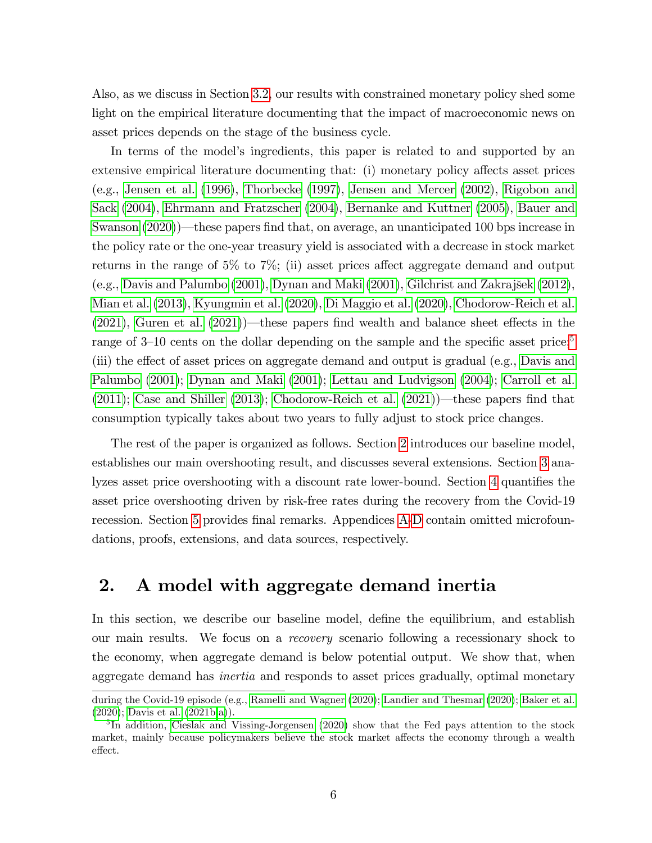Also, as we discuss in Section [3.2,](#page-21-0) our results with constrained monetary policy shed some light on the empirical literature documenting that the impact of macroeconomic news on asset prices depends on the stage of the business cycle.

In terms of the model's ingredients, this paper is related to and supported by an extensive empirical literature documenting that: (i) monetary policy affects asset prices (e.g., [Jensen et al.](#page-35-7) [\(1996\)](#page-35-7), [Thorbecke](#page-36-4) [\(1997\)](#page-36-4), [Jensen and Mercer](#page-35-8) [\(2002\)](#page-35-8), [Rigobon and](#page-36-5) [Sack](#page-36-5) [\(2004\)](#page-36-5), [Ehrmann and Fratzscher](#page-34-6) [\(2004\)](#page-34-6), [Bernanke and Kuttner](#page-32-4) [\(2005\)](#page-32-4), [Bauer and](#page-32-5) [Swanson](#page-32-5)  $(2020)$ —these papers find that, on average, an unanticipated 100 bps increase in the policy rate or the one-year treasury yield is associated with a decrease in stock market returns in the range of 5% to 7%; (ii) asset prices affect aggregate demand and output (e.g., [Davis and Palumbo](#page-34-7) [\(2001\)](#page-34-7), [Dynan and Maki](#page-34-8) [\(2001\)](#page-34-8), [Gilchrist and Zakrajöek](#page-34-9) [\(2012\)](#page-34-9), [Mian et al.](#page-35-9) [\(2013\)](#page-35-9), [Kyungmin et al.](#page-35-10) [\(2020\)](#page-35-10), [Di Maggio et al.](#page-34-10) [\(2020\)](#page-34-10), [Chodorow-Reich et al.](#page-33-1)  $(2021)$ , [Guren et al.](#page-34-11)  $(2021)$ —these papers find wealth and balance sheet effects in the range of 3–10 cents on the dollar depending on the sample and the specific asset price;<sup>[5](#page-6-0)</sup> (iii) the effect of asset prices on aggregate demand and output is gradual (e.g., [Davis and](#page-34-7) [Palumbo](#page-34-7) [\(2001\)](#page-34-7); [Dynan and Maki](#page-34-8) [\(2001\)](#page-34-8); [Lettau and Ludvigson](#page-35-11) [\(2004\)](#page-35-11); [Carroll et al.](#page-33-9) [\(2011\)](#page-33-9); [Case and Shiller](#page-33-10) [\(2013\)](#page-33-10); [Chodorow-Reich et al.](#page-33-1) [\(2021\)](#page-33-1))—these papers find that consumption typically takes about two years to fully adjust to stock price changes.

The rest of the paper is organized as follows. Section [2](#page-6-1) introduces our baseline model, establishes our main overshooting result, and discusses several extensions. Section [3](#page-17-0) ana-lyzes asset price overshooting with a discount rate lower-bound. Section [4](#page-23-0) quantifies the asset price overshooting driven by risk-free rates during the recovery from the Covid-19 recession. Section [5](#page-31-0) provides final remarks. [A](#page-37-0)ppendices A[-D](#page-72-0) contain omitted microfoundations, proofs, extensions, and data sources, respectively.

# <span id="page-6-1"></span>2. A model with aggregate demand inertia

In this section, we describe our baseline model, define the equilibrium, and establish our main results. We focus on a recovery scenario following a recessionary shock to the economy, when aggregate demand is below potential output. We show that, when aggregate demand has inertia and responds to asset prices gradually, optimal monetary

during the Covid-19 episode (e.g., [Ramelli and Wagner](#page-35-12) [\(2020\)](#page-35-12); [Landier and Thesmar](#page-35-13) [\(2020\)](#page-35-13); [Baker et al.](#page-32-6) [\(2020\)](#page-32-6); [Davis et al.](#page-34-12) [\(2021b,](#page-34-12)[a\)](#page-34-13)).

<span id="page-6-0"></span><sup>&</sup>lt;sup>5</sup>In addition, [Cieslak and Vissing-Jorgensen](#page-33-11) [\(2020\)](#page-33-11) show that the Fed pays attention to the stock market, mainly because policymakers believe the stock market affects the economy through a wealth effect.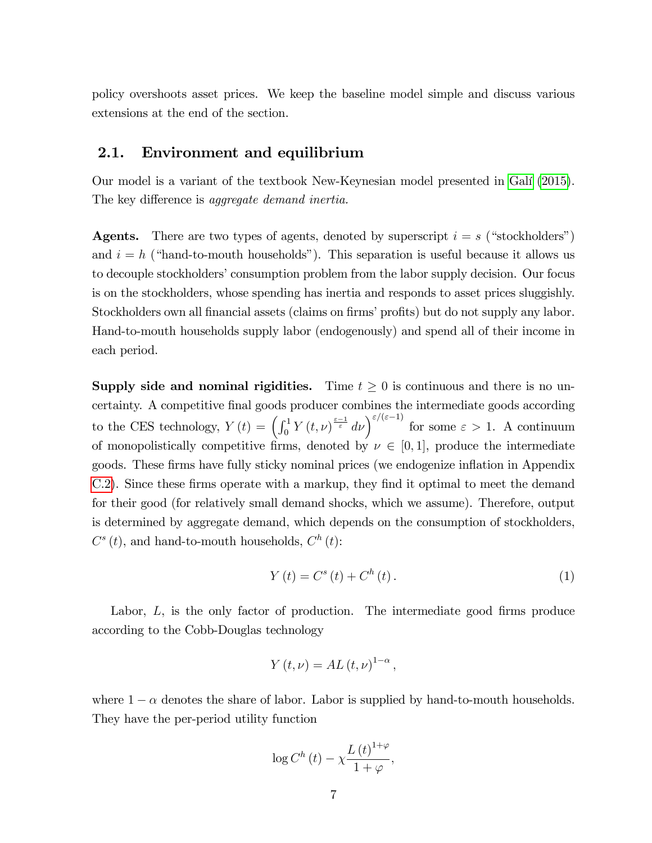policy overshoots asset prices. We keep the baseline model simple and discuss various extensions at the end of the section.

# 2.1. Environment and equilibrium

Our model is a variant of the textbook New-Keynesian model presented in [GalÌ](#page-34-0) [\(2015\)](#page-34-0). The key difference is *aggregate demand inertia*.

**Agents.** There are two types of agents, denoted by superscript  $i = s$  ("stockholders") and  $i = h$  ("hand-to-mouth households"). This separation is useful because it allows us to decouple stockholders' consumption problem from the labor supply decision. Our focus is on the stockholders, whose spending has inertia and responds to asset prices sluggishly. Stockholders own all financial assets (claims on firms' profits) but do not supply any labor. Hand-to-mouth households supply labor (endogenously) and spend all of their income in each period.

**Supply side and nominal rigidities.** Time  $t \geq 0$  is continuous and there is no uncertainty. A competitive final goods producer combines the intermediate goods according to the CES technology,  $Y(t) = \left(\int_0^1 Y(t,\nu)^{\frac{\varepsilon-1}{\varepsilon}} d\nu\right)^{\varepsilon/(\varepsilon-1)}$  for some  $\varepsilon > 1$ . A continuum of monopolistically competitive firms, denoted by  $\nu \in [0, 1]$ , produce the intermediate goods. These firms have fully sticky nominal prices (we endogenize inflation in Appendix [C.2\)](#page-60-0). Since these firms operate with a markup, they find it optimal to meet the demand for their good (for relatively small demand shocks, which we assume). Therefore, output is determined by aggregate demand, which depends on the consumption of stockholders,  $C^{s}(t)$ , and hand-to-mouth households,  $C^{h}(t)$ :

<span id="page-7-0"></span>
$$
Y(t) = C^{s}(t) + C^{h}(t).
$$
 (1)

Labor,  $L$ , is the only factor of production. The intermediate good firms produce according to the Cobb-Douglas technology

$$
Y(t,\nu) = AL(t,\nu)^{1-\alpha},
$$

where  $1 - \alpha$  denotes the share of labor. Labor is supplied by hand-to-mouth households. They have the per-period utility function

$$
\log C^{h}(t) - \chi \frac{L(t)^{1+\varphi}}{1+\varphi},
$$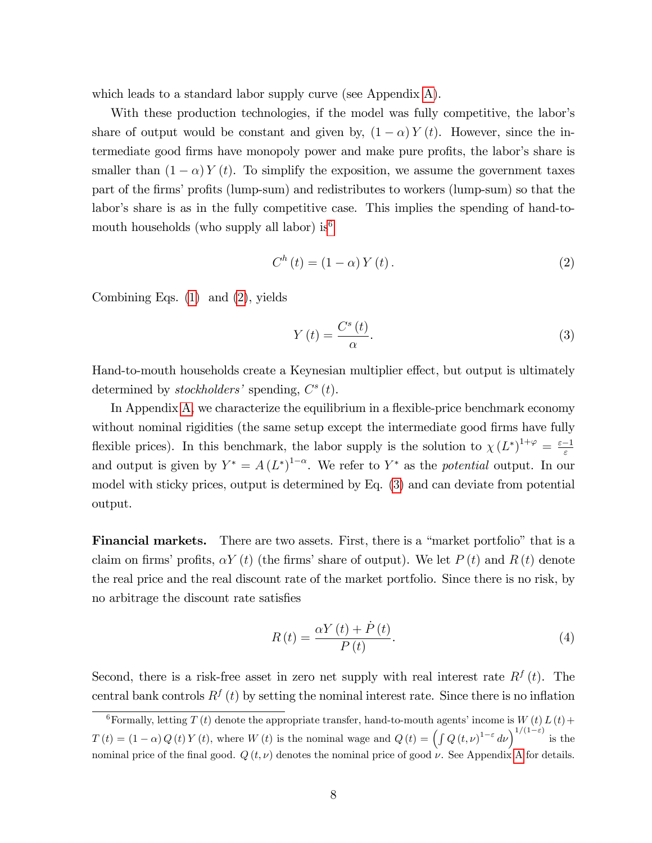which leads to a standard labor supply curve (see Appendix [A\)](#page-37-0).

With these production technologies, if the model was fully competitive, the labor's share of output would be constant and given by,  $(1 - \alpha) Y(t)$ . However, since the intermediate good firms have monopoly power and make pure profits, the labor's share is smaller than  $(1 - \alpha) Y(t)$ . To simplify the exposition, we assume the government taxes part of the firms' profits (lump-sum) and redistributes to workers (lump-sum) so that the labor's share is as in the fully competitive case. This implies the spending of hand-to-mouth households (who supply all labor) is<sup>[6](#page-8-0)</sup>

<span id="page-8-1"></span>
$$
C^{h}(t) = (1 - \alpha) Y(t).
$$
 (2)

Combining Eqs. [\(1\)](#page-7-0) and [\(2\)](#page-8-1), yields

<span id="page-8-2"></span>
$$
Y(t) = \frac{C^s(t)}{\alpha}.
$$
\n(3)

Hand-to-mouth households create a Keynesian multiplier effect, but output is ultimately determined by stockholders' spending,  $C^{s}(t)$ .

In Appendix  $A$ , we characterize the equilibrium in a flexible-price benchmark economy without nominal rigidities (the same setup except the intermediate good firms have fully flexible prices). In this benchmark, the labor supply is the solution to  $\chi(L^*)^{1+\varphi} = \frac{\varepsilon-1}{\varepsilon}$ and output is given by  $Y^* = A(L^*)^{1-\alpha}$ . We refer to  $Y^*$  as the *potential* output. In our model with sticky prices, output is determined by Eq. [\(3\)](#page-8-2) and can deviate from potential output.

**Financial markets.** There are two assets. First, there is a "market portfolio" that is a claim on firms' profits,  $\alpha Y (t)$  (the firms' share of output). We let  $P (t)$  and  $R (t)$  denote the real price and the real discount rate of the market portfolio. Since there is no risk, by no arbitrage the discount rate satisfies

<span id="page-8-3"></span>
$$
R\left(t\right) = \frac{\alpha Y\left(t\right) + \dot{P}\left(t\right)}{P\left(t\right)}.\tag{4}
$$

Second, there is a risk-free asset in zero net supply with real interest rate  $R^{f}(t)$ . The central bank controls  $R^f(t)$  by setting the nominal interest rate. Since there is no inflation

<span id="page-8-0"></span><sup>&</sup>lt;sup>6</sup>Formally, letting  $T(t)$  denote the appropriate transfer, hand-to-mouth agents' income is  $W(t)L(t)$ +  $T(t) = (1 - \alpha) Q(t) Y(t)$ , where  $W(t)$  is the nominal wage and  $Q(t) = \left(\int Q(t,\nu)^{1-\varepsilon} d\nu\right)^{1/(1-\varepsilon)}$  is the nominal price of the final good.  $Q(t, \nu)$  denotes the nominal price of good  $\nu$ . See [A](#page-37-0)ppendix A for details.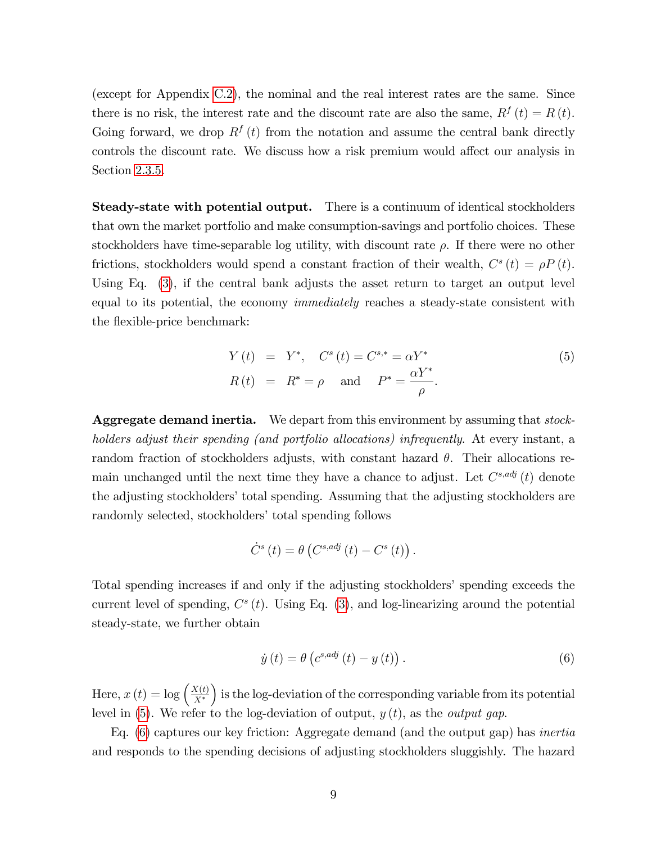(except for Appendix [C.2\)](#page-60-0), the nominal and the real interest rates are the same. Since there is no risk, the interest rate and the discount rate are also the same,  $R^{f}(t) = R(t)$ . Going forward, we drop  $R^{f}(t)$  from the notation and assume the central bank directly controls the discount rate. We discuss how a risk premium would affect our analysis in Section [2.3.5.](#page-17-1)

Steady-state with potential output. There is a continuum of identical stockholders that own the market portfolio and make consumption-savings and portfolio choices. These stockholders have time-separable log utility, with discount rate  $\rho$ . If there were no other frictions, stockholders would spend a constant fraction of their wealth,  $C^{s}(t) = \rho P(t)$ . Using Eq. [\(3\)](#page-8-2), if the central bank adjusts the asset return to target an output level equal to its potential, the economy immediately reaches a steady-state consistent with the flexible-price benchmark:

<span id="page-9-0"></span>
$$
Y(t) = Y^*, \quad C^s(t) = C^{s,*} = \alpha Y^*
$$
  
\n
$$
R(t) = R^* = \rho \quad \text{and} \quad P^* = \frac{\alpha Y^*}{\rho}.
$$
\n
$$
(5)
$$

Aggregate demand inertia. We depart from this environment by assuming that *stock*holders adjust their spending (and portfolio allocations) infrequently. At every instant, a random fraction of stockholders adjusts, with constant hazard  $\theta$ . Their allocations remain unchanged until the next time they have a chance to adjust. Let  $C^{s,adj}(t)$  denote the adjusting stockholders' total spending. Assuming that the adjusting stockholders are randomly selected, stockholders' total spending follows

$$
\dot{C}^{s}(t) = \theta\left(C^{s,adj}(t) - C^{s}(t)\right).
$$

Total spending increases if and only if the adjusting stockholders' spending exceeds the current level of spending,  $C<sup>s</sup>(t)$ . Using Eq. [\(3\)](#page-8-2), and log-linearizing around the potential steady-state, we further obtain

<span id="page-9-1"></span>
$$
\dot{y}(t) = \theta\left(c^{s,adj}\left(t\right) - y\left(t\right)\right). \tag{6}
$$

Here,  $x(t) = \log \left( \frac{X(t)}{X^*} \right)$  $X^*$ ) is the log-deviation of the corresponding variable from its potential level in [\(5\)](#page-9-0). We refer to the log-deviation of output,  $y(t)$ , as the *output gap*.

Eq. [\(6\)](#page-9-1) captures our key friction: Aggregate demand (and the output gap) has inertia and responds to the spending decisions of adjusting stockholders sluggishly. The hazard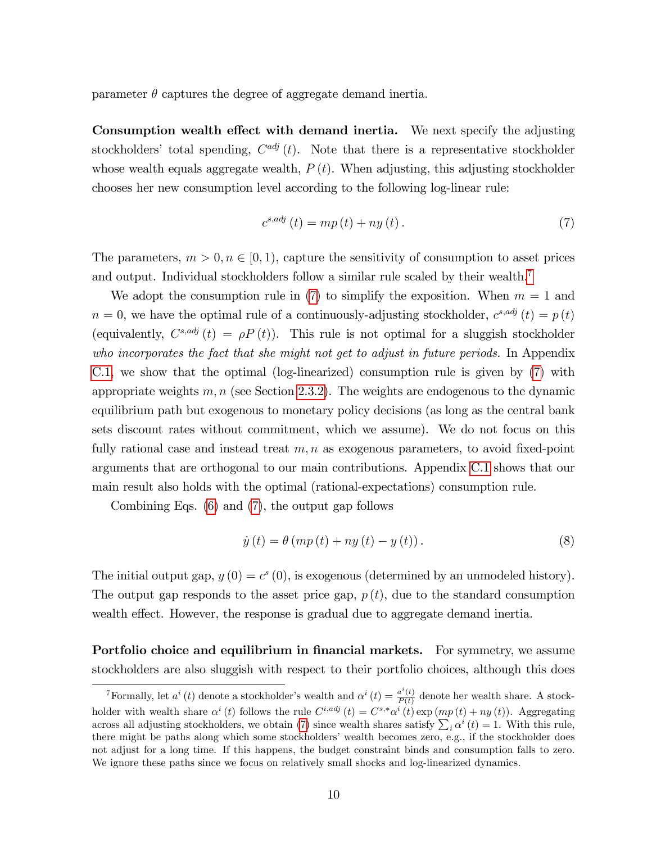parameter  $\theta$  captures the degree of aggregate demand inertia.

Consumption wealth effect with demand inertia. We next specify the adjusting stockholders' total spending,  $C^{adj}(t)$ . Note that there is a representative stockholder whose wealth equals aggregate wealth,  $P(t)$ . When adjusting, this adjusting stockholder chooses her new consumption level according to the following log-linear rule:

<span id="page-10-1"></span>
$$
c^{s,adj}(t) = mp(t) + ny(t).
$$
\n<sup>(7)</sup>

The parameters,  $m > 0, n \in [0, 1)$ , capture the sensitivity of consumption to asset prices and output. Individual stockholders follow a similar rule scaled by their wealth.<sup>[7](#page-10-0)</sup>

We adopt the consumption rule in [\(7\)](#page-10-1) to simplify the exposition. When  $m = 1$  and  $n = 0$ , we have the optimal rule of a continuously-adjusting stockholder,  $c^{s, adj}(t) = p(t)$ (equivalently,  $C^{s,adj}(t) = \rho P(t)$ ). This rule is not optimal for a sluggish stockholder who incorporates the fact that she might not get to adjust in future periods. In Appendix [C.1,](#page-53-0) we show that the optimal (log-linearized) consumption rule is given by [\(7\)](#page-10-1) with appropriate weights  $m, n$  (see Section [2.3.2\)](#page-15-0). The weights are endogenous to the dynamic equilibrium path but exogenous to monetary policy decisions (as long as the central bank sets discount rates without commitment, which we assume). We do not focus on this fully rational case and instead treat  $m, n$  as exogenous parameters, to avoid fixed-point arguments that are orthogonal to our main contributions. Appendix [C.1](#page-53-0) shows that our main result also holds with the optimal (rational-expectations) consumption rule.

Combining Eqs. [\(6\)](#page-9-1) and [\(7\)](#page-10-1), the output gap follows

<span id="page-10-2"></span>
$$
\dot{y}(t) = \theta \left( m p(t) + n y(t) - y(t) \right). \tag{8}
$$

The initial output gap,  $y(0) = c^{s}(0)$ , is exogenous (determined by an unmodeled history). The output gap responds to the asset price gap,  $p(t)$ , due to the standard consumption wealth effect. However, the response is gradual due to aggregate demand inertia.

Portfolio choice and equilibrium in financial markets. For symmetry, we assume stockholders are also sluggish with respect to their portfolio choices, although this does

<span id="page-10-0"></span><sup>&</sup>lt;sup>7</sup>Formally, let  $a^i(t)$  denote a stockholder's wealth and  $\alpha^i(t) = \frac{a^i(t)}{P(t)}$  $\frac{a(t)}{P(t)}$  denote her wealth share. A stockholder with wealth share  $\alpha^i(t)$  follows the rule  $C^{i,adj}(t) = C^{s,*}\alpha^i(t) \exp(m p(t) + n y(t))$ . Aggregating across all adjusting stockholders, we obtain [\(7\)](#page-10-1) since wealth shares satisfy  $\sum_i \alpha^i(t) = 1$ . With this rule, there might be paths along which some stockholders' wealth becomes zero, e.g., if the stockholder does not adjust for a long time. If this happens, the budget constraint binds and consumption falls to zero. We ignore these paths since we focus on relatively small shocks and log-linearized dynamics.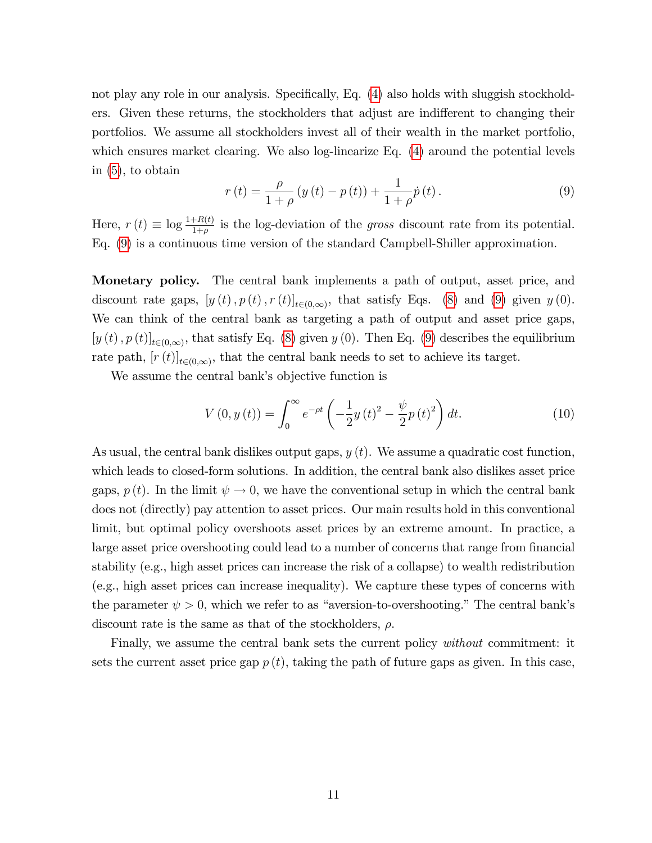not play any role in our analysis. Specifically, Eq.  $(4)$  also holds with sluggish stockholders. Given these returns, the stockholders that adjust are indifferent to changing their portfolios. We assume all stockholders invest all of their wealth in the market portfolio, which ensures market clearing. We also log-linearize Eq.  $(4)$  around the potential levels in [\(5\)](#page-9-0), to obtain

<span id="page-11-0"></span>
$$
r(t) = \frac{\rho}{1+\rho} (y(t) - p(t)) + \frac{1}{1+\rho} \dot{p}(t).
$$
 (9)

Here,  $r(t) \equiv \log \frac{1+R(t)}{1+\rho}$  is the log-deviation of the gross discount rate from its potential. Eq. [\(9\)](#page-11-0) is a continuous time version of the standard Campbell-Shiller approximation.

Monetary policy. The central bank implements a path of output, asset price, and discount rate gaps,  $[y(t), p(t), r(t)]_{t\in(0,\infty)}$ , that satisfy Eqs. [\(8\)](#page-10-2) and [\(9\)](#page-11-0) given  $y(0)$ . We can think of the central bank as targeting a path of output and asset price gaps,  $[y (t), p (t)]_{t \in (0,\infty)}$ , that satisfy Eq. [\(8\)](#page-10-2) given y (0). Then Eq. [\(9\)](#page-11-0) describes the equilibrium rate path,  $[r(t)]_{t\in(0,\infty)}$ , that the central bank needs to set to achieve its target.

We assume the central bank's objective function is

<span id="page-11-1"></span>
$$
V(0, y(t)) = \int_0^\infty e^{-\rho t} \left( -\frac{1}{2} y(t)^2 - \frac{\psi}{2} p(t)^2 \right) dt.
$$
 (10)

As usual, the central bank dislikes output gaps,  $y(t)$ . We assume a quadratic cost function, which leads to closed-form solutions. In addition, the central bank also dislikes asset price gaps,  $p(t)$ . In the limit  $\psi \to 0$ , we have the conventional setup in which the central bank does not (directly) pay attention to asset prices. Our main results hold in this conventional limit, but optimal policy overshoots asset prices by an extreme amount. In practice, a large asset price overshooting could lead to a number of concerns that range from financial stability (e.g., high asset prices can increase the risk of a collapse) to wealth redistribution (e.g., high asset prices can increase inequality). We capture these types of concerns with the parameter  $\psi > 0$ , which we refer to as "aversion-to-overshooting." The central bank's discount rate is the same as that of the stockholders,  $\rho$ .

Finally, we assume the central bank sets the current policy without commitment: it sets the current asset price gap  $p(t)$ , taking the path of future gaps as given. In this case,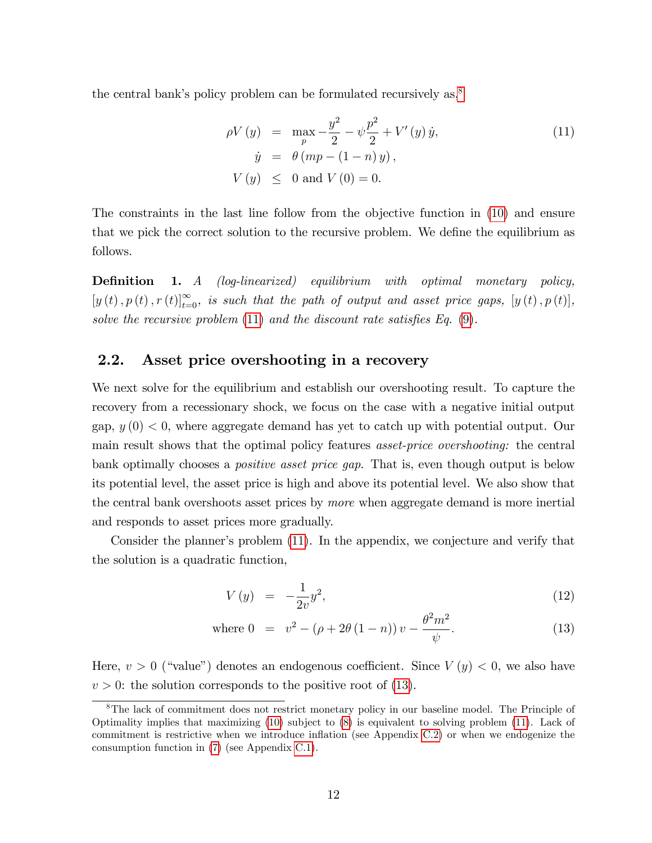the central bank's policy problem can be formulated recursively as, ${}^{8}$  ${}^{8}$  ${}^{8}$ 

<span id="page-12-1"></span>
$$
\rho V(y) = \max_{p} -\frac{y^2}{2} - \psi \frac{p^2}{2} + V'(y) \dot{y},
$$
  
\n
$$
\dot{y} = \theta (mp - (1 - n) y),
$$
  
\n
$$
V(y) \le 0 \text{ and } V(0) = 0.
$$
\n(11)

The constraints in the last line follow from the objective function in [\(10\)](#page-11-1) and ensure that we pick the correct solution to the recursive problem. We define the equilibrium as follows.

**Definition 1.** A (log-linearized) equilibrium with optimal monetary policy,  $[y(t), p(t), r(t)]_{t=0}^{\infty}$ , is such that the path of output and asset price gaps,  $[y(t), p(t)]$ , solve the recursive problem  $(11)$  and the discount rate satisfies Eq.  $(9)$ .

## <span id="page-12-3"></span>2.2. Asset price overshooting in a recovery

We next solve for the equilibrium and establish our overshooting result. To capture the recovery from a recessionary shock, we focus on the case with a negative initial output gap,  $y(0) < 0$ , where aggregate demand has yet to catch up with potential output. Our main result shows that the optimal policy features asset-price overshooting: the central bank optimally chooses a positive asset price gap. That is, even though output is below its potential level, the asset price is high and above its potential level. We also show that the central bank overshoots asset prices by more when aggregate demand is more inertial and responds to asset prices more gradually.

Consider the plannerís problem [\(11\)](#page-12-1). In the appendix, we conjecture and verify that the solution is a quadratic function,

<span id="page-12-2"></span>
$$
V(y) = -\frac{1}{2v}y^2,
$$
\n(12)

where 
$$
0 = v^2 - (\rho + 2\theta (1 - n)) v - \frac{\theta^2 m^2}{\psi}
$$
. (13)

Here,  $v > 0$  ("value") denotes an endogenous coefficient. Since  $V(y) < 0$ , we also have  $v > 0$ : the solution corresponds to the positive root of [\(13\)](#page-12-2).

<span id="page-12-0"></span><sup>8</sup>The lack of commitment does not restrict monetary policy in our baseline model. The Principle of Optimality implies that maximizing [\(10\)](#page-11-1) subject to [\(8\)](#page-10-2) is equivalent to solving problem [\(11\)](#page-12-1). Lack of commitment is restrictive when we introduce inflation (see Appendix [C.2\)](#page-60-0) or when we endogenize the consumption function in [\(7\)](#page-10-1) (see Appendix [C.1\)](#page-53-0).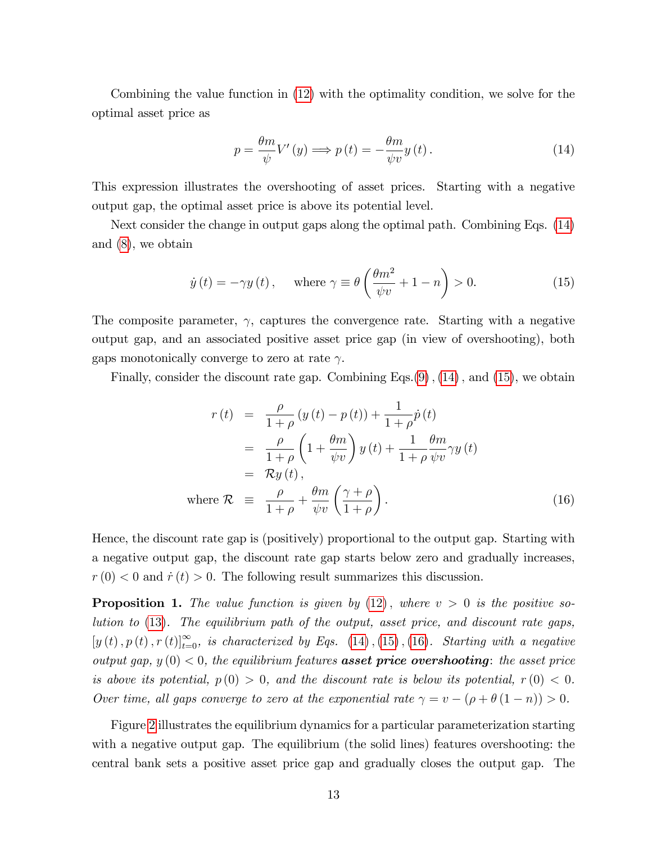Combining the value function in [\(12\)](#page-12-2) with the optimality condition, we solve for the optimal asset price as

<span id="page-13-0"></span>
$$
p = \frac{\theta m}{\psi} V'(y) \Longrightarrow p(t) = -\frac{\theta m}{\psi v} y(t).
$$
 (14)

This expression illustrates the overshooting of asset prices. Starting with a negative output gap, the optimal asset price is above its potential level.

Next consider the change in output gaps along the optimal path. Combining Eqs. [\(14\)](#page-13-0) and [\(8\)](#page-10-2), we obtain

<span id="page-13-1"></span>
$$
\dot{y}(t) = -\gamma y(t)
$$
, where  $\gamma \equiv \theta \left( \frac{\theta m^2}{\psi v} + 1 - n \right) > 0$ . (15)

The composite parameter,  $\gamma$ , captures the convergence rate. Starting with a negative output gap, and an associated positive asset price gap (in view of overshooting), both gaps monotonically converge to zero at rate  $\gamma$ .

Finally, consider the discount rate gap. Combining Eqs. $(9)$ ,  $(14)$ , and  $(15)$ , we obtain

<span id="page-13-2"></span>
$$
r(t) = \frac{\rho}{1+\rho} (y(t) - p(t)) + \frac{1}{1+\rho} \dot{p}(t)
$$
  
\n
$$
= \frac{\rho}{1+\rho} \left(1 + \frac{\theta m}{\psi v}\right) y(t) + \frac{1}{1+\rho} \frac{\theta m}{\psi v} \gamma y(t)
$$
  
\n
$$
= \mathcal{R} y(t),
$$
  
\nwhere  $\mathcal{R} \equiv \frac{\rho}{1+\rho} + \frac{\theta m}{\psi v} \left(\frac{\gamma + \rho}{1+\rho}\right).$  (16)

Hence, the discount rate gap is (positively) proportional to the output gap. Starting with a negative output gap, the discount rate gap starts below zero and gradually increases,  $r(0) < 0$  and  $\dot{r}(t) > 0$ . The following result summarizes this discussion.

<span id="page-13-3"></span>**Proposition 1.** The value function is given by  $(12)$ , where  $v > 0$  is the positive solution to [\(13\)](#page-12-2). The equilibrium path of the output, asset price, and discount rate gaps,  $[y(t), p(t), r(t)]_{t=0}^{\infty}$ , is characterized by Eqs. [\(14\)](#page-13-0), [\(15\)](#page-13-1), [\(16\)](#page-13-2). Starting with a negative output gap,  $y(0) < 0$ , the equilibrium features **asset price overshooting**: the asset price is above its potential,  $p(0) > 0$ , and the discount rate is below its potential,  $r(0) < 0$ . Over time, all gaps converge to zero at the exponential rate  $\gamma = v - (\rho + \theta (1 - n)) > 0$ .

Figure [2](#page-14-0) illustrates the equilibrium dynamics for a particular parameterization starting with a negative output gap. The equilibrium (the solid lines) features overshooting: the central bank sets a positive asset price gap and gradually closes the output gap. The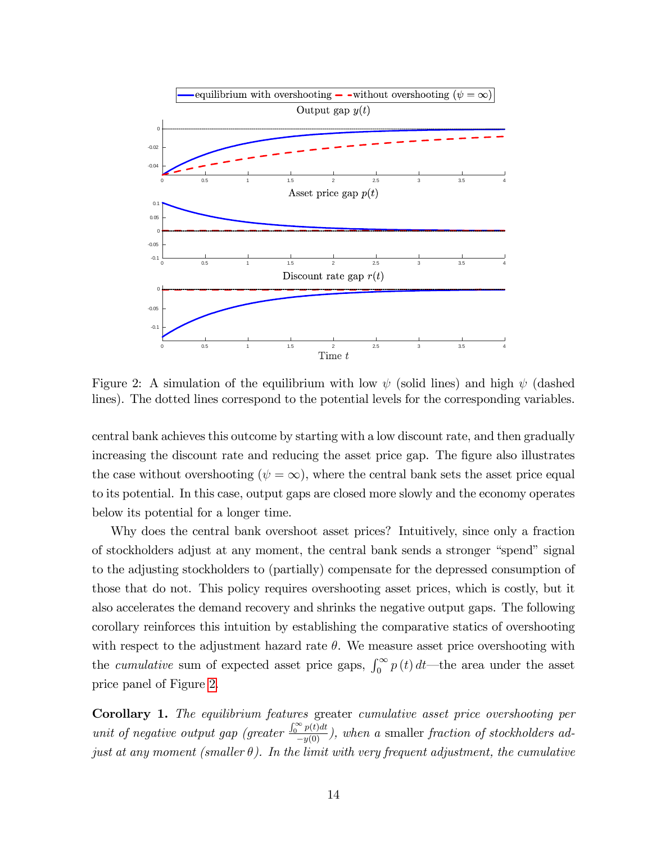

<span id="page-14-0"></span>Figure 2: A simulation of the equilibrium with low  $\psi$  (solid lines) and high  $\psi$  (dashed lines). The dotted lines correspond to the potential levels for the corresponding variables.

central bank achieves this outcome by starting with a low discount rate, and then gradually increasing the discount rate and reducing the asset price gap. The figure also illustrates the case without overshooting  $(\psi = \infty)$ , where the central bank sets the asset price equal to its potential. In this case, output gaps are closed more slowly and the economy operates below its potential for a longer time.

Why does the central bank overshoot asset prices? Intuitively, since only a fraction of stockholders adjust at any moment, the central bank sends a stronger "spend" signal to the adjusting stockholders to (partially) compensate for the depressed consumption of those that do not. This policy requires overshooting asset prices, which is costly, but it also accelerates the demand recovery and shrinks the negative output gaps. The following corollary reinforces this intuition by establishing the comparative statics of overshooting with respect to the adjustment hazard rate  $\theta$ . We measure asset price overshooting with the *cumulative* sum of expected asset price gaps,  $\int_0^\infty p(t) dt$ —the area under the asset price panel of Figure [2.](#page-14-0)

Corollary 1. The equilibrium features greater cumulative asset price overshooting per unit of negative output gap (greater  $\frac{\int_0^\infty p(t)dt}{-y(0)}$ ), when a smaller fraction of stockholders adjust at any moment (smaller  $\theta$ ). In the limit with very frequent adjustment, the cumulative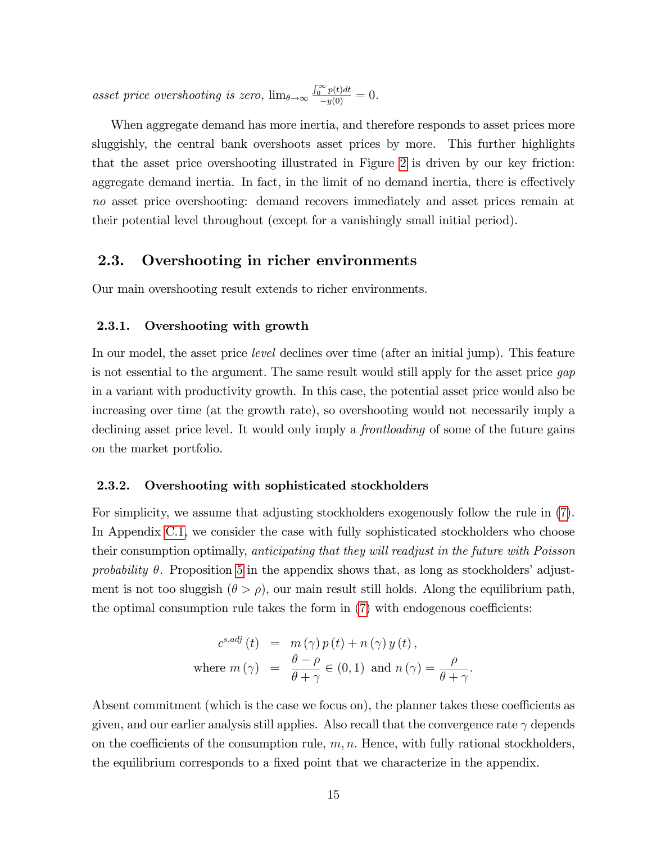asset price overshooting is zero,  $\lim_{\theta \to \infty} \frac{\int_0^\infty p(t)dt}{-y(0)} = 0$ .

When aggregate demand has more inertia, and therefore responds to asset prices more sluggishly, the central bank overshoots asset prices by more. This further highlights that the asset price overshooting illustrated in Figure [2](#page-14-0) is driven by our key friction: aggregate demand inertia. In fact, in the limit of no demand inertia, there is effectively no asset price overshooting: demand recovers immediately and asset prices remain at their potential level throughout (except for a vanishingly small initial period).

# 2.3. Overshooting in richer environments

Our main overshooting result extends to richer environments.

#### 2.3.1. Overshooting with growth

In our model, the asset price *level* declines over time (after an initial jump). This feature is not essential to the argument. The same result would still apply for the asset price gap in a variant with productivity growth. In this case, the potential asset price would also be increasing over time (at the growth rate), so overshooting would not necessarily imply a declining asset price level. It would only imply a frontloading of some of the future gains on the market portfolio.

#### <span id="page-15-0"></span>2.3.2. Overshooting with sophisticated stockholders

For simplicity, we assume that adjusting stockholders exogenously follow the rule in [\(7\)](#page-10-1). In Appendix [C.1,](#page-53-0) we consider the case with fully sophisticated stockholders who choose their consumption optimally, anticipating that they will readjust in the future with Poisson probability  $\theta$ . Proposition [5](#page-53-1) in the appendix shows that, as long as stockholders' adjustment is not too sluggish  $(\theta > \rho)$ , our main result still holds. Along the equilibrium path, the optimal consumption rule takes the form in  $(7)$  with endogenous coefficients:

$$
c^{s,adj}(t) = m(\gamma) p(t) + n(\gamma) y(t),
$$
  
where  $m(\gamma) = \frac{\theta - \rho}{\theta + \gamma} \in (0, 1)$  and  $n(\gamma) = \frac{\rho}{\theta + \gamma}$ .

Absent commitment (which is the case we focus on), the planner takes these coefficients as given, and our earlier analysis still applies. Also recall that the convergence rate  $\gamma$  depends on the coefficients of the consumption rule,  $m, n$ . Hence, with fully rational stockholders, the equilibrium corresponds to a fixed point that we characterize in the appendix.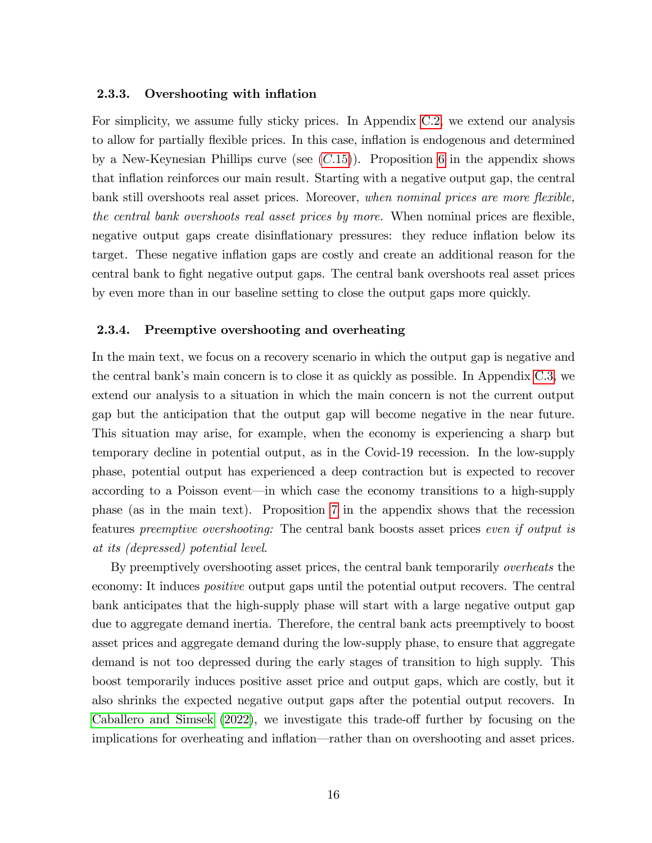#### 2.3.3. Overshooting with inflation

For simplicity, we assume fully sticky prices. In Appendix [C.2,](#page-60-0) we extend our analysis to allow for partially flexible prices. In this case, inflation is endogenous and determined by a New-Keynesian Phillips curve (see  $(C.15)$  $(C.15)$ ). Proposition [6](#page-62-0) in the appendix shows that inflation reinforces our main result. Starting with a negative output gap, the central bank still overshoots real asset prices. Moreover, when nominal prices are more flexible, the central bank overshoots real asset prices by more. When nominal prices are flexible, negative output gaps create disinflationary pressures: they reduce inflation below its target. These negative ináation gaps are costly and create an additional reason for the central bank to Öght negative output gaps. The central bank overshoots real asset prices by even more than in our baseline setting to close the output gaps more quickly.

#### 2.3.4. Preemptive overshooting and overheating

In the main text, we focus on a recovery scenario in which the output gap is negative and the central bankís main concern is to close it as quickly as possible. In Appendix [C.3,](#page-63-0) we extend our analysis to a situation in which the main concern is not the current output gap but the anticipation that the output gap will become negative in the near future. This situation may arise, for example, when the economy is experiencing a sharp but temporary decline in potential output, as in the Covid-19 recession. In the low-supply phase, potential output has experienced a deep contraction but is expected to recover according to a Poisson event—in which case the economy transitions to a high-supply phase (as in the main text). Proposition [7](#page-66-0) in the appendix shows that the recession features preemptive overshooting: The central bank boosts asset prices even if output is at its (depressed) potential level.

By preemptively overshooting asset prices, the central bank temporarily overheats the economy: It induces positive output gaps until the potential output recovers. The central bank anticipates that the high-supply phase will start with a large negative output gap due to aggregate demand inertia. Therefore, the central bank acts preemptively to boost asset prices and aggregate demand during the low-supply phase, to ensure that aggregate demand is not too depressed during the early stages of transition to high supply. This boost temporarily induces positive asset price and output gaps, which are costly, but it also shrinks the expected negative output gaps after the potential output recovers. In [Caballero and Simsek](#page-33-6)  $(2022)$ , we investigate this trade-off further by focusing on the implications for overheating and inflation—rather than on overshooting and asset prices.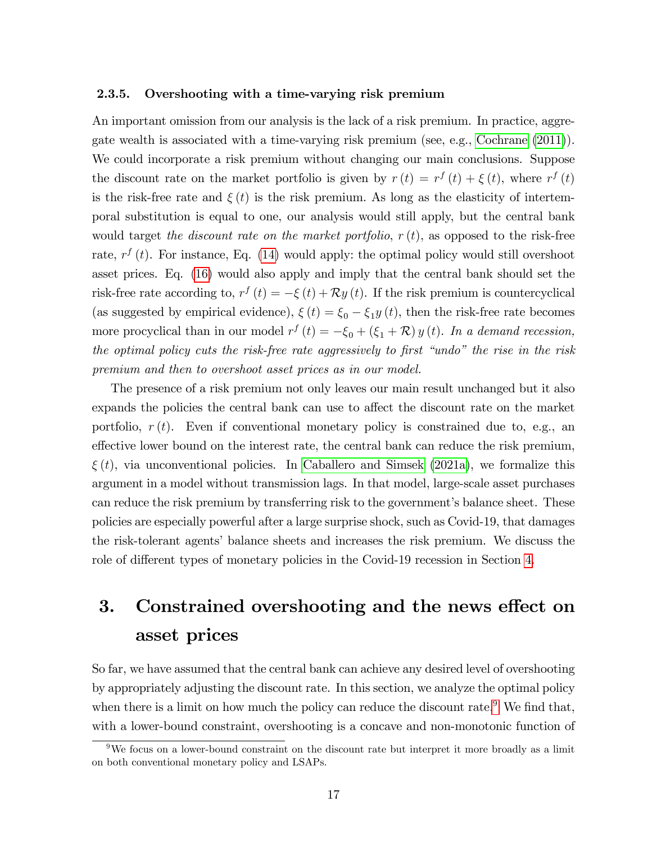#### <span id="page-17-1"></span>2.3.5. Overshooting with a time-varying risk premium

An important omission from our analysis is the lack of a risk premium. In practice, aggregate wealth is associated with a time-varying risk premium (see, e.g., [Cochrane](#page-33-12) [\(2011\)](#page-33-12)). We could incorporate a risk premium without changing our main conclusions. Suppose the discount rate on the market portfolio is given by  $r(t) = r^f(t) + \xi(t)$ , where  $r^f(t)$ is the risk-free rate and  $\xi(t)$  is the risk premium. As long as the elasticity of intertemporal substitution is equal to one, our analysis would still apply, but the central bank would target the discount rate on the market portfolio,  $r(t)$ , as opposed to the risk-free rate,  $r^{f}(t)$ . For instance, Eq. [\(14\)](#page-13-0) would apply: the optimal policy would still overshoot asset prices. Eq. [\(16\)](#page-13-2) would also apply and imply that the central bank should set the risk-free rate according to,  $r^f(t) = -\xi(t) + \mathcal{R}y(t)$ . If the risk premium is countercyclical (as suggested by empirical evidence),  $\xi(t) = \xi_0 - \xi_1 y(t)$ , then the risk-free rate becomes more procyclical than in our model  $r^f(t) = -\xi_0 + (\xi_1 + \mathcal{R}) y(t)$ . In a demand recession, the optimal policy cuts the risk-free rate aggressively to first "undo" the rise in the risk premium and then to overshoot asset prices as in our model.

The presence of a risk premium not only leaves our main result unchanged but it also expands the policies the central bank can use to affect the discount rate on the market portfolio,  $r(t)$ . Even if conventional monetary policy is constrained due to, e.g., an effective lower bound on the interest rate, the central bank can reduce the risk premium,  $\xi(t)$ , via unconventional policies. In [Caballero and Simsek](#page-33-0) [\(2021a\)](#page-33-0), we formalize this argument in a model without transmission lags. In that model, large-scale asset purchases can reduce the risk premium by transferring risk to the government's balance sheet. These policies are especially powerful after a large surprise shock, such as Covid-19, that damages the risk-tolerant agents' balance sheets and increases the risk premium. We discuss the role of different types of monetary policies in the Covid-19 recession in Section [4.](#page-23-0)

# <span id="page-17-0"></span>3. Constrained overshooting and the news effect on asset prices

So far, we have assumed that the central bank can achieve any desired level of overshooting by appropriately adjusting the discount rate. In this section, we analyze the optimal policy when there is a limit on how much the policy can reduce the discount rate.<sup>[9](#page-17-2)</sup> We find that, with a lower-bound constraint, overshooting is a concave and non-monotonic function of

<span id="page-17-2"></span><sup>&</sup>lt;sup>9</sup>We focus on a lower-bound constraint on the discount rate but interpret it more broadly as a limit on both conventional monetary policy and LSAPs.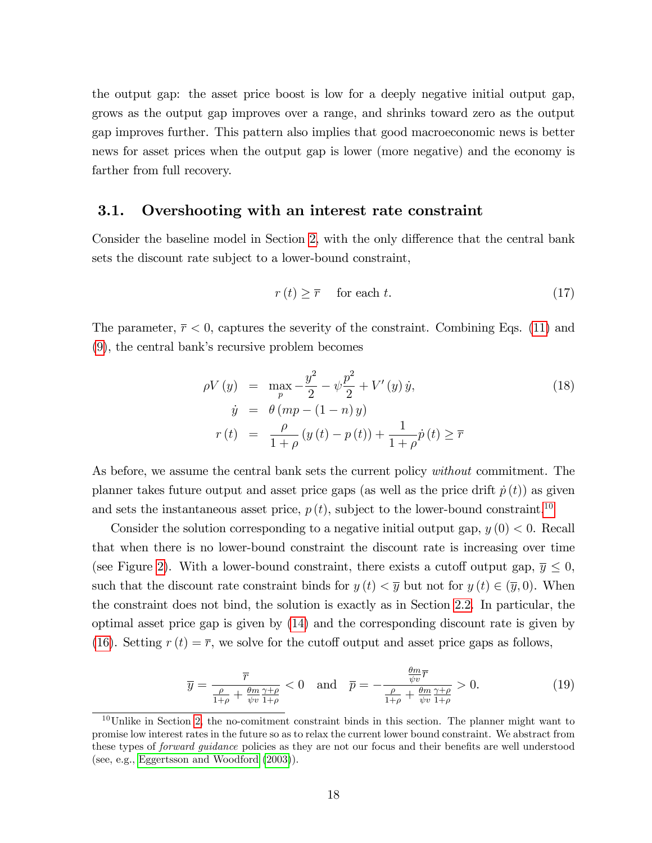the output gap: the asset price boost is low for a deeply negative initial output gap, grows as the output gap improves over a range, and shrinks toward zero as the output gap improves further. This pattern also implies that good macroeconomic news is better news for asset prices when the output gap is lower (more negative) and the economy is farther from full recovery.

### 3.1. Overshooting with an interest rate constraint

Consider the baseline model in Section [2,](#page-6-1) with the only difference that the central bank sets the discount rate subject to a lower-bound constraint,

$$
r(t) \ge \overline{r} \quad \text{ for each } t. \tag{17}
$$

The parameter,  $\bar{r}$  < 0, captures the severity of the constraint. Combining Eqs. [\(11\)](#page-12-1) and  $(9)$ , the central bank's recursive problem becomes

$$
\rho V(y) = \max_{p} -\frac{y^2}{2} - \psi \frac{p^2}{2} + V'(y) \dot{y},
$$
  
\n
$$
\dot{y} = \theta (mp - (1 - n) y)
$$
  
\n
$$
r(t) = \frac{\rho}{1 + \rho} (y(t) - p(t)) + \frac{1}{1 + \rho} \dot{p}(t) \ge \overline{r}
$$
\n(18)

As before, we assume the central bank sets the current policy *without* commitment. The planner takes future output and asset price gaps (as well as the price drift  $\dot{p}(t)$ ) as given and sets the instantaneous asset price,  $p(t)$ , subject to the lower-bound constraint.<sup>[10](#page-18-0)</sup>

Consider the solution corresponding to a negative initial output gap,  $y(0) < 0$ . Recall that when there is no lower-bound constraint the discount rate is increasing over time (see Figure [2\)](#page-14-0). With a lower-bound constraint, there exists a cutoff output gap,  $\overline{y} \leq 0$ , such that the discount rate constraint binds for  $y(t) < \overline{y}$  but not for  $y(t) \in (\overline{y}, 0)$ . When the constraint does not bind, the solution is exactly as in Section [2.2.](#page-12-3) In particular, the optimal asset price gap is given by [\(14\)](#page-13-0) and the corresponding discount rate is given by [\(16\)](#page-13-2). Setting  $r(t) = \overline{r}$ , we solve for the cutoff output and asset price gaps as follows,

<span id="page-18-1"></span>
$$
\overline{y} = \frac{\overline{r}}{\frac{\rho}{1+\rho} + \frac{\theta m}{\psi v} \frac{\gamma+\rho}{1+\rho}} < 0 \quad \text{and} \quad \overline{p} = -\frac{\frac{\theta m}{\psi v} \overline{r}}{\frac{\rho}{1+\rho} + \frac{\theta m}{\psi v} \frac{\gamma+\rho}{1+\rho}} > 0. \tag{19}
$$

<span id="page-18-0"></span> $10$ Unlike in Section [2,](#page-6-1) the no-comitment constraint binds in this section. The planner might want to promise low interest rates in the future so as to relax the current lower bound constraint. We abstract from these types of *forward guidance* policies as they are not our focus and their benefits are well understood (see, e.g., [Eggertsson and Woodford](#page-34-14) [\(2003\)](#page-34-14)).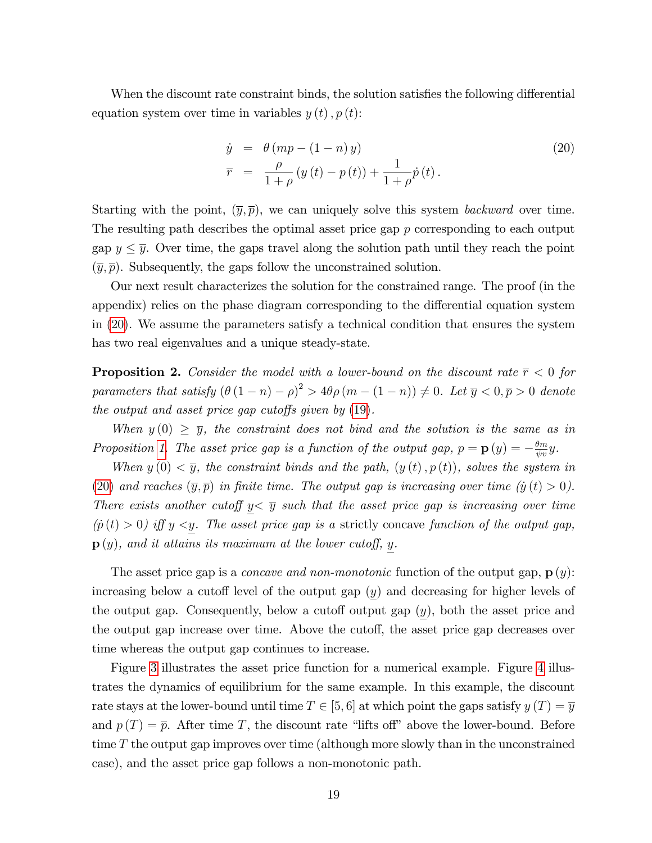When the discount rate constraint binds, the solution satisfies the following differential equation system over time in variables  $y(t)$ ,  $p(t)$ :

<span id="page-19-0"></span>
$$
\dot{y} = \theta (mp - (1 - n) y) \n\bar{r} = \frac{\rho}{1 + \rho} (y(t) - p(t)) + \frac{1}{1 + \rho} \dot{p}(t).
$$
\n(20)

Starting with the point,  $(\bar{y}, \bar{p})$ , we can uniquely solve this system *backward* over time. The resulting path describes the optimal asset price gap p corresponding to each output gap  $y \leq \overline{y}$ . Over time, the gaps travel along the solution path until they reach the point  $(\overline{y}, \overline{p})$ . Subsequently, the gaps follow the unconstrained solution.

Our next result characterizes the solution for the constrained range. The proof (in the appendix) relies on the phase diagram corresponding to the differential equation system in [\(20\)](#page-19-0). We assume the parameters satisfy a technical condition that ensures the system has two real eigenvalues and a unique steady-state.

<span id="page-19-1"></span>**Proposition 2.** Consider the model with a lower-bound on the discount rate  $\bar{r}$  < 0 for parameters that satisfy  $(\theta (1 - n) - \rho)^2 > 4\theta \rho (m - (1 - n)) \neq 0$ . Let  $\overline{y} < 0, \overline{p} > 0$  denote the output and asset price gap cutoffs given by  $(19)$ .

When  $y(0) \geq \overline{y}$ , the constraint does not bind and the solution is the same as in Proposition [1.](#page-13-3) The asset price gap is a function of the output gap,  $p = \mathbf{p}(y) = -\frac{\theta m}{\psi v}y$ .

When  $y(0) < \overline{y}$ , the constraint binds and the path,  $(y(t), p(t))$ , solves the system in [\(20\)](#page-19-0) and reaches  $(\overline{y}, \overline{p})$  in finite time. The output gap is increasing over time  $(\dot{y} (t) > 0)$ . There exists another cutoff  $y < \overline{y}$  such that the asset price gap is increasing over time  $(p(t) > 0)$  iff  $y \leq y$ . The asset price gap is a strictly concave function of the output gap,  $\mathbf{p}(y)$ , and it attains its maximum at the lower cutoff, y.

The asset price gap is a *concave and non-monotonic* function of the output gap,  $\mathbf{p}(y)$ : increasing below a cutoff level of the output gap  $(y)$  and decreasing for higher levels of the output gap. Consequently, below a cutoff output gap  $(y)$ , both the asset price and the output gap increase over time. Above the cutoff, the asset price gap decreases over time whereas the output gap continues to increase.

Figure [3](#page-20-0) illustrates the asset price function for a numerical example. Figure [4](#page-21-1) illustrates the dynamics of equilibrium for the same example. In this example, the discount rate stays at the lower-bound until time  $T \in [5, 6]$  at which point the gaps satisfy  $y(T) = \overline{y}$ and  $p(T) = \overline{p}$ . After time T, the discount rate "lifts off" above the lower-bound. Before time T the output gap improves over time (although more slowly than in the unconstrained case), and the asset price gap follows a non-monotonic path.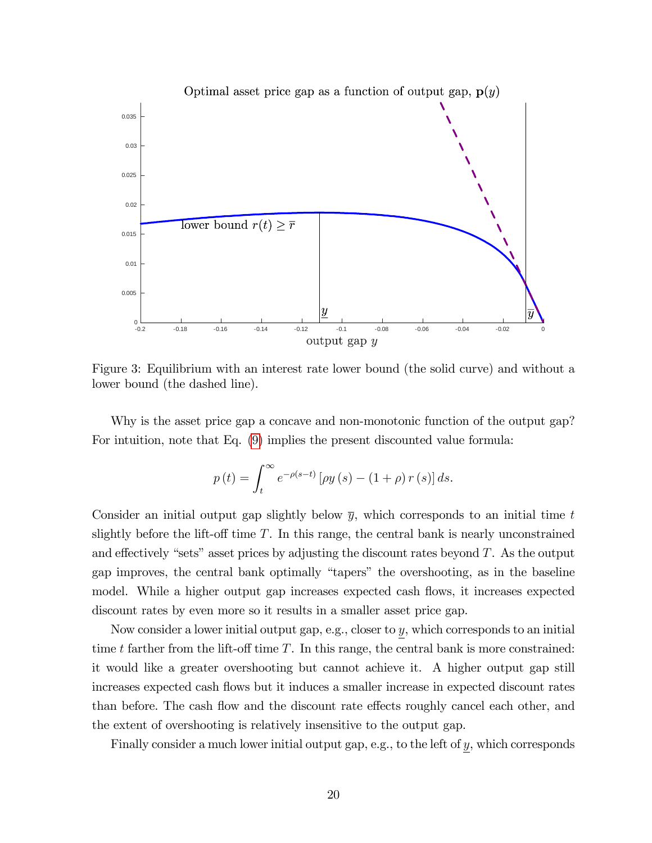

<span id="page-20-0"></span>Figure 3: Equilibrium with an interest rate lower bound (the solid curve) and without a lower bound (the dashed line).

Why is the asset price gap a concave and non-monotonic function of the output gap? For intuition, note that Eq. [\(9\)](#page-11-0) implies the present discounted value formula:

$$
p(t) = \int_{t}^{\infty} e^{-\rho(s-t)} \left[ \rho y(s) - (1+\rho) r(s) \right] ds.
$$

Consider an initial output gap slightly below  $\bar{y}$ , which corresponds to an initial time t slightly before the lift-off time  $T$ . In this range, the central bank is nearly unconstrained and effectively "sets" asset prices by adjusting the discount rates beyond  $T$ . As the output gap improves, the central bank optimally "tapers" the overshooting, as in the baseline model. While a higher output gap increases expected cash flows, it increases expected discount rates by even more so it results in a smaller asset price gap.

Now consider a lower initial output gap, e.g., closer to y, which corresponds to an initial time t farther from the lift-off time  $T$ . In this range, the central bank is more constrained: it would like a greater overshooting but cannot achieve it. A higher output gap still increases expected cash flows but it induces a smaller increase in expected discount rates than before. The cash flow and the discount rate effects roughly cancel each other, and the extent of overshooting is relatively insensitive to the output gap.

Finally consider a much lower initial output gap, e.g., to the left of y, which corresponds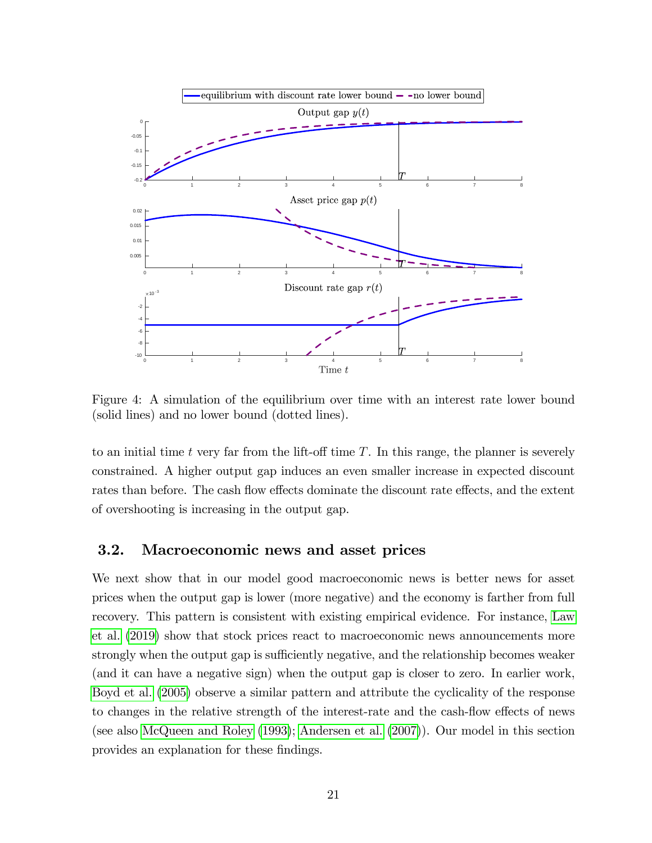

<span id="page-21-1"></span>Figure 4: A simulation of the equilibrium over time with an interest rate lower bound (solid lines) and no lower bound (dotted lines).

to an initial time t very far from the lift-off time  $T$ . In this range, the planner is severely constrained. A higher output gap induces an even smaller increase in expected discount rates than before. The cash flow effects dominate the discount rate effects, and the extent of overshooting is increasing in the output gap.

# <span id="page-21-0"></span>3.2. Macroeconomic news and asset prices

We next show that in our model good macroeconomic news is better news for asset prices when the output gap is lower (more negative) and the economy is farther from full recovery. This pattern is consistent with existing empirical evidence. For instance, [Law](#page-35-3) [et al.](#page-35-3) [\(2019\)](#page-35-3) show that stock prices react to macroeconomic news announcements more strongly when the output gap is sufficiently negative, and the relationship becomes weaker (and it can have a negative sign) when the output gap is closer to zero. In earlier work, [Boyd et al.](#page-33-2) [\(2005\)](#page-33-2) observe a similar pattern and attribute the cyclicality of the response to changes in the relative strength of the interest-rate and the cash-flow effects of news (see also [McQueen and Roley](#page-35-2) [\(1993\)](#page-35-2); [Andersen et al.](#page-32-0) [\(2007\)](#page-32-0)). Our model in this section provides an explanation for these findings.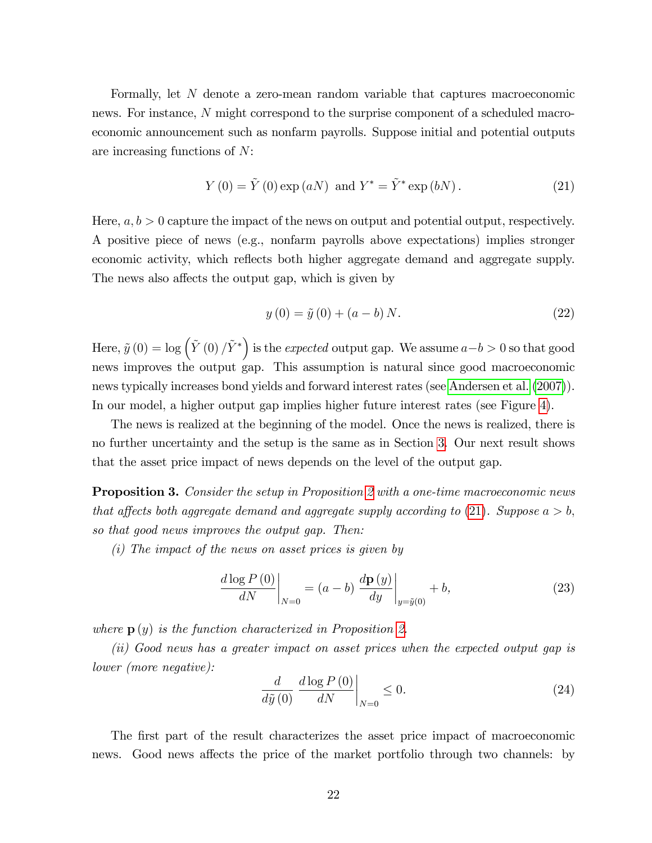Formally, let N denote a zero-mean random variable that captures macroeconomic news. For instance, N might correspond to the surprise component of a scheduled macroeconomic announcement such as nonfarm payrolls. Suppose initial and potential outputs are increasing functions of N:

<span id="page-22-0"></span>
$$
Y(0) = \tilde{Y}(0) \exp(aN) \text{ and } Y^* = \tilde{Y}^* \exp(bN).
$$
 (21)

Here,  $a, b > 0$  capture the impact of the news on output and potential output, respectively. A positive piece of news (e.g., nonfarm payrolls above expectations) implies stronger economic activity, which reflects both higher aggregate demand and aggregate supply. The news also affects the output gap, which is given by

$$
y(0) = \tilde{y}(0) + (a - b) N.
$$
 (22)

Here,  $\tilde{y}(0) = \log \left( \tilde{Y}(0) / \tilde{Y}^* \right)$  is the *expected* output gap. We assume  $a - b > 0$  so that good news improves the output gap. This assumption is natural since good macroeconomic news typically increases bond yields and forward interest rates (see [Andersen et al.](#page-32-0) [\(2007\)](#page-32-0)). In our model, a higher output gap implies higher future interest rates (see Figure [4\)](#page-21-1).

The news is realized at the beginning of the model. Once the news is realized, there is no further uncertainty and the setup is the same as in Section [3.](#page-17-0) Our next result shows that the asset price impact of news depends on the level of the output gap.

Proposition 3. Consider the setup in Proposition [2](#page-19-1) with a one-time macroeconomic news that affects both aggregate demand and aggregate supply according to [\(21\)](#page-22-0). Suppose  $a > b$ , so that good news improves the output gap. Then:

(i) The impact of the news on asset prices is given by

$$
\left. \frac{d \log P(0)}{dN} \right|_{N=0} = (a-b) \left. \frac{d \mathbf{p}(y)}{dy} \right|_{y=\tilde{y}(0)} + b,\tag{23}
$$

where  $p(y)$  is the function characterized in Proposition [2.](#page-19-1)

(ii) Good news has a greater impact on asset prices when the expected output gap is lower (more negative):

$$
\frac{d}{d\tilde{y}(0)} \left. \frac{d\log P\left(0\right)}{dN} \right|_{N=0} \le 0. \tag{24}
$$

The first part of the result characterizes the asset price impact of macroeconomic news. Good news affects the price of the market portfolio through two channels: by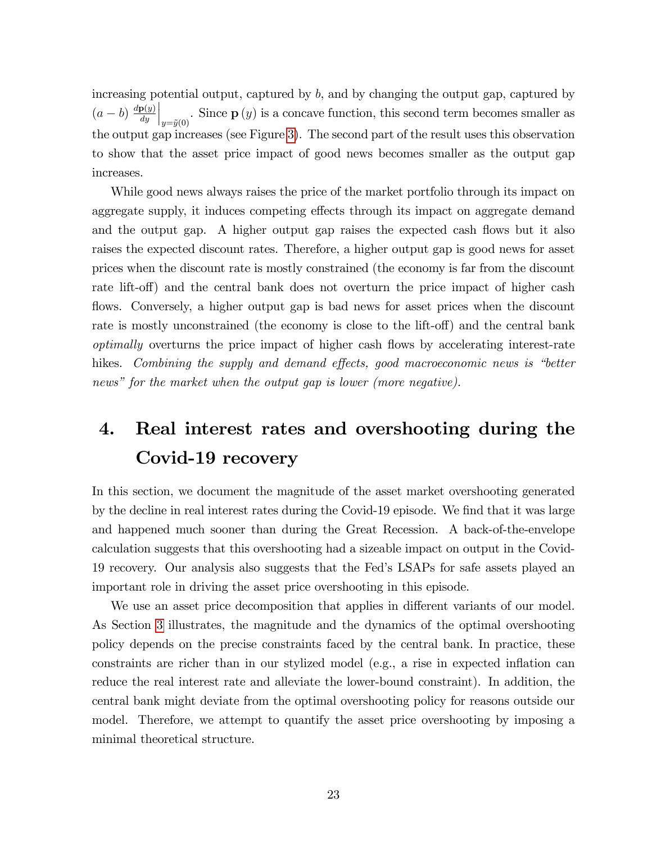increasing potential output, captured by  $b$ , and by changing the output gap, captured by  $(a-b)\frac{d\mathbf{p}(y)}{dy}$ dy  $\left| \bigcup_{y = \tilde{y}(0)}$ . Since  $\mathbf{p}(y)$  is a concave function, this second term becomes smaller as the output gap increases (see Figure [3\)](#page-20-0). The second part of the result uses this observation to show that the asset price impact of good news becomes smaller as the output gap increases.

While good news always raises the price of the market portfolio through its impact on aggregate supply, it induces competing effects through its impact on aggregate demand and the output gap. A higher output gap raises the expected cash flows but it also raises the expected discount rates. Therefore, a higher output gap is good news for asset prices when the discount rate is mostly constrained (the economy is far from the discount rate lift-off) and the central bank does not overturn the price impact of higher cash flows. Conversely, a higher output gap is bad news for asset prices when the discount rate is mostly unconstrained (the economy is close to the lift-off) and the central bank optimally overturns the price impact of higher cash flows by accelerating interest-rate hikes. Combining the supply and demand effects, good macroeconomic news is "better news" for the market when the output gap is lower (more negative).

# <span id="page-23-0"></span>4. Real interest rates and overshooting during the Covid-19 recovery

In this section, we document the magnitude of the asset market overshooting generated by the decline in real interest rates during the Covid-19 episode. We find that it was large and happened much sooner than during the Great Recession. A back-of-the-envelope calculation suggests that this overshooting had a sizeable impact on output in the Covid-19 recovery. Our analysis also suggests that the Fedís LSAPs for safe assets played an important role in driving the asset price overshooting in this episode.

We use an asset price decomposition that applies in different variants of our model. As Section [3](#page-17-0) illustrates, the magnitude and the dynamics of the optimal overshooting policy depends on the precise constraints faced by the central bank. In practice, these constraints are richer than in our stylized model (e.g., a rise in expected inflation can reduce the real interest rate and alleviate the lower-bound constraint). In addition, the central bank might deviate from the optimal overshooting policy for reasons outside our model. Therefore, we attempt to quantify the asset price overshooting by imposing a minimal theoretical structure.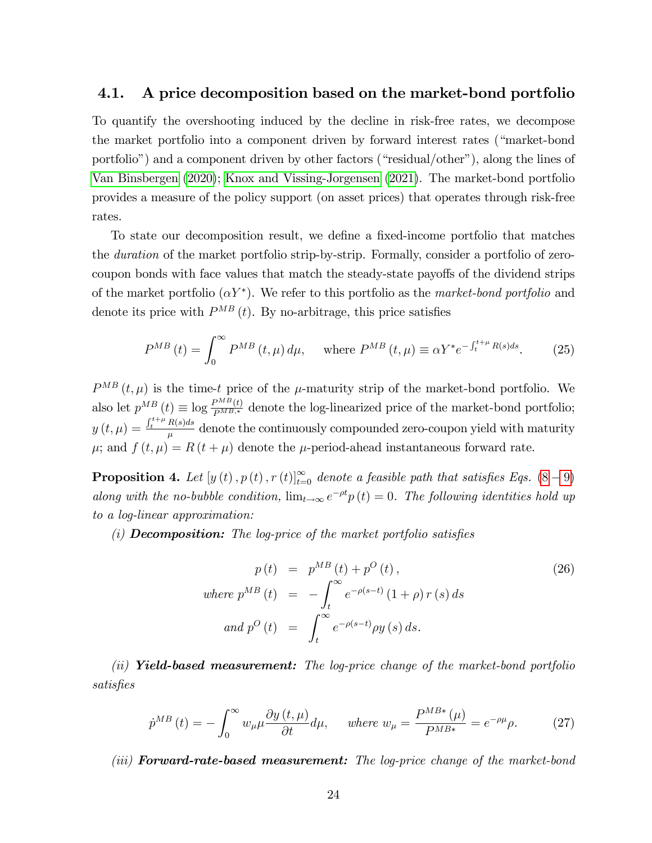# 4.1. A price decomposition based on the market-bond portfolio

To quantify the overshooting induced by the decline in risk-free rates, we decompose the market portfolio into a component driven by forward interest rates ("market-bond") portfolio") and a component driven by other factors ("residual/other"), along the lines of [Van Binsbergen](#page-36-1) [\(2020\)](#page-36-1); [Knox and Vissing-Jorgensen](#page-35-0) [\(2021\)](#page-35-0). The market-bond portfolio provides a measure of the policy support (on asset prices) that operates through risk-free rates.

To state our decomposition result, we define a fixed-income portfolio that matches the duration of the market portfolio strip-by-strip. Formally, consider a portfolio of zerocoupon bonds with face values that match the steady-state payoffs of the dividend strips of the market portfolio  $(\alpha Y^*)$ . We refer to this portfolio as the *market-bond portfolio* and denote its price with  $P^{MB}(t)$ . By no-arbitrage, this price satisfies

$$
P^{MB}(t) = \int_0^\infty P^{MB}(t,\mu) d\mu, \quad \text{where } P^{MB}(t,\mu) \equiv \alpha Y^* e^{-\int_t^{t+\mu} R(s)ds}.
$$
 (25)

 $P^{MB}(t,\mu)$  is the time-t price of the  $\mu$ -maturity strip of the market-bond portfolio. We also let  $p^{MB}(t) \equiv \log \frac{P^{MB}(t)}{P^{MB,*}}$  denote the log-linearized price of the market-bond portfolio;  $y\left(t,\mu\right)=\frac{\int_{t}^{t+\mu}R(s)ds}{\mu}$  $\frac{dS}{dt}$  denote the continuously compounded zero-coupon yield with maturity  $\mu$ ; and  $f(t, \mu) = R(t + \mu)$  denote the  $\mu$ -period-ahead instantaneous forward rate.

**Proposition 4.** Let  $[y(t), p(t), r(t)]_{t=0}^{\infty}$  denote a feasible path that satisfies Eqs.  $(8-9)$  $(8-9)$  $(8-9)$ along with the no-bubble condition,  $\lim_{t\to\infty} e^{-\rho t} p(t) = 0$ . The following identities hold up to a log-linear approximation:

(i) **Decomposition:** The log-price of the market portfolio satisfies

$$
p(t) = p^{MB}(t) + p^{O}(t),
$$
  
\nwhere  $p^{MB}(t) = -\int_{t}^{\infty} e^{-\rho(s-t)} (1+\rho) r(s) ds$   
\nand  $p^{O}(t) = \int_{t}^{\infty} e^{-\rho(s-t)} \rho y(s) ds.$  (26)

(ii) **Yield-based measurement:** The log-price change of the market-bond portfolio satisfies

<span id="page-24-0"></span>
$$
\dot{p}^{MB}(t) = -\int_0^\infty w_\mu \mu \frac{\partial y(t,\mu)}{\partial t} d\mu, \quad \text{where } w_\mu = \frac{P^{MB*}(\mu)}{P^{MB*}} = e^{-\rho \mu} \rho. \tag{27}
$$

(iii) **Forward-rate-based measurement:** The log-price change of the market-bond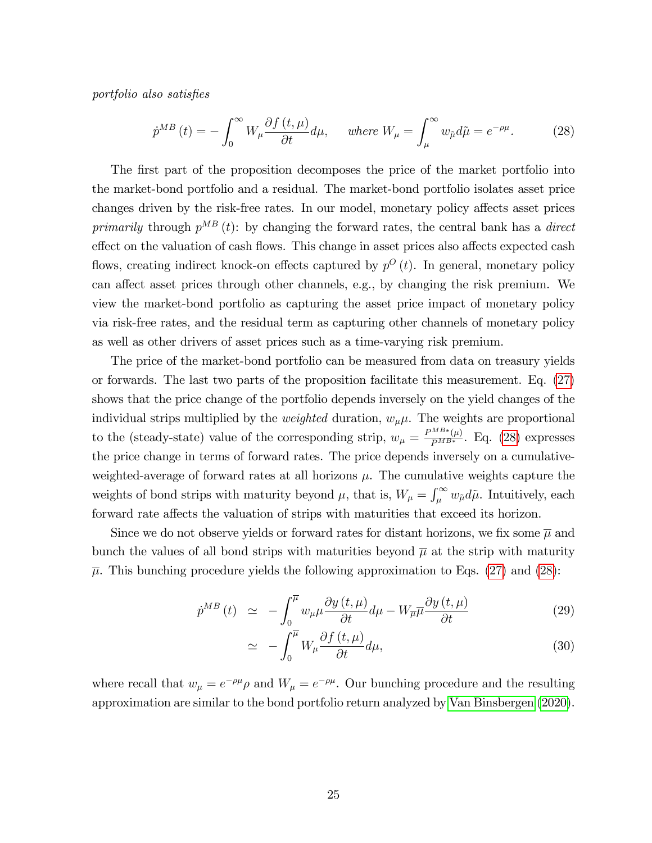portfolio also satisfies

<span id="page-25-0"></span>
$$
\dot{p}^{MB}(t) = -\int_0^\infty W_\mu \frac{\partial f(t,\mu)}{\partial t} d\mu, \quad \text{where } W_\mu = \int_\mu^\infty w_{\tilde{\mu}} d\tilde{\mu} = e^{-\rho \mu}.
$$
 (28)

The first part of the proposition decomposes the price of the market portfolio into the market-bond portfolio and a residual. The market-bond portfolio isolates asset price changes driven by the risk-free rates. In our model, monetary policy affects asset prices primarily through  $p^{MB}(t)$ : by changing the forward rates, the central bank has a direct effect on the valuation of cash flows. This change in asset prices also affects expected cash flows, creating indirect knock-on effects captured by  $p^{O}(t)$ . In general, monetary policy can affect asset prices through other channels, e.g., by changing the risk premium. We view the market-bond portfolio as capturing the asset price impact of monetary policy via risk-free rates, and the residual term as capturing other channels of monetary policy as well as other drivers of asset prices such as a time-varying risk premium.

The price of the market-bond portfolio can be measured from data on treasury yields or forwards. The last two parts of the proposition facilitate this measurement. Eq. [\(27\)](#page-24-0) shows that the price change of the portfolio depends inversely on the yield changes of the individual strips multiplied by the *weighted* duration,  $w_{\mu}\mu$ . The weights are proportional to the (steady-state) value of the corresponding strip,  $w_{\mu} = \frac{P^{MB*}(\mu)}{P^{MB*}}$ . Eq. [\(28\)](#page-25-0) expresses the price change in terms of forward rates. The price depends inversely on a cumulativeweighted-average of forward rates at all horizons  $\mu$ . The cumulative weights capture the weights of bond strips with maturity beyond  $\mu$ , that is,  $W_{\mu} = \int_{\mu}^{\infty} w_{\mu} d\tilde{\mu}$ . Intuitively, each forward rate affects the valuation of strips with maturities that exceed its horizon.

Since we do not observe yields or forward rates for distant horizons, we fix some  $\overline{\mu}$  and bunch the values of all bond strips with maturities beyond  $\bar{\mu}$  at the strip with maturity  $\bar{\mu}$ . This bunching procedure yields the following approximation to Eqs. [\(27\)](#page-24-0) and [\(28\)](#page-25-0):

<span id="page-25-1"></span>
$$
\dot{p}^{MB}(t) \simeq -\int_0^{\overline{\mu}} w_\mu \mu \frac{\partial y(t,\mu)}{\partial t} d\mu - W_{\overline{\mu}} \overline{\mu} \frac{\partial y(t,\mu)}{\partial t} \tag{29}
$$

$$
\simeq -\int_0^{\overline{\mu}} W_\mu \frac{\partial f(t,\mu)}{\partial t} d\mu,\tag{30}
$$

where recall that  $w_{\mu} = e^{-\rho \mu} \rho$  and  $W_{\mu} = e^{-\rho \mu}$ . Our bunching procedure and the resulting approximation are similar to the bond portfolio return analyzed by [Van Binsbergen](#page-36-1) [\(2020\)](#page-36-1).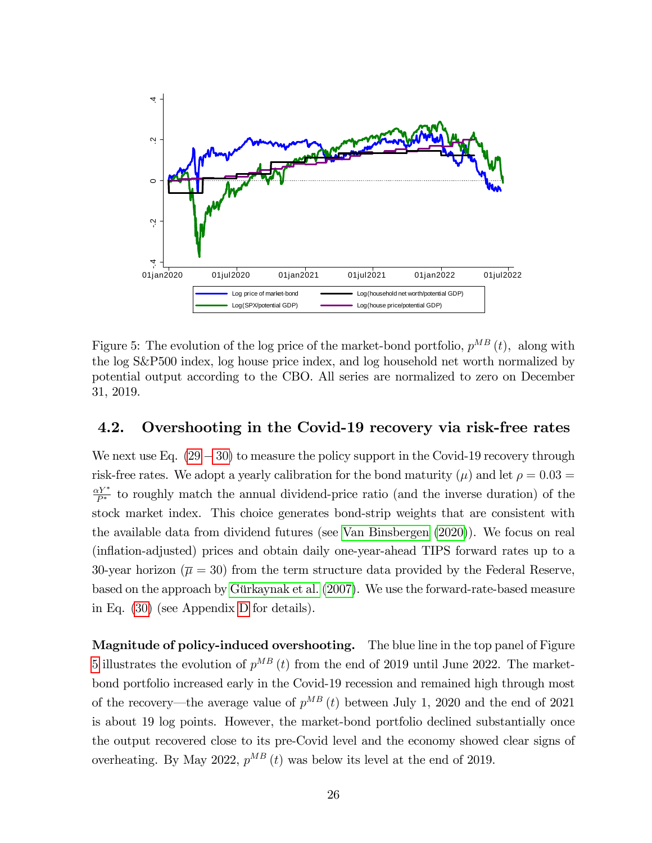

<span id="page-26-0"></span>Figure 5: The evolution of the log price of the market-bond portfolio,  $p^{MB}(t)$ , along with the log S&P500 index, log house price index, and log household net worth normalized by potential output according to the CBO. All series are normalized to zero on December 31, 2019.

# 4.2. Overshooting in the Covid-19 recovery via risk-free rates

We next use Eq.  $(29 - 30)$  $(29 - 30)$  $(29 - 30)$  to measure the policy support in the Covid-19 recovery through risk-free rates. We adopt a yearly calibration for the bond maturity ( $\mu$ ) and let  $\rho = 0.03 =$  $\frac{\alpha Y^*}{P^*}$  to roughly match the annual dividend-price ratio (and the inverse duration) of the stock market index. This choice generates bond-strip weights that are consistent with the available data from dividend futures (see [Van Binsbergen](#page-36-1) [\(2020\)](#page-36-1)). We focus on real (inflation-adjusted) prices and obtain daily one-year-ahead TIPS forward rates up to a 30-year horizon ( $\overline{\mu} = 30$ ) from the term structure data provided by the Federal Reserve, based on the approach by Gürkaynak et al.  $(2007)$ . We use the forward-rate-based measure in Eq. [\(30\)](#page-25-1) (see Appendix [D](#page-72-0) for details).

Magnitude of policy-induced overshooting. The blue line in the top panel of Figure [5](#page-26-0) illustrates the evolution of  $p^{MB}(t)$  from the end of 2019 until June 2022. The marketbond portfolio increased early in the Covid-19 recession and remained high through most of the recovery—the average value of  $p^{MB}(t)$  between July 1, 2020 and the end of 2021 is about 19 log points. However, the market-bond portfolio declined substantially once the output recovered close to its pre-Covid level and the economy showed clear signs of overheating. By May 2022,  $p^{MB}(t)$  was below its level at the end of 2019.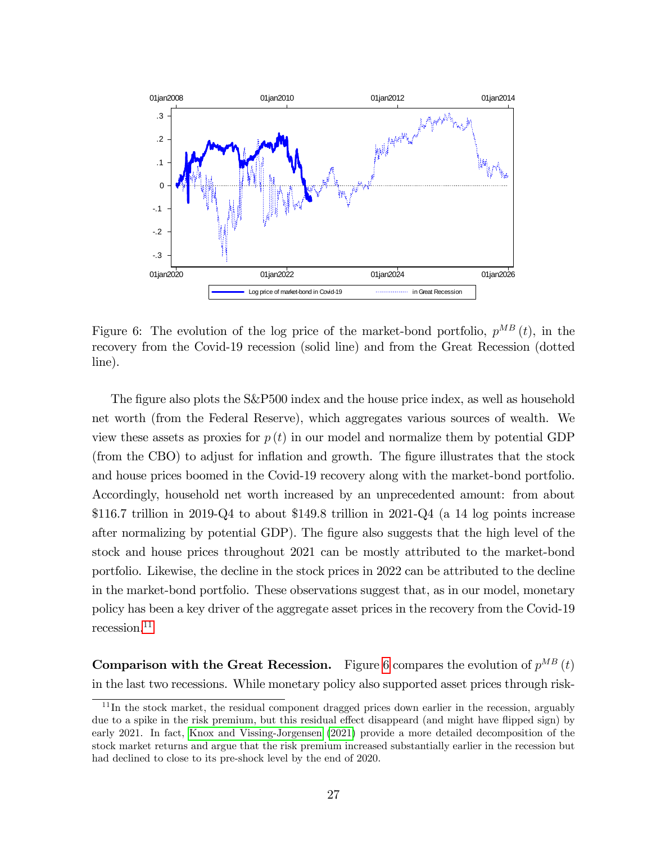

<span id="page-27-1"></span>Figure 6: The evolution of the log price of the market-bond portfolio,  $p^{MB}(t)$ , in the recovery from the Covid-19 recession (solid line) and from the Great Recession (dotted line).

The figure also plots the S&P500 index and the house price index, as well as household net worth (from the Federal Reserve), which aggregates various sources of wealth. We view these assets as proxies for  $p(t)$  in our model and normalize them by potential GDP (from the CBO) to adjust for inflation and growth. The figure illustrates that the stock and house prices boomed in the Covid-19 recovery along with the market-bond portfolio. Accordingly, household net worth increased by an unprecedented amount: from about  $$116.7$  trillion in 2019-Q4 to about \$149.8 trillion in 2021-Q4 (a 14 log points increase after normalizing by potential GDP). The figure also suggests that the high level of the stock and house prices throughout 2021 can be mostly attributed to the market-bond portfolio. Likewise, the decline in the stock prices in 2022 can be attributed to the decline in the market-bond portfolio. These observations suggest that, as in our model, monetary policy has been a key driver of the aggregate asset prices in the recovery from the Covid-19  $recession.<sup>11</sup>$  $recession.<sup>11</sup>$  $recession.<sup>11</sup>$ 

**Comparison with the Great Recession.** Figure [6](#page-27-1) compares the evolution of  $p^{MB}(t)$ in the last two recessions. While monetary policy also supported asset prices through risk-

<span id="page-27-0"></span><sup>&</sup>lt;sup>11</sup>In the stock market, the residual component dragged prices down earlier in the recession, arguably due to a spike in the risk premium, but this residual effect disappeard (and might have flipped sign) by early 2021. In fact, [Knox and Vissing-Jorgensen](#page-35-0) [\(2021\)](#page-35-0) provide a more detailed decomposition of the stock market returns and argue that the risk premium increased substantially earlier in the recession but had declined to close to its pre-shock level by the end of 2020.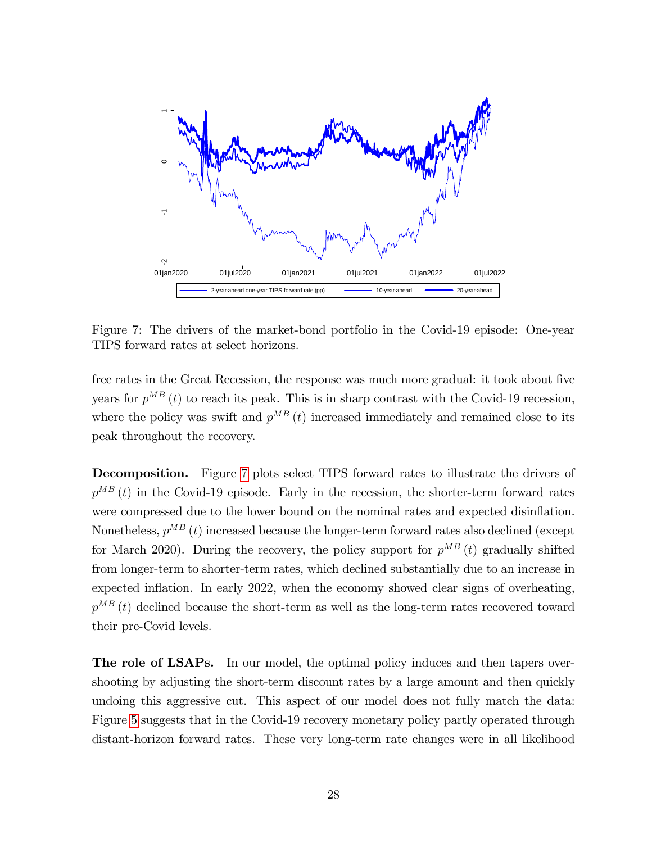

<span id="page-28-0"></span>Figure 7: The drivers of the market-bond portfolio in the Covid-19 episode: One-year TIPS forward rates at select horizons.

free rates in the Great Recession, the response was much more gradual: it took about five years for  $p^{MB}(t)$  to reach its peak. This is in sharp contrast with the Covid-19 recession, where the policy was swift and  $p^{MB}(t)$  increased immediately and remained close to its peak throughout the recovery.

Decomposition. Figure [7](#page-28-0) plots select TIPS forward rates to illustrate the drivers of  $p^{MB}(t)$  in the Covid-19 episode. Early in the recession, the shorter-term forward rates were compressed due to the lower bound on the nominal rates and expected disinflation. Nonetheless,  $p^{MB}(t)$  increased because the longer-term forward rates also declined (except for March 2020). During the recovery, the policy support for  $p^{MB}(t)$  gradually shifted from longer-term to shorter-term rates, which declined substantially due to an increase in expected inflation. In early 2022, when the economy showed clear signs of overheating,  $p^{MB}(t)$  declined because the short-term as well as the long-term rates recovered toward their pre-Covid levels.

The role of LSAPs. In our model, the optimal policy induces and then tapers overshooting by adjusting the short-term discount rates by a large amount and then quickly undoing this aggressive cut. This aspect of our model does not fully match the data: Figure [5](#page-26-0) suggests that in the Covid-19 recovery monetary policy partly operated through distant-horizon forward rates. These very long-term rate changes were in all likelihood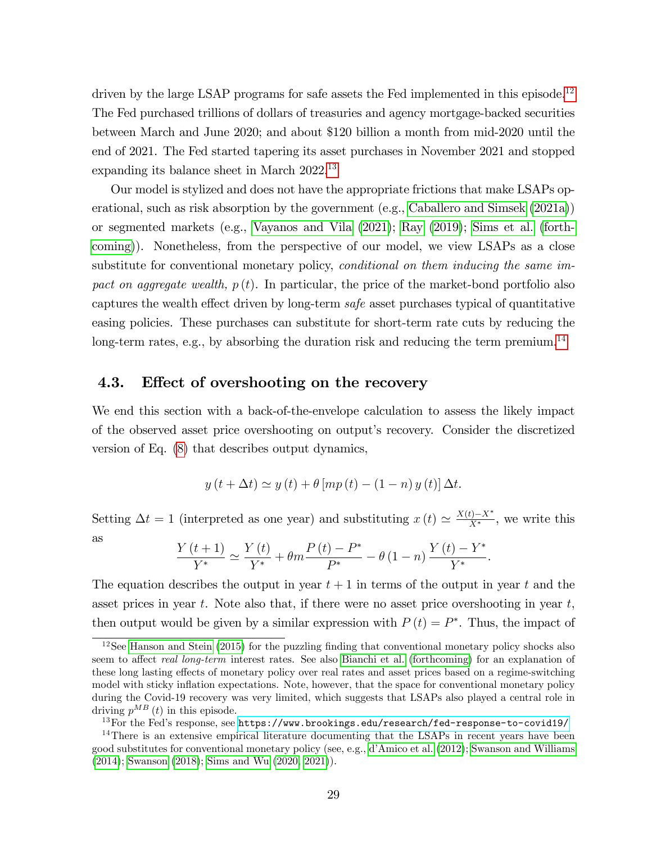driven by the large LSAP programs for safe assets the Fed implemented in this episode.<sup>[12](#page-29-0)</sup> The Fed purchased trillions of dollars of treasuries and agency mortgage-backed securities between March and June 2020; and about \$120 billion a month from mid-2020 until the end of 2021. The Fed started tapering its asset purchases in November 2021 and stopped expanding its balance sheet in March 2022.<sup>[13](#page-29-1)</sup>

Our model is stylized and does not have the appropriate frictions that make LSAPs operational, such as risk absorption by the government (e.g., [Caballero and Simsek](#page-33-0) [\(2021a\)](#page-33-0)) or segmented markets (e.g., [Vayanos and Vila](#page-36-6) [\(2021\)](#page-36-6); [Ray](#page-35-14) [\(2019\)](#page-35-14); [Sims et al.](#page-36-7) [\(forth](#page-36-7)[coming\)](#page-36-7)). Nonetheless, from the perspective of our model, we view LSAPs as a close substitute for conventional monetary policy, *conditional on them inducing the same im*pact on aggregate wealth,  $p(t)$ . In particular, the price of the market-bond portfolio also captures the wealth effect driven by long-term  $safe$  asset purchases typical of quantitative easing policies. These purchases can substitute for short-term rate cuts by reducing the long-term rates, e.g., by absorbing the duration risk and reducing the term premium.<sup>[14](#page-29-2)</sup>

# 4.3. Effect of overshooting on the recovery

We end this section with a back-of-the-envelope calculation to assess the likely impact of the observed asset price overshooting on output's recovery. Consider the discretized version of Eq. [\(8\)](#page-10-2) that describes output dynamics,

$$
y(t + \Delta t) \simeq y(t) + \theta [mp(t) - (1 - n) y(t)] \Delta t.
$$

Setting  $\Delta t = 1$  (interpreted as one year) and substituting  $x(t) \simeq \frac{X(t) - X^*}{X^*}$ , we write this

as

$$
\frac{Y(t+1)}{Y^*} \simeq \frac{Y(t)}{Y^*} + \theta m \frac{P(t) - P^*}{P^*} - \theta (1-n) \frac{Y(t) - Y^*}{Y^*}.
$$

The equation describes the output in year  $t + 1$  in terms of the output in year t and the asset prices in year t. Note also that, if there were no asset price overshooting in year  $t$ , then output would be given by a similar expression with  $P(t) = P^*$ . Thus, the impact of

<span id="page-29-0"></span> $12$ See [Hanson and Stein](#page-35-15) [\(2015\)](#page-35-15) for the puzzling finding that conventional monetary policy shocks also seem to affect *real long-term* interest rates. See also [Bianchi et al.](#page-32-7) [\(forthcoming\)](#page-32-7) for an explanation of these long lasting effects of monetary policy over real rates and asset prices based on a regime-switching model with sticky inflation expectations. Note, however, that the space for conventional monetary policy during the Covid-19 recovery was very limited, which suggests that LSAPs also played a central role in driving  $p^{MB}(t)$  in this episode.

<span id="page-29-2"></span><span id="page-29-1"></span><sup>&</sup>lt;sup>13</sup>For the Fed's response, see <https://www.brookings.edu/research/fed-response-to-covid19/>

<sup>&</sup>lt;sup>14</sup>There is an extensive empirical literature documenting that the LSAPs in recent years have been good substitutes for conventional monetary policy (see, e.g., [díAmico et al.](#page-33-13) [\(2012\)](#page-33-13); [Swanson and Williams](#page-36-8) [\(2014\)](#page-36-8); [Swanson](#page-36-9) [\(2018\)](#page-36-9); [Sims and Wu](#page-36-10) [\(2020,](#page-36-10) [2021\)](#page-36-11)).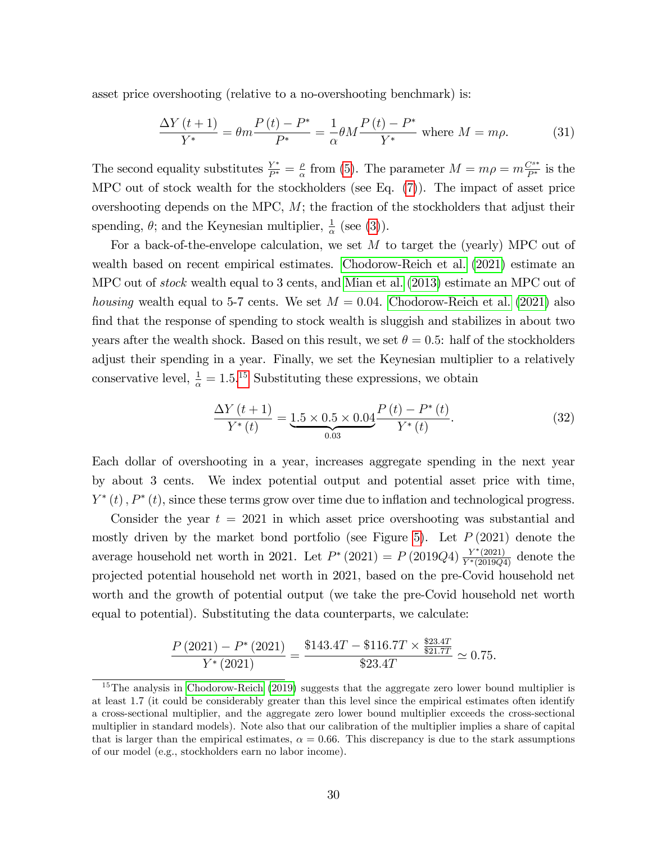asset price overshooting (relative to a no-overshooting benchmark) is:

$$
\frac{\Delta Y(t+1)}{Y^*} = \theta m \frac{P(t) - P^*}{P^*} = \frac{1}{\alpha} \theta M \frac{P(t) - P^*}{Y^*} \text{ where } M = m\rho.
$$
 (31)

The second equality substitutes  $\frac{Y^*}{P^*} = \frac{\rho}{\alpha}$  $\frac{\rho}{\alpha}$  from [\(5\)](#page-9-0). The parameter  $M = m\rho = m\frac{C^{s*}}{P^*}$  is the MPC out of stock wealth for the stockholders (see Eq.  $(7)$ ). The impact of asset price overshooting depends on the MPC,  $M$ ; the fraction of the stockholders that adjust their spending,  $\theta$ ; and the Keynesian multiplier,  $\frac{1}{\alpha}$  (see [\(3\)](#page-8-2)).

For a back-of-the-envelope calculation, we set  $M$  to target the (yearly) MPC out of wealth based on recent empirical estimates. [Chodorow-Reich et al.](#page-33-1) [\(2021\)](#page-33-1) estimate an MPC out of *stock* wealth equal to 3 cents, and [Mian et al.](#page-35-9) [\(2013\)](#page-35-9) estimate an MPC out of *housing* wealth equal to 5-7 cents. We set  $M = 0.04$ . [Chodorow-Reich et al.](#page-33-1) [\(2021\)](#page-33-1) also find that the response of spending to stock wealth is sluggish and stabilizes in about two years after the wealth shock. Based on this result, we set  $\theta = 0.5$ : half of the stockholders adjust their spending in a year. Finally, we set the Keynesian multiplier to a relatively conservative level,  $\frac{1}{\alpha} = 1.5^{15}$  $\frac{1}{\alpha} = 1.5^{15}$  $\frac{1}{\alpha} = 1.5^{15}$  Substituting these expressions, we obtain

<span id="page-30-1"></span>
$$
\frac{\Delta Y(t+1)}{Y^*(t)} = \underbrace{1.5 \times 0.5 \times 0.04}_{0.03} \frac{P(t) - P^*(t)}{Y^*(t)}.
$$
\n(32)

Each dollar of overshooting in a year, increases aggregate spending in the next year by about 3 cents. We index potential output and potential asset price with time,  $Y^*(t)$ ,  $P^*(t)$ , since these terms grow over time due to inflation and technological progress.

Consider the year  $t = 2021$  in which asset price overshooting was substantial and mostly driven by the market bond portfolio (see Figure [5\)](#page-26-0). Let  $P(2021)$  denote the average household net worth in 2021. Let  $P^*(2021) = P(2019Q4) \frac{Y^*(2021)}{Y^*(2019Q4)}$  denote the projected potential household net worth in 2021, based on the pre-Covid household net worth and the growth of potential output (we take the pre-Covid household net worth equal to potential). Substituting the data counterparts, we calculate:

$$
\frac{P(2021) - P^*(2021)}{Y^*(2021)} = \frac{\$143.4T - \$116.7T \times \frac{\$23.4T}{\$21.7T}}{\$23.4T} \simeq 0.75.
$$

<span id="page-30-0"></span><sup>&</sup>lt;sup>15</sup>The analysis in [Chodorow-Reich](#page-33-14) [\(2019\)](#page-33-14) suggests that the aggregate zero lower bound multiplier is at least 1.7 (it could be considerably greater than this level since the empirical estimates often identify a cross-sectional multiplier, and the aggregate zero lower bound multiplier exceeds the cross-sectional multiplier in standard models). Note also that our calibration of the multiplier implies a share of capital that is larger than the empirical estimates,  $\alpha = 0.66$ . This discrepancy is due to the stark assumptions of our model (e.g., stockholders earn no labor income).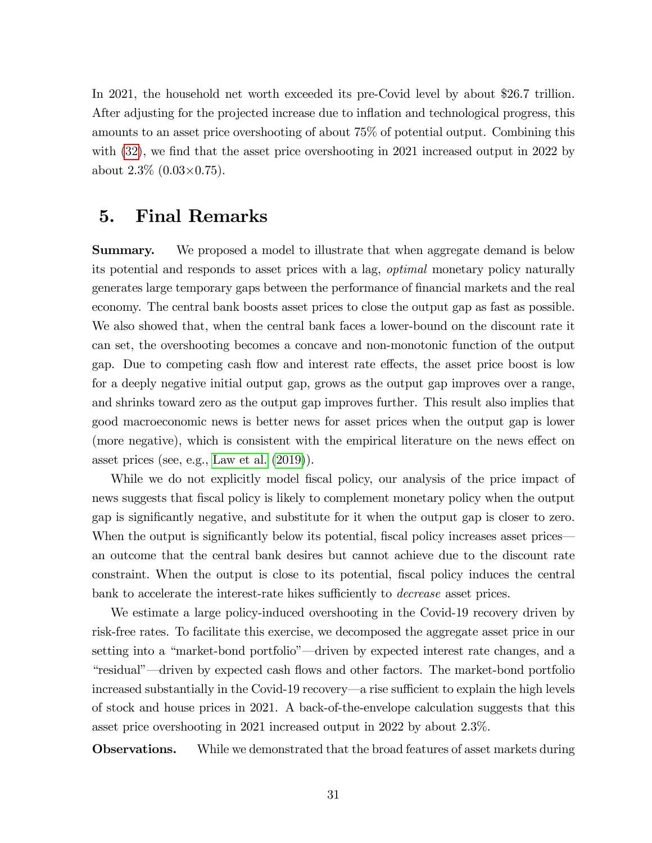In 2021, the household net worth exceeded its pre-Covid level by about \$26.7 trillion. After adjusting for the projected increase due to inflation and technological progress, this amounts to an asset price overshooting of about 75% of potential output. Combining this with  $(32)$ , we find that the asset price overshooting in 2021 increased output in 2022 by about  $2.3\%$  (0.03 $\times$ 0.75).

# <span id="page-31-0"></span>5. Final Remarks

**Summary.** We proposed a model to illustrate that when aggregate demand is below its potential and responds to asset prices with a lag, optimal monetary policy naturally generates large temporary gaps between the performance of financial markets and the real economy. The central bank boosts asset prices to close the output gap as fast as possible. We also showed that, when the central bank faces a lower-bound on the discount rate it can set, the overshooting becomes a concave and non-monotonic function of the output gap. Due to competing cash flow and interest rate effects, the asset price boost is low for a deeply negative initial output gap, grows as the output gap improves over a range, and shrinks toward zero as the output gap improves further. This result also implies that good macroeconomic news is better news for asset prices when the output gap is lower (more negative), which is consistent with the empirical literature on the news effect on asset prices (see, e.g., [Law et al.](#page-35-3) [\(2019\)](#page-35-3)).

While we do not explicitly model fiscal policy, our analysis of the price impact of news suggests that Öscal policy is likely to complement monetary policy when the output gap is signiÖcantly negative, and substitute for it when the output gap is closer to zero. When the output is significantly below its potential, fiscal policy increases asset prices an outcome that the central bank desires but cannot achieve due to the discount rate constraint. When the output is close to its potential, fiscal policy induces the central bank to accelerate the interest-rate hikes sufficiently to *decrease* asset prices.

We estimate a large policy-induced overshooting in the Covid-19 recovery driven by risk-free rates. To facilitate this exercise, we decomposed the aggregate asset price in our setting into a "market-bond portfolio"—driven by expected interest rate changes, and a *i*residual<sup>"</sup>—driven by expected cash flows and other factors. The market-bond portfolio increased substantially in the Covid-19 recovery—a rise sufficient to explain the high levels of stock and house prices in 2021. A back-of-the-envelope calculation suggests that this asset price overshooting in 2021 increased output in 2022 by about 2.3%.

**Observations.** While we demonstrated that the broad features of asset markets during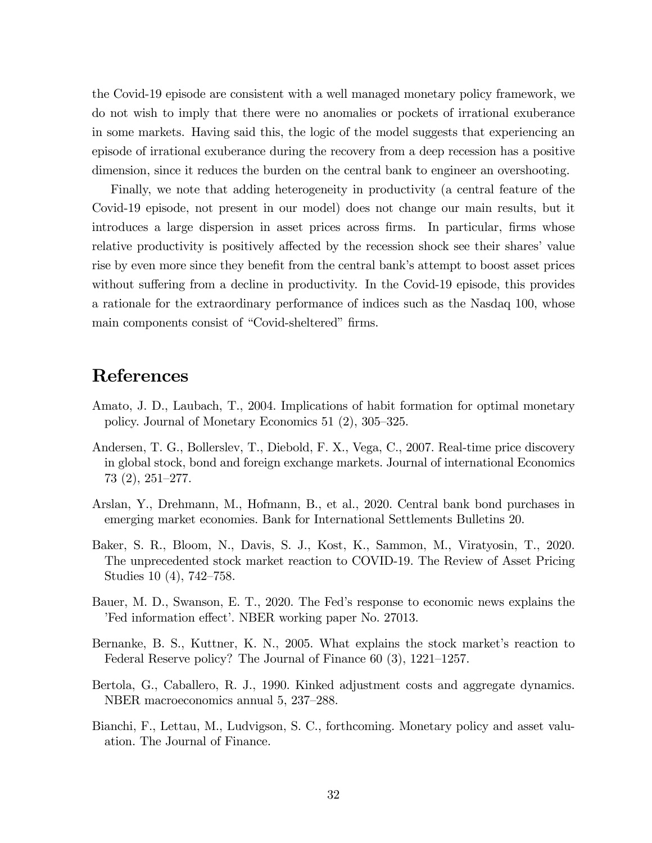the Covid-19 episode are consistent with a well managed monetary policy framework, we do not wish to imply that there were no anomalies or pockets of irrational exuberance in some markets. Having said this, the logic of the model suggests that experiencing an episode of irrational exuberance during the recovery from a deep recession has a positive dimension, since it reduces the burden on the central bank to engineer an overshooting.

Finally, we note that adding heterogeneity in productivity (a central feature of the Covid-19 episode, not present in our model) does not change our main results, but it introduces a large dispersion in asset prices across firms. In particular, firms whose relative productivity is positively affected by the recession shock see their shares' value rise by even more since they benefit from the central bank's attempt to boost asset prices without suffering from a decline in productivity. In the Covid-19 episode, this provides a rationale for the extraordinary performance of indices such as the Nasdaq 100, whose main components consist of "Covid-sheltered" firms.

# References

- <span id="page-32-1"></span>Amato, J. D., Laubach, T., 2004. Implications of habit formation for optimal monetary policy. Journal of Monetary Economics 51 $(2)$ , 305–325.
- <span id="page-32-0"></span>Andersen, T. G., Bollerslev, T., Diebold, F. X., Vega, C., 2007. Real-time price discovery in global stock, bond and foreign exchange markets. Journal of international Economics  $73$   $(2)$ ,  $251-277$ .
- <span id="page-32-3"></span>Arslan, Y., Drehmann, M., Hofmann, B., et al., 2020. Central bank bond purchases in emerging market economies. Bank for International Settlements Bulletins 20.
- <span id="page-32-6"></span>Baker, S. R., Bloom, N., Davis, S. J., Kost, K., Sammon, M., Viratyosin, T., 2020. The unprecedented stock market reaction to COVID-19. The Review of Asset Pricing Studies  $10(4)$ , 742–758.
- <span id="page-32-5"></span>Bauer, M. D., Swanson, E. T., 2020. The Fedís response to economic news explains the Fed information effect'. NBER working paper No. 27013.
- <span id="page-32-4"></span>Bernanke, B. S., Kuttner, K. N., 2005. What explains the stock market's reaction to Federal Reserve policy? The Journal of Finance  $60(3)$ , 1221–1257.
- <span id="page-32-2"></span>Bertola, G., Caballero, R. J., 1990. Kinked adjustment costs and aggregate dynamics. NBER macroeconomics annual 5, 237–288.
- <span id="page-32-7"></span>Bianchi, F., Lettau, M., Ludvigson, S. C., forthcoming. Monetary policy and asset valuation. The Journal of Finance.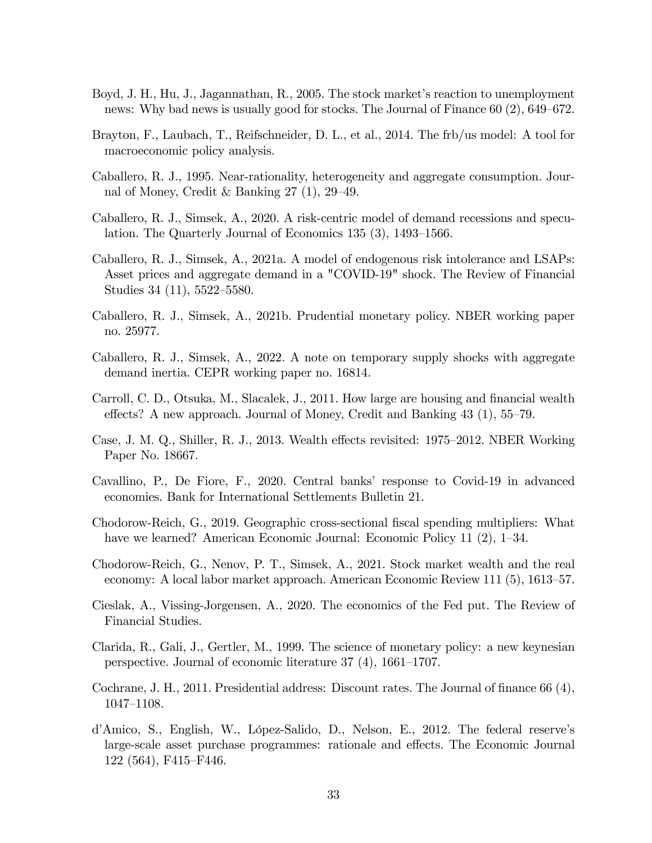- <span id="page-33-2"></span>Boyd, J. H., Hu, J., Jagannathan, R., 2005. The stock market's reaction to unemployment news: Why bad news is usually good for stocks. The Journal of Finance  $60(2)$ ,  $649-672$ .
- <span id="page-33-5"></span>Brayton, F., Laubach, T., Reifschneider, D. L., et al., 2014. The frb/us model: A tool for macroeconomic policy analysis.
- <span id="page-33-7"></span>Caballero, R. J., 1995. Near-rationality, heterogeneity and aggregate consumption. Journal of Money, Credit & Banking  $27(1)$ ,  $29-49$ .
- <span id="page-33-3"></span>Caballero, R. J., Simsek, A., 2020. A risk-centric model of demand recessions and speculation. The Quarterly Journal of Economics  $135(3)$ ,  $1493-1566$ .
- <span id="page-33-0"></span>Caballero, R. J., Simsek, A., 2021a. A model of endogenous risk intolerance and LSAPs: Asset prices and aggregate demand in a "COVID-19" shock. The Review of Financial Studies  $34$  (11),  $5522 - 5580$ .
- <span id="page-33-4"></span>Caballero, R. J., Simsek, A., 2021b. Prudential monetary policy. NBER working paper no. 25977.
- <span id="page-33-6"></span>Caballero, R. J., Simsek, A., 2022. A note on temporary supply shocks with aggregate demand inertia. CEPR working paper no. 16814.
- <span id="page-33-9"></span>Carroll, C. D., Otsuka, M., Slacalek, J., 2011. How large are housing and financial wealth effects? A new approach. Journal of Money, Credit and Banking  $43$  (1),  $55-79$ .
- <span id="page-33-10"></span>Case, J. M. Q., Shiller, R. J., 2013. Wealth effects revisited: 1975–2012. NBER Working Paper No. 18667.
- <span id="page-33-8"></span>Cavallino, P., De Fiore, F., 2020. Central banksí response to Covid-19 in advanced economies. Bank for International Settlements Bulletin 21.
- <span id="page-33-14"></span>Chodorow-Reich, G., 2019. Geographic cross-sectional fiscal spending multipliers: What have we learned? American Economic Journal: Economic Policy 11  $(2)$ , 1–34.
- <span id="page-33-1"></span>Chodorow-Reich, G., Nenov, P. T., Simsek, A., 2021. Stock market wealth and the real economy: A local labor market approach. American Economic Review 111 (5), 1613–57.
- <span id="page-33-11"></span>Cieslak, A., Vissing-Jorgensen, A., 2020. The economics of the Fed put. The Review of Financial Studies.
- Clarida, R., Gali, J., Gertler, M., 1999. The science of monetary policy: a new keynesian perspective. Journal of economic literature  $37(4)$ ,  $1661-1707$ .
- <span id="page-33-12"></span>Cochrane, J. H., 2011. Presidential address: Discount rates. The Journal of finance 66  $(4)$ , 1047-1108.
- <span id="page-33-13"></span>d'Amico, S., English, W., López-Salido, D., Nelson, E., 2012. The federal reserve's large-scale asset purchase programmes: rationale and effects. The Economic Journal  $122(564), F415–F446.$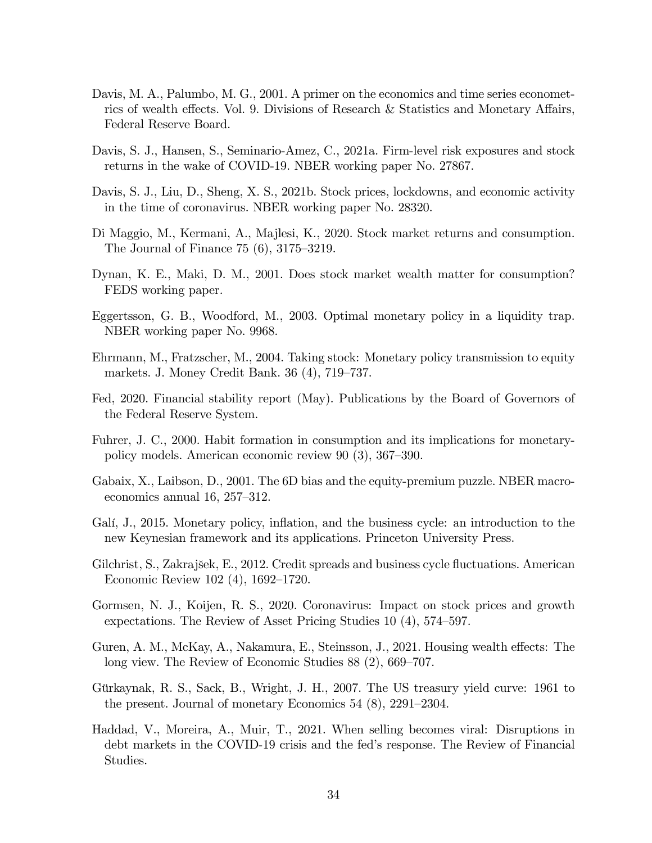- <span id="page-34-7"></span>Davis, M. A., Palumbo, M. G., 2001. A primer on the economics and time series econometrics of wealth effects. Vol. 9. Divisions of Research  $\&$  Statistics and Monetary Affairs, Federal Reserve Board.
- <span id="page-34-13"></span>Davis, S. J., Hansen, S., Seminario-Amez, C., 2021a. Firm-level risk exposures and stock returns in the wake of COVID-19. NBER working paper No. 27867.
- <span id="page-34-12"></span>Davis, S. J., Liu, D., Sheng, X. S., 2021b. Stock prices, lockdowns, and economic activity in the time of coronavirus. NBER working paper No. 28320.
- <span id="page-34-10"></span>Di Maggio, M., Kermani, A., Majlesi, K., 2020. Stock market returns and consumption. The Journal of Finance  $75(6)$ ,  $3175-3219$ .
- <span id="page-34-8"></span>Dynan, K. E., Maki, D. M., 2001. Does stock market wealth matter for consumption? FEDS working paper.
- <span id="page-34-14"></span>Eggertsson, G. B., Woodford, M., 2003. Optimal monetary policy in a liquidity trap. NBER working paper No. 9968.
- <span id="page-34-6"></span>Ehrmann, M., Fratzscher, M., 2004. Taking stock: Monetary policy transmission to equity markets. J. Money Credit Bank.  $36(4)$ ,  $719-737$ .
- <span id="page-34-4"></span>Fed, 2020. Financial stability report (May). Publications by the Board of Governors of the Federal Reserve System.
- <span id="page-34-1"></span>Fuhrer, J. C., 2000. Habit formation in consumption and its implications for monetarypolicy models. American economic review  $90(3)$ ,  $367-390$ .
- <span id="page-34-2"></span>Gabaix, X., Laibson, D., 2001. The 6D bias and the equity-premium puzzle. NBER macroeconomics annual 16,  $257-312$ .
- <span id="page-34-0"></span>Galí, J., 2015. Monetary policy, inflation, and the business cycle: an introduction to the new Keynesian framework and its applications. Princeton University Press.
- <span id="page-34-9"></span>Gilchrist, S., Zakrajšek, E., 2012. Credit spreads and business cycle fluctuations. American Economic Review 102  $(4)$ , 1692–1720.
- <span id="page-34-3"></span>Gormsen, N. J., Koijen, R. S., 2020. Coronavirus: Impact on stock prices and growth expectations. The Review of Asset Pricing Studies  $10(4)$ , 574–597.
- <span id="page-34-11"></span>Guren, A. M., McKay, A., Nakamura, E., Steinsson, J., 2021. Housing wealth effects: The long view. The Review of Economic Studies  $88(2)$ ,  $669-707$ .
- <span id="page-34-15"></span>Gürkaynak, R. S., Sack, B., Wright, J. H., 2007. The US treasury yield curve: 1961 to the present. Journal of monetary Economics  $54$   $(8)$ ,  $2291-2304$ .
- <span id="page-34-5"></span>Haddad, V., Moreira, A., Muir, T., 2021. When selling becomes viral: Disruptions in debt markets in the COVID-19 crisis and the fedís response. The Review of Financial Studies.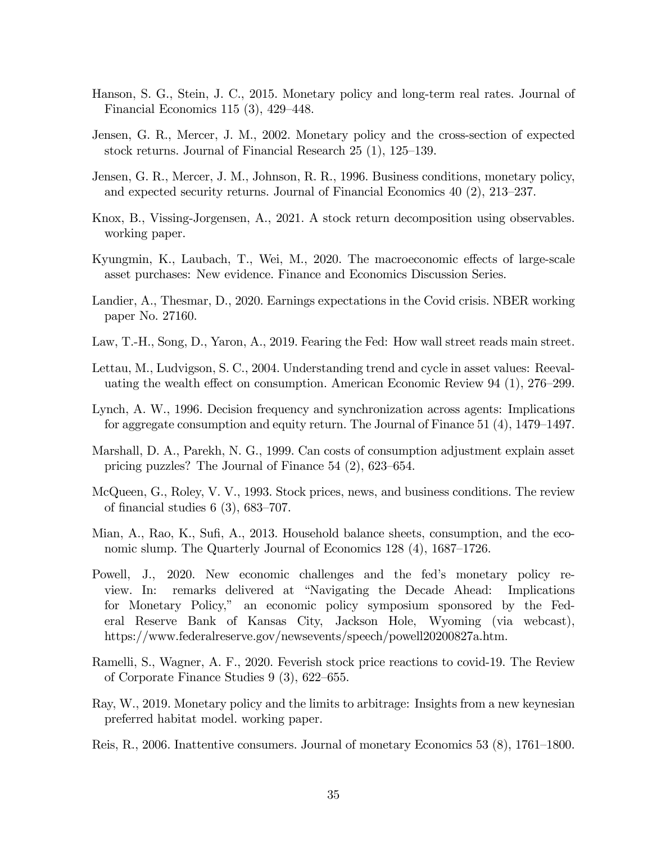- <span id="page-35-15"></span>Hanson, S. G., Stein, J. C., 2015. Monetary policy and long-term real rates. Journal of Financial Economics 115  $(3)$ , 429–448.
- <span id="page-35-8"></span>Jensen, G. R., Mercer, J. M., 2002. Monetary policy and the cross-section of expected stock returns. Journal of Financial Research  $25(1)$ ,  $125-139$ .
- <span id="page-35-7"></span>Jensen, G. R., Mercer, J. M., Johnson, R. R., 1996. Business conditions, monetary policy, and expected security returns. Journal of Financial Economics  $40$   $(2)$ ,  $213-237$ .
- <span id="page-35-0"></span>Knox, B., Vissing-Jorgensen, A., 2021. A stock return decomposition using observables. working paper.
- <span id="page-35-10"></span>Kyungmin, K., Laubach, T., Wei, M., 2020. The macroeconomic effects of large-scale asset purchases: New evidence. Finance and Economics Discussion Series.
- <span id="page-35-13"></span>Landier, A., Thesmar, D., 2020. Earnings expectations in the Covid crisis. NBER working paper No. 27160.
- <span id="page-35-3"></span>Law, T.-H., Song, D., Yaron, A., 2019. Fearing the Fed: How wall street reads main street.
- <span id="page-35-11"></span>Lettau, M., Ludvigson, S. C., 2004. Understanding trend and cycle in asset values: Reevaluating the wealth effect on consumption. American Economic Review 94  $(1)$ , 276–299.
- <span id="page-35-5"></span>Lynch, A. W., 1996. Decision frequency and synchronization across agents: Implications for aggregate consumption and equity return. The Journal of Finance  $51$  (4), 1479–1497.
- <span id="page-35-6"></span>Marshall, D. A., Parekh, N. G., 1999. Can costs of consumption adjustment explain asset pricing puzzles? The Journal of Finance  $54$  (2),  $623-654$ .
- <span id="page-35-2"></span>McQueen, G., Roley, V. V., 1993. Stock prices, news, and business conditions. The review of financial studies 6 (3),  $683-707$ .
- <span id="page-35-9"></span>Mian, A., Rao, K., Sufi, A., 2013. Household balance sheets, consumption, and the economic slump. The Quarterly Journal of Economics  $128(4)$ ,  $1687-1726$ .
- <span id="page-35-1"></span>Powell, J., 2020. New economic challenges and the fedís monetary policy review. In: remarks delivered at "Navigating the Decade Ahead: Implications for Monetary Policy," an economic policy symposium sponsored by the Federal Reserve Bank of Kansas City, Jackson Hole, Wyoming (via webcast), https://www.federalreserve.gov/newsevents/speech/powell20200827a.htm.
- <span id="page-35-12"></span>Ramelli, S., Wagner, A. F., 2020. Feverish stock price reactions to covid-19. The Review of Corporate Finance Studies  $9(3)$ , 622–655.
- <span id="page-35-14"></span>Ray, W., 2019. Monetary policy and the limits to arbitrage: Insights from a new keynesian preferred habitat model. working paper.
- <span id="page-35-4"></span>Reis, R., 2006. Inattentive consumers. Journal of monetary Economics 53  $(8)$ , 1761–1800.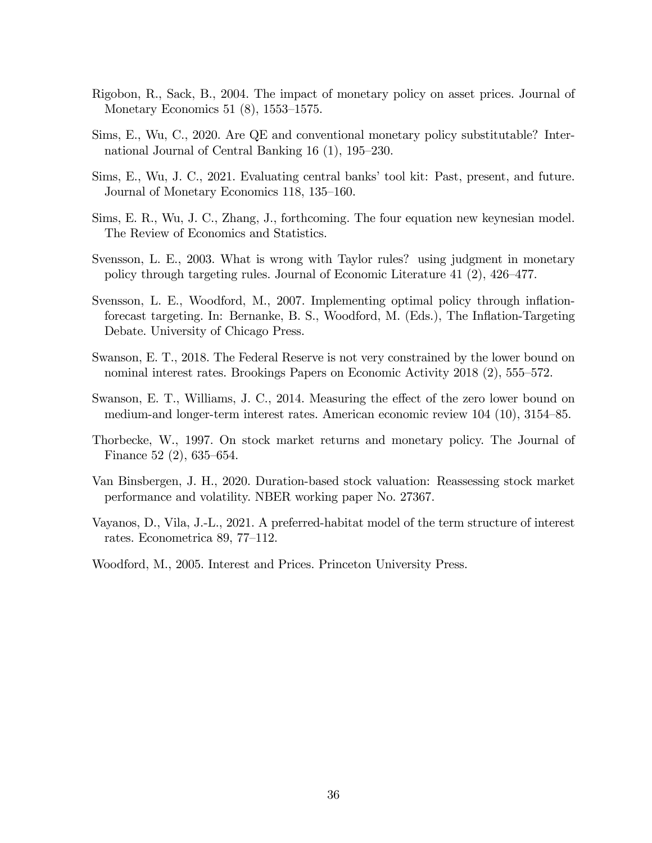- Rigobon, R., Sack, B., 2004. The impact of monetary policy on asset prices. Journal of Monetary Economics 51  $(8)$ , 1553–1575.
- Sims, E., Wu, C., 2020. Are QE and conventional monetary policy substitutable? International Journal of Central Banking  $16(1)$ ,  $195-230$ .
- Sims, E., Wu, J. C., 2021. Evaluating central banks' tool kit: Past, present, and future. Journal of Monetary Economics 118, 135–160.
- Sims, E. R., Wu, J. C., Zhang, J., forthcoming. The four equation new keynesian model. The Review of Economics and Statistics.
- Svensson, L. E., 2003. What is wrong with Taylor rules? using judgment in monetary policy through targeting rules. Journal of Economic Literature 41  $(2)$ , 426–477.
- Svensson, L. E., Woodford, M., 2007. Implementing optimal policy through inflationforecast targeting. In: Bernanke, B. S., Woodford, M. (Eds.), The Ináation-Targeting Debate. University of Chicago Press.
- Swanson, E. T., 2018. The Federal Reserve is not very constrained by the lower bound on nominal interest rates. Brookings Papers on Economic Activity  $2018(2)$ , 555–572.
- Swanson, E. T., Williams, J. C., 2014. Measuring the effect of the zero lower bound on medium-and longer-term interest rates. American economic review  $104$  (10),  $3154-85$ .
- Thorbecke, W., 1997. On stock market returns and monetary policy. The Journal of Finance 52 $(2)$ , 635–654.
- Van Binsbergen, J. H., 2020. Duration-based stock valuation: Reassessing stock market performance and volatility. NBER working paper No. 27367.
- Vayanos, D., Vila, J.-L., 2021. A preferred-habitat model of the term structure of interest rates. Econometrica 89, 77–112.
- Woodford, M., 2005. Interest and Prices. Princeton University Press.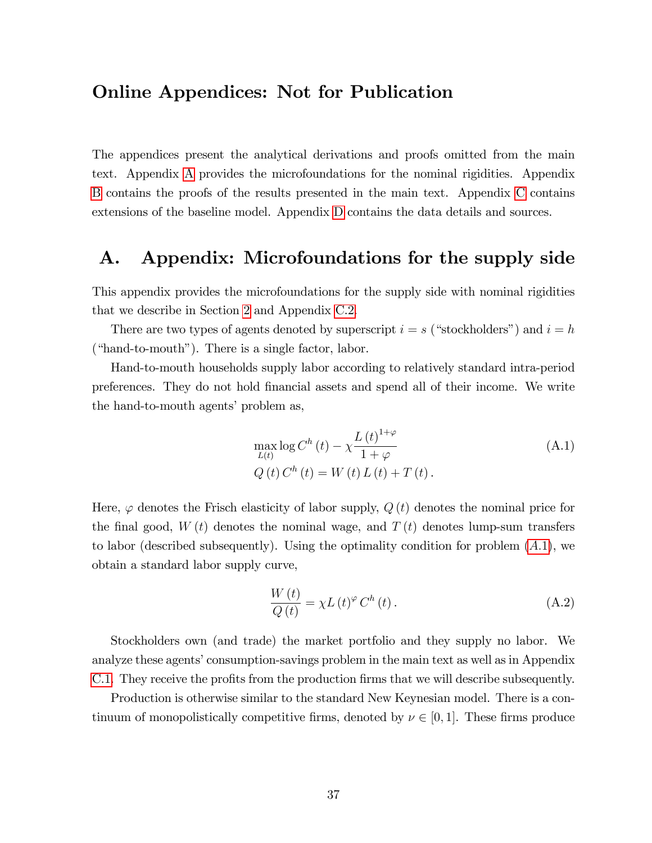### Online Appendices: Not for Publication

The appendices present the analytical derivations and proofs omitted from the main text. Appendix [A](#page-37-0) provides the microfoundations for the nominal rigidities. Appendix [B](#page-44-0) contains the proofs of the results presented in the main text. Appendix [C](#page-53-0) contains extensions of the baseline model. Appendix [D](#page-72-0) contains the data details and sources.

# <span id="page-37-0"></span>A. Appendix: Microfoundations for the supply side

This appendix provides the microfoundations for the supply side with nominal rigidities that we describe in Section [2](#page-6-0) and Appendix [C.2.](#page-60-0)

There are two types of agents denoted by superscript  $i = s$  ("stockholders") and  $i = h$  $("hand-to-month").$  There is a single factor, labor.

Hand-to-mouth households supply labor according to relatively standard intra-period preferences. They do not hold Önancial assets and spend all of their income. We write the hand-to-mouth agents' problem as,

<span id="page-37-1"></span>
$$
\max_{L(t)} \log C^{h}(t) - \chi \frac{L(t)^{1+\varphi}}{1+\varphi}
$$
\n(A.1)\n  
\n
$$
Q(t) C^{h}(t) = W(t) L(t) + T(t).
$$

Here,  $\varphi$  denotes the Frisch elasticity of labor supply,  $Q(t)$  denotes the nominal price for the final good,  $W(t)$  denotes the nominal wage, and  $T(t)$  denotes lump-sum transfers to labor (described subsequently). Using the optimality condition for problem  $(A.1)$ , we obtain a standard labor supply curve,

<span id="page-37-2"></span>
$$
\frac{W(t)}{Q(t)} = \chi L(t)^{\varphi} C^{h}(t).
$$
\n(A.2)

Stockholders own (and trade) the market portfolio and they supply no labor. We analyze these agents' consumption-savings problem in the main text as well as in Appendix [C.1.](#page-53-1) They receive the profits from the production firms that we will describe subsequently.

Production is otherwise similar to the standard New Keynesian model. There is a continuum of monopolistically competitive firms, denoted by  $\nu \in [0, 1]$ . These firms produce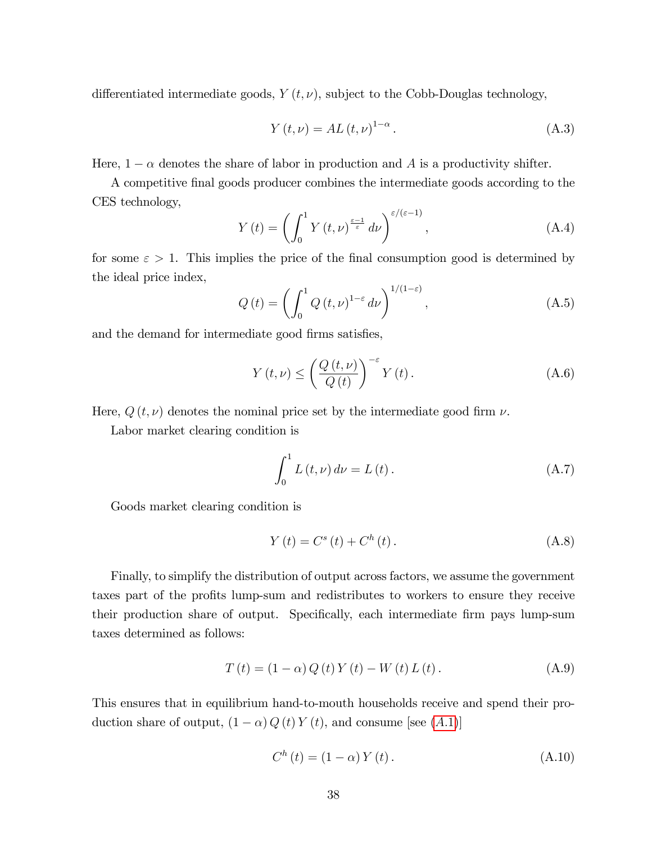differentiated intermediate goods,  $Y(t, \nu)$ , subject to the Cobb-Douglas technology,

<span id="page-38-4"></span>
$$
Y(t,\nu) = AL(t,\nu)^{1-\alpha}.
$$
 (A.3)

Here,  $1 - \alpha$  denotes the share of labor in production and A is a productivity shifter.

A competitive Önal goods producer combines the intermediate goods according to the CES technology,

<span id="page-38-3"></span>
$$
Y(t) = \left(\int_0^1 Y(t,\nu)^{\frac{\varepsilon-1}{\varepsilon}} d\nu\right)^{\varepsilon/(\varepsilon-1)},\tag{A.4}
$$

for some  $\varepsilon > 1$ . This implies the price of the final consumption good is determined by the ideal price index,

<span id="page-38-1"></span>
$$
Q\left(t\right) = \left(\int_0^1 Q\left(t,\nu\right)^{1-\varepsilon} d\nu\right)^{1/(1-\varepsilon)},\tag{A.5}
$$

and the demand for intermediate good firms satisfies,

$$
Y(t,\nu) \leq \left(\frac{Q(t,\nu)}{Q(t)}\right)^{-\varepsilon} Y(t). \tag{A.6}
$$

Here,  $Q(t, \nu)$  denotes the nominal price set by the intermediate good firm  $\nu$ .

Labor market clearing condition is

<span id="page-38-5"></span>
$$
\int_{0}^{1} L(t, \nu) d\nu = L(t).
$$
 (A.7)

Goods market clearing condition is

<span id="page-38-2"></span>
$$
Y(t) = C^{s}(t) + C^{h}(t).
$$
 (A.8)

Finally, to simplify the distribution of output across factors, we assume the government taxes part of the profits lump-sum and redistributes to workers to ensure they receive their production share of output. Specifically, each intermediate firm pays lump-sum taxes determined as follows:

$$
T(t) = (1 - \alpha) Q(t) Y(t) - W(t) L(t).
$$
 (A.9)

This ensures that in equilibrium hand-to-mouth households receive and spend their production share of output,  $(1 - \alpha) Q(t) Y(t)$ , and consume [see (A.1)]

<span id="page-38-0"></span>
$$
C^{h}(t) = (1 - \alpha) Y(t).
$$
 (A.10)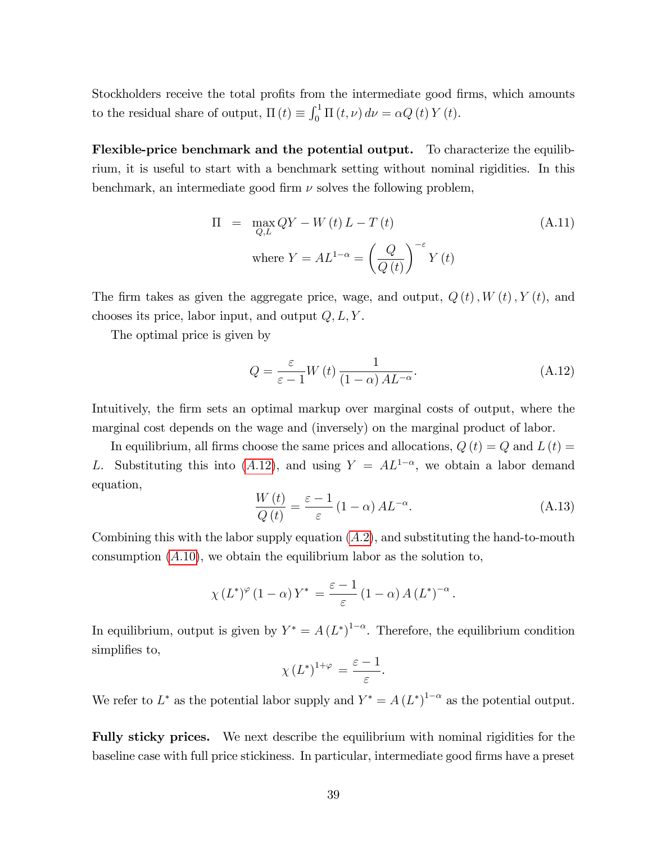Stockholders receive the total profits from the intermediate good firms, which amounts to the residual share of output,  $\Pi(t) \equiv \int_0^1 \Pi(t, \nu) d\nu = \alpha Q(t) Y(t)$ .

Flexible-price benchmark and the potential output. To characterize the equilibrium, it is useful to start with a benchmark setting without nominal rigidities. In this benchmark, an intermediate good firm  $\nu$  solves the following problem,

<span id="page-39-1"></span>
$$
\Pi = \max_{Q,L} QY - W(t) L - T(t)
$$
\n(A.11)

\nwhere  $Y = AL^{1-\alpha} = \left(\frac{Q}{Q(t)}\right)^{-\varepsilon} Y(t)$ 

The firm takes as given the aggregate price, wage, and output,  $Q(t)$ ,  $W(t)$ ,  $Y(t)$ , and chooses its price, labor input, and output  $Q, L, Y$ .

The optimal price is given by

<span id="page-39-0"></span>
$$
Q = \frac{\varepsilon}{\varepsilon - 1} W(t) \frac{1}{(1 - \alpha) A L^{-\alpha}}.
$$
 (A.12)

Intuitively, the firm sets an optimal markup over marginal costs of output, where the marginal cost depends on the wage and (inversely) on the marginal product of labor.

In equilibrium, all firms choose the same prices and allocations,  $Q(t) = Q$  and  $L(t) =$ L. Substituting this into (A.[12\)](#page-39-0), and using  $Y = AL^{1-\alpha}$ , we obtain a labor demand equation,

$$
\frac{W(t)}{Q(t)} = \frac{\varepsilon - 1}{\varepsilon} (1 - \alpha) A L^{-\alpha}.
$$
 (A.13)

Combining this with the labor supply equation  $(A.2)$ , and substituting the hand-to-mouth consumption  $(A.10)$  $(A.10)$ , we obtain the equilibrium labor as the solution to,

$$
\chi(L^*)^{\varphi}(1-\alpha) Y^* = \frac{\varepsilon - 1}{\varepsilon} (1-\alpha) A(L^*)^{-\alpha}.
$$

In equilibrium, output is given by  $Y^* = A(L^*)^{1-\alpha}$ . Therefore, the equilibrium condition simplifies to,

$$
\chi(L^*)^{1+\varphi} = \frac{\varepsilon - 1}{\varepsilon}.
$$

We refer to  $L^*$  as the potential labor supply and  $Y^* = A(L^*)^{1-\alpha}$  as the potential output.

Fully sticky prices. We next describe the equilibrium with nominal rigidities for the baseline case with full price stickiness. In particular, intermediate good firms have a preset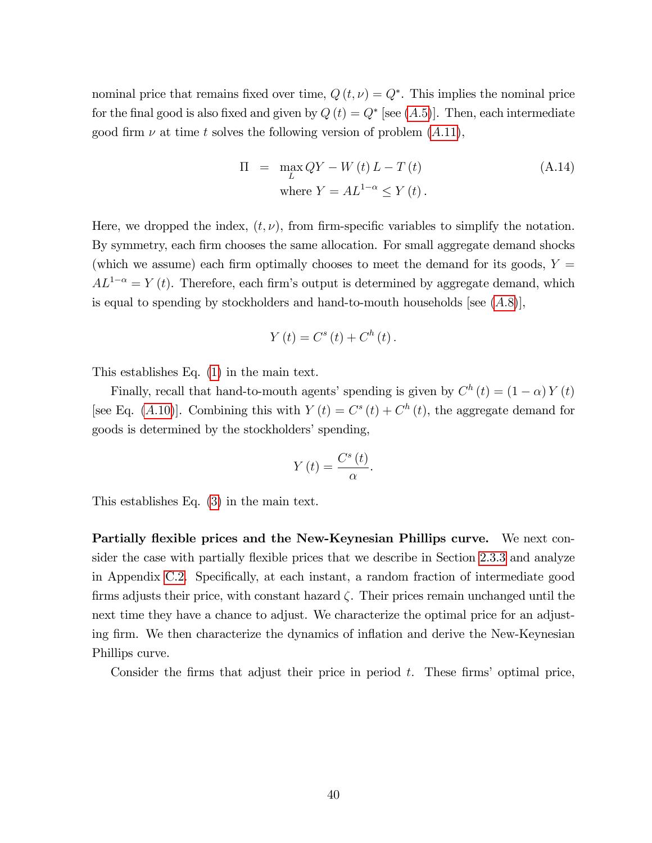nominal price that remains fixed over time,  $Q(t, \nu) = Q^*$ . This implies the nominal price for the final good is also fixed and given by  $Q(t) = Q^*$  [see  $(A.5)$ ]. Then, each intermediate good firm  $\nu$  at time t solves the following version of problem  $(A.11)$  $(A.11)$ ,

$$
\Pi = \max_{L} QY - W(t) L - T(t)
$$
\nwhere  $Y = AL^{1-\alpha} \le Y(t)$ . (A.14)

Here, we dropped the index,  $(t, \nu)$ , from firm-specific variables to simplify the notation. By symmetry, each firm chooses the same allocation. For small aggregate demand shocks (which we assume) each firm optimally chooses to meet the demand for its goods,  $Y =$  $AL^{1-\alpha} = Y(t)$ . Therefore, each firm's output is determined by aggregate demand, which is equal to spending by stockholders and hand-to-mouth households [see  $(A.8)$ ],

$$
Y(t) = C^{s}(t) + C^{h}(t).
$$

This establishes Eq. [\(1\)](#page-7-0) in the main text.

Finally, recall that hand-to-mouth agents' spending is given by  $C^h(t) = (1 - \alpha) Y(t)$ [see Eq. (A.[10\)](#page-38-0)]. Combining this with  $Y(t) = C^{s}(t) + C^{h}(t)$ , the aggregate demand for goods is determined by the stockholders' spending,

$$
Y(t) = \frac{C^s(t)}{\alpha}.
$$

This establishes Eq. [\(3\)](#page-8-0) in the main text.

Partially flexible prices and the New-Keynesian Phillips curve. We next con-sider the case with partially flexible prices that we describe in Section [2.3.3](#page-16-0) and analyze in Appendix [C.2.](#page-60-0) Specifically, at each instant, a random fraction of intermediate good firms adjusts their price, with constant hazard  $\zeta$ . Their prices remain unchanged until the next time they have a chance to adjust. We characterize the optimal price for an adjusting firm. We then characterize the dynamics of inflation and derive the New-Keynesian Phillips curve.

Consider the firms that adjust their price in period  $t$ . These firms' optimal price,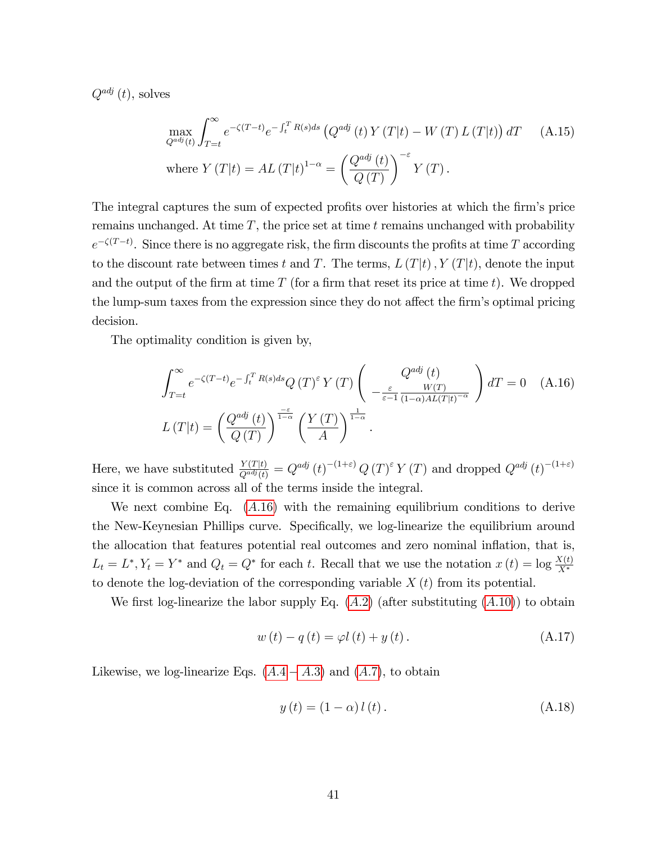$Q^{adj}(t)$ , solves

$$
\max_{Q^{adj}(t)} \int_{T=t}^{\infty} e^{-\zeta(T-t)} e^{-\int_{t}^{T} R(s)ds} \left( Q^{adj}(t) Y(T|t) - W(T) L(T|t) \right) dT \quad (A.15)
$$
\n
$$
\text{where } Y(T|t) = AL(T|t)^{1-\alpha} = \left( \frac{Q^{adj}(t)}{Q(T)} \right)^{-\varepsilon} Y(T).
$$

The integral captures the sum of expected profits over histories at which the firm's price remains unchanged. At time  $T$ , the price set at time  $t$  remains unchanged with probability  $e^{-\zeta(T-t)}$ . Since there is no aggregate risk, the firm discounts the profits at time T according to the discount rate between times t and T. The terms,  $L(T|t)$ ,  $Y(T|t)$ , denote the input and the output of the firm at time  $T$  (for a firm that reset its price at time t). We dropped the lump-sum taxes from the expression since they do not affect the firm's optimal pricing decision.

The optimality condition is given by,

<span id="page-41-0"></span>
$$
\int_{T=t}^{\infty} e^{-\zeta(T-t)} e^{-\int_{t}^{T} R(s)ds} Q(T)^{\epsilon} Y(T) \left( \frac{Q^{adj}(t)}{-\frac{\varepsilon}{\varepsilon - 1} \frac{W(T)}{(1 - \alpha)AL(T|t)^{-\alpha}}} \right) dT = 0 \quad \text{(A.16)}
$$
  

$$
L(T|t) = \left( \frac{Q^{adj}(t)}{Q(T)} \right)^{\frac{-\varepsilon}{1 - \alpha}} \left( \frac{Y(T)}{A} \right)^{\frac{1}{1 - \alpha}}.
$$

Here, we have substituted  $\frac{Y(T|t)}{Q^{adj}(t)} = Q^{adj}(t)^{-(1+\varepsilon)} Q(T)^{\varepsilon} Y(T)$  and dropped  $Q^{adj}(t)^{-(1+\varepsilon)}$ since it is common across all of the terms inside the integral.

We next combine Eq.  $(A.16)$  $(A.16)$  with the remaining equilibrium conditions to derive the New-Keynesian Phillips curve. Specifically, we log-linearize the equilibrium around the allocation that features potential real outcomes and zero nominal inflation, that is,  $L_t = L^*, Y_t = Y^*$  and  $Q_t = Q^*$  for each t. Recall that we use the notation  $x(t) = \log \frac{X(t)}{X^*}$ to denote the log-deviation of the corresponding variable  $X(t)$  from its potential.

We first log-linearize the labor supply Eq.  $(A.2)$  (after substituting  $(A.10)$  $(A.10)$ ) to obtain

<span id="page-41-1"></span>
$$
w(t) - q(t) = \varphi l(t) + y(t).
$$
 (A.17)

Likewise, we log-linearize Eqs.  $(A.4 - A.3)$  and  $(A.7)$ , to obtain

$$
y(t) = (1 - \alpha) l(t). \tag{A.18}
$$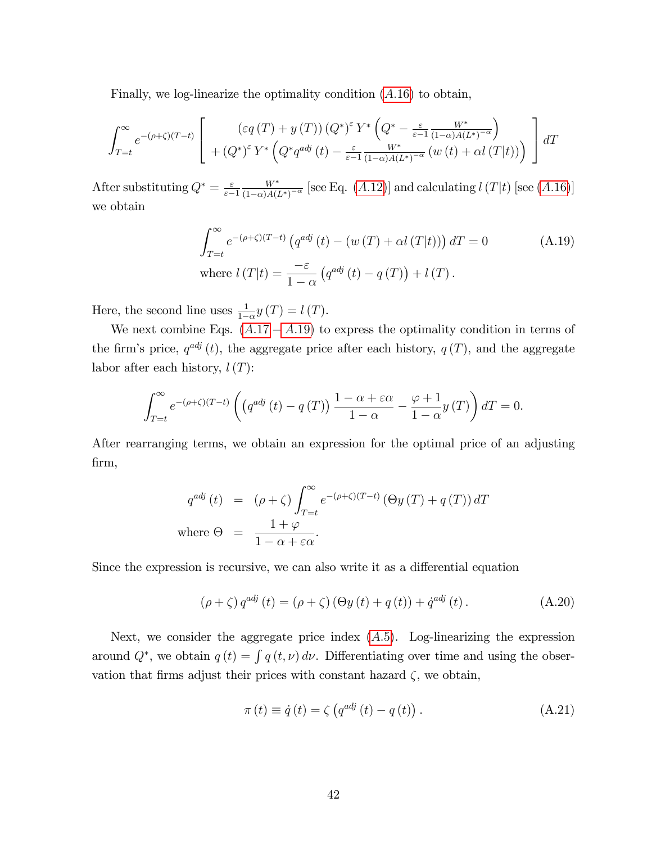Finally, we log-linearize the optimality condition  $(A.16)$  $(A.16)$  to obtain,

$$
\int_{T=t}^{\infty} e^{-(\rho+\zeta)(T-t)} \left[ \begin{array}{c} \left(\varepsilon q\left(T\right)+y\left(T\right)\right)\left(Q^*\right)^{\varepsilon} Y^*\left(Q^*-\frac{\varepsilon}{\varepsilon-1}\frac{W^*}{\left(1-\alpha\right)A\left(L^*\right)^{-\alpha}}\right) \\ +\left(Q^*\right)^{\varepsilon} Y^*\left(Q^*q^{adj}\left(t\right)-\frac{\varepsilon}{\varepsilon-1}\frac{W^*}{\left(1-\alpha\right)A\left(L^*\right)^{-\alpha}}\left(w\left(t\right)+\alpha l\left(T\right|t\right)\right) \end{array}\right] dT
$$

After substituting  $Q^* = \frac{\varepsilon}{\varepsilon}$  $\varepsilon$ -1  $W^*$  $\frac{W^*}{(1-\alpha)A(L^*)^{-\alpha}}$  [see Eq.  $(A.12)$  $(A.12)$ ] and calculating  $l(T|t)$  [see  $(A.16)$  $(A.16)$ ] we obtain

<span id="page-42-0"></span>
$$
\int_{T=t}^{\infty} e^{-(\rho+\zeta)(T-t)} \left( q^{adj}(t) - \left( w(T) + \alpha l(T|t) \right) \right) dT = 0
$$
\nwhere  $l(T|t) = \frac{-\varepsilon}{1-\alpha} \left( q^{adj}(t) - q(T) \right) + l(T).$ 

\n(A.19)

Here, the second line uses  $\frac{1}{1-\alpha}y(T) = l(T)$ .

We next combine Eqs.  $(A.17 - A.19)$  $(A.17 - A.19)$  to express the optimality condition in terms of the firm's price,  $q^{adj}(t)$ , the aggregate price after each history,  $q(T)$ , and the aggregate labor after each history,  $l(T)$ :

$$
\int_{T=t}^{\infty} e^{-(\rho+\zeta)(T-t)} \left( \left( q^{adj} \left( t \right) - q \left( T \right) \right) \frac{1-\alpha+\varepsilon\alpha}{1-\alpha} - \frac{\varphi+1}{1-\alpha} y \left( T \right) \right) dT = 0.
$$

After rearranging terms, we obtain an expression for the optimal price of an adjusting Örm,

$$
q^{adj}(t) = (\rho + \zeta) \int_{T=t}^{\infty} e^{-(\rho + \zeta)(T-t)} (\Theta y(T) + q(T)) dT
$$
  
where  $\Theta = \frac{1 + \varphi}{1 - \alpha + \varepsilon \alpha}$ .

Since the expression is recursive, we can also write it as a differential equation

<span id="page-42-2"></span>
$$
(\rho + \zeta) q^{adj} (t) = (\rho + \zeta) (\Theta y (t) + q (t)) + \dot{q}^{adj} (t).
$$
 (A.20)

Next, we consider the aggregate price index  $(A.5)$ . Log-linearizing the expression around  $Q^*$ , we obtain  $q(t) = \int q(t, \nu) d\nu$ . Differentiating over time and using the observation that firms adjust their prices with constant hazard  $\zeta$ , we obtain,

<span id="page-42-1"></span>
$$
\pi(t) \equiv \dot{q}(t) = \zeta \left( q^{adj}(t) - q(t) \right). \tag{A.21}
$$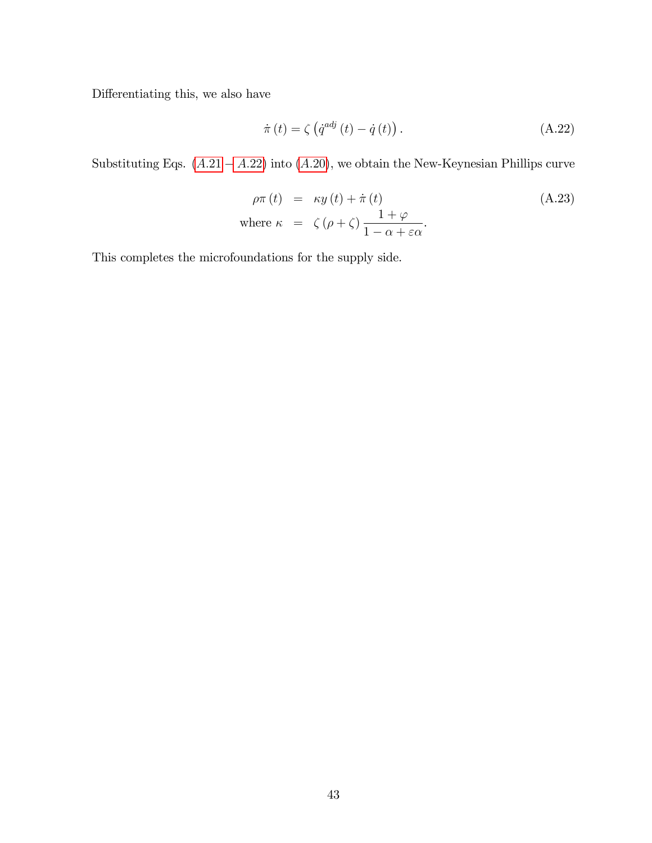Differentiating this, we also have

<span id="page-43-0"></span>
$$
\dot{\pi}(t) = \zeta \left( \dot{q}^{adj} \left( t \right) - \dot{q} \left( t \right) \right). \tag{A.22}
$$

Substituting Eqs.  $(A.21 - A.22)$  $(A.21 - A.22)$  into  $(A.20)$  $(A.20)$ , we obtain the New-Keynesian Phillips curve

$$
\rho \pi(t) = \kappa y(t) + \dot{\pi}(t)
$$
\nwhere  $\kappa = \zeta(\rho + \zeta) \frac{1 + \varphi}{1 - \alpha + \varepsilon \alpha}$ .

\n(A.23)

This completes the microfoundations for the supply side.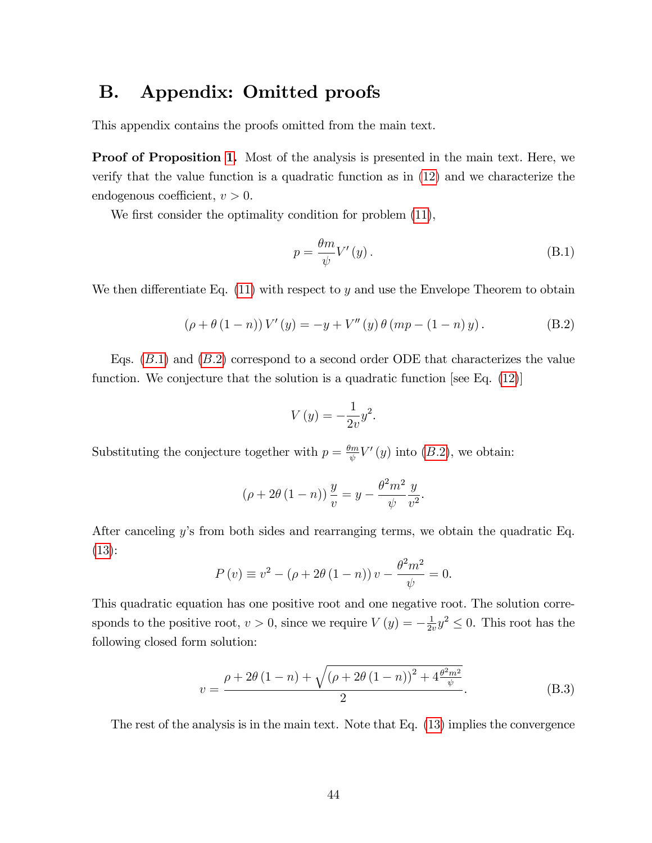## <span id="page-44-0"></span>B. Appendix: Omitted proofs

This appendix contains the proofs omitted from the main text.

Proof of Proposition [1.](#page-13-0) Most of the analysis is presented in the main text. Here, we verify that the value function is a quadratic function as in [\(12\)](#page-12-0) and we characterize the endogenous coefficient,  $v > 0$ .

We first consider the optimality condition for problem  $(11)$ ,

<span id="page-44-1"></span>
$$
p = \frac{\theta m}{\psi} V'(y). \tag{B.1}
$$

We then differentiate Eq.  $(11)$  with respect to y and use the Envelope Theorem to obtain

<span id="page-44-2"></span>
$$
(\rho + \theta (1 - n)) V'(y) = -y + V''(y) \theta (mp - (1 - n)y).
$$
 (B.2)

Eqs.  $(B.1)$  and  $(B.2)$  correspond to a second order ODE that characterizes the value function. We conjecture that the solution is a quadratic function [see Eq.  $(12)$ ]

$$
V(y) = -\frac{1}{2v}y^2.
$$

Substituting the conjecture together with  $p = \frac{\theta m}{\phi}$  $\frac{\partial^m w}{\partial y}V'(y)$  into  $(B.2)$ , we obtain:

$$
(\rho + 2\theta (1 - n)) \frac{y}{v} = y - \frac{\theta^2 m^2}{\psi} \frac{y}{v^2}.
$$

After canceling y's from both sides and rearranging terms, we obtain the quadratic Eq. [\(13\)](#page-12-0):

$$
P(v) \equiv v^{2} - (\rho + 2\theta (1 - n)) v - \frac{\theta^{2} m^{2}}{\psi} = 0.
$$

This quadratic equation has one positive root and one negative root. The solution corresponds to the positive root,  $v > 0$ , since we require  $V(y) = -\frac{1}{2v}$  $\frac{1}{2v}y^2 \leq 0$ . This root has the following closed form solution:

<span id="page-44-3"></span>
$$
v = \frac{\rho + 2\theta (1 - n) + \sqrt{(\rho + 2\theta (1 - n))^{2} + 4\frac{\theta^{2} m^{2}}{\psi}}}{2}.
$$
 (B.3)

The rest of the analysis is in the main text. Note that Eq. [\(13\)](#page-12-0) implies the convergence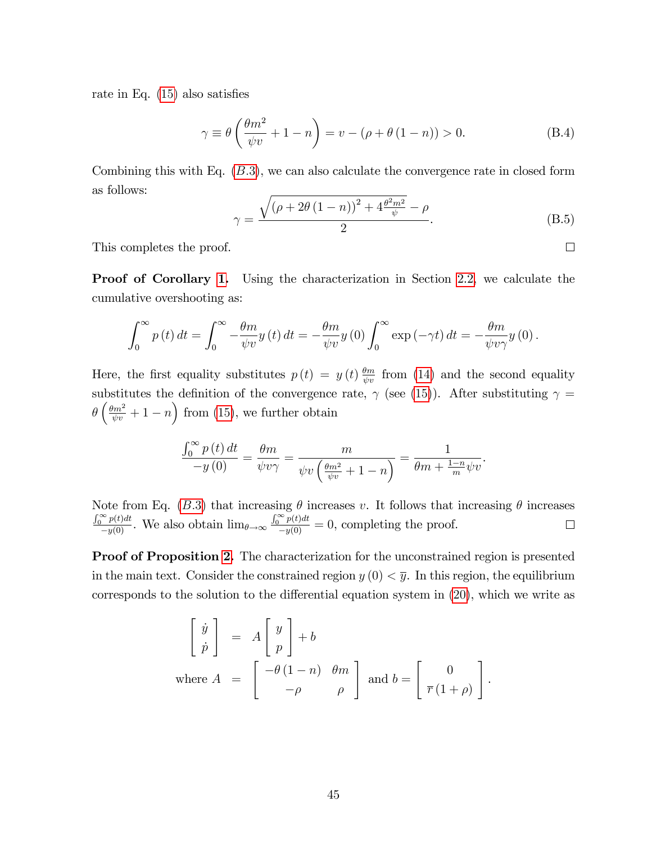rate in Eq.  $(15)$  also satisfies

<span id="page-45-1"></span>
$$
\gamma \equiv \theta \left( \frac{\theta m^2}{\psi v} + 1 - n \right) = v - (\rho + \theta (1 - n)) > 0. \tag{B.4}
$$

Combining this with Eq.  $(B.3)$ , we can also calculate the convergence rate in closed form as follows:

<span id="page-45-0"></span>
$$
\gamma = \frac{\sqrt{\left(\rho + 2\theta \left(1 - n\right)\right)^2 + 4\frac{\theta^2 m^2}{\psi}} - \rho}{2}.
$$
\n(B.5)

This completes the proof.

**Proof of Corollary [1.](#page-14-0)** Using the characterization in Section [2.2,](#page-12-2) we calculate the cumulative overshooting as:

$$
\int_0^\infty p(t) dt = \int_0^\infty -\frac{\theta m}{\psi v} y(t) dt = -\frac{\theta m}{\psi v} y(0) \int_0^\infty \exp(-\gamma t) dt = -\frac{\theta m}{\psi v \gamma} y(0).
$$

Here, the first equality substitutes  $p(t) = y(t) \frac{\theta_m}{\psi v}$  from [\(14\)](#page-13-2) and the second equality substitutes the definition of the convergence rate,  $\gamma$  (see [\(15\)](#page-13-1)). After substituting  $\gamma =$  $\theta\left(\frac{\theta m^2}{\psi v} + 1 - n\right)$  from [\(15\)](#page-13-1), we further obtain

$$
\frac{\int_0^\infty p(t) dt}{-y(0)} = \frac{\theta m}{\psi v \gamma} = \frac{m}{\psi v \left(\frac{\theta m^2}{\psi v} + 1 - n\right)} = \frac{1}{\theta m + \frac{1 - n}{m} \psi v}.
$$

Note from Eq. (B.3) that increasing  $\theta$  increases v. It follows that increasing  $\theta$  increases  $\frac{\int_0^\infty p(t)dt}{-y(0)}$ . We also obtain  $\lim_{\theta \to \infty} \frac{\int_0^\infty p(t)dt}{-y(0)} = 0$ , completing the proof.  $\Box$ 

**Proof of Proposition [2.](#page-19-0)** The characterization for the unconstrained region is presented in the main text. Consider the constrained region  $y(0) < \overline{y}$ . In this region, the equilibrium corresponds to the solution to the differential equation system in  $(20)$ , which we write as

$$
\begin{bmatrix} \dot{y} \\ \dot{p} \end{bmatrix} = A \begin{bmatrix} y \\ p \end{bmatrix} + b
$$
  
where  $A = \begin{bmatrix} -\theta(1-n) & \theta m \\ -\rho & \rho \end{bmatrix}$  and  $b = \begin{bmatrix} 0 \\ \overline{r}(1+\rho) \end{bmatrix}$ .

 $\Box$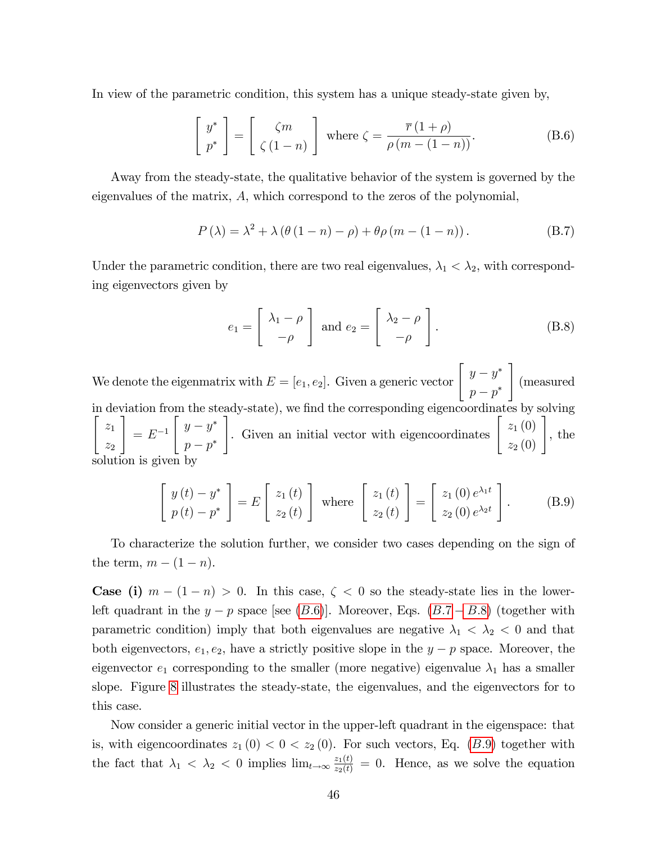In view of the parametric condition, this system has a unique steady-state given by,

<span id="page-46-0"></span>
$$
\begin{bmatrix} y^* \\ p^* \end{bmatrix} = \begin{bmatrix} \zeta m \\ \zeta (1 - n) \end{bmatrix} \text{ where } \zeta = \frac{\overline{r} (1 + \rho)}{\rho (m - (1 - n))}. \tag{B.6}
$$

Away from the steady-state, the qualitative behavior of the system is governed by the eigenvalues of the matrix, A, which correspond to the zeros of the polynomial,

<span id="page-46-1"></span>
$$
P(\lambda) = \lambda^2 + \lambda \left( \theta \left( 1 - n \right) - \rho \right) + \theta \rho \left( m - (1 - n) \right). \tag{B.7}
$$

Under the parametric condition, there are two real eigenvalues,  $\lambda_1 < \lambda_2$ , with corresponding eigenvectors given by

<span id="page-46-2"></span>
$$
e_1 = \begin{bmatrix} \lambda_1 - \rho \\ -\rho \end{bmatrix} \text{ and } e_2 = \begin{bmatrix} \lambda_2 - \rho \\ -\rho \end{bmatrix}.
$$
 (B.8)

We denote the eigenmatrix with  $E = [e_1, e_2]$ . Given a generic vector  $\begin{bmatrix} y - y^* \\ y - y^* \end{bmatrix}$  $p - p^*$ 1 (measured in deviation from the steady-state), we find the corresponding eigencoordinates by solving  $\left[\begin{array}{c} z_1 \end{array}\right]$  $z_2$ 1  $= E^{-1}$  $\int y - y^*$  $p - p^*$ Given an initial vector with eigencoordinates  $\begin{bmatrix} z_1(0) \\ z_2(0) \end{bmatrix}$ , the solution is given by

<span id="page-46-3"></span>
$$
\begin{bmatrix} y(t) - y^* \\ p(t) - p^* \end{bmatrix} = E \begin{bmatrix} z_1(t) \\ z_2(t) \end{bmatrix} \text{ where } \begin{bmatrix} z_1(t) \\ z_2(t) \end{bmatrix} = \begin{bmatrix} z_1(0) e^{\lambda_1 t} \\ z_2(0) e^{\lambda_2 t} \end{bmatrix}.
$$
 (B.9)

To characterize the solution further, we consider two cases depending on the sign of the term,  $m - (1 - n)$ .

**Case (i)**  $m - (1 - n) > 0$ . In this case,  $\zeta < 0$  so the steady-state lies in the lowerleft quadrant in the  $y - p$  space [see (B.6)]. Moreover, Eqs. (B.7 – B.8) (together with parametric condition) imply that both eigenvalues are negative  $\lambda_1 < \lambda_2 < 0$  and that both eigenvectors,  $e_1, e_2$ , have a strictly positive slope in the  $y - p$  space. Moreover, the eigenvector  $e_1$  corresponding to the smaller (more negative) eigenvalue  $\lambda_1$  has a smaller slope. Figure [8](#page-47-0) illustrates the steady-state, the eigenvalues, and the eigenvectors for to this case.

Now consider a generic initial vector in the upper-left quadrant in the eigenspace: that is, with eigencoordinates  $z_1(0) < 0 < z_2(0)$ . For such vectors, Eq. (B.9) together with the fact that  $\lambda_1 < \lambda_2 < 0$  implies  $\lim_{t\to\infty} \frac{z_1(t)}{z_2(t)} = 0$ . Hence, as we solve the equation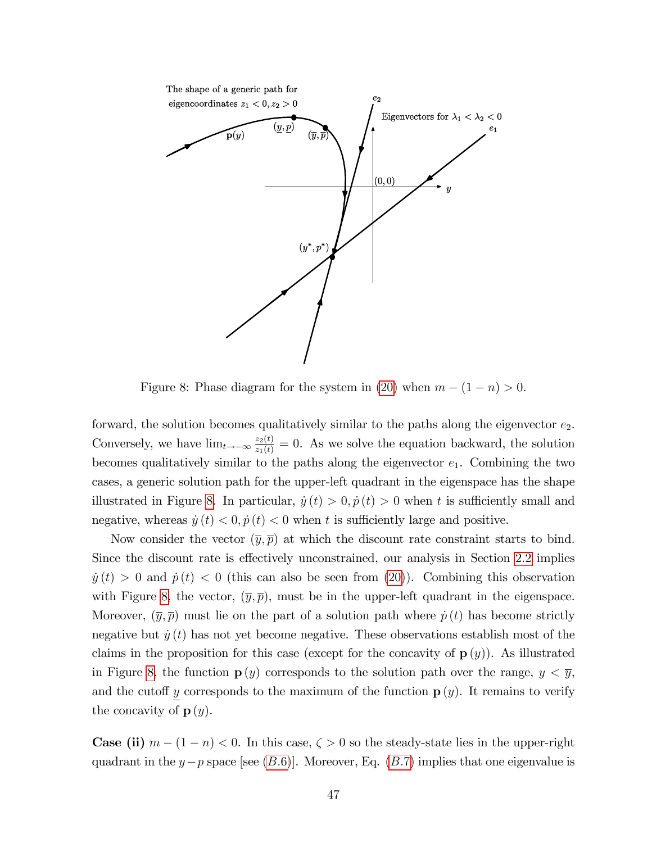

<span id="page-47-0"></span>Figure 8: Phase diagram for the system in [\(20\)](#page-19-1) when  $m - (1 - n) > 0$ .

forward, the solution becomes qualitatively similar to the paths along the eigenvector  $e_2$ . Conversely, we have  $\lim_{t\to-\infty}\frac{z_2(t)}{z_1(t)}=0$ . As we solve the equation backward, the solution becomes qualitatively similar to the paths along the eigenvector  $e_1$ . Combining the two cases, a generic solution path for the upper-left quadrant in the eigenspace has the shape illustrated in Figure [8.](#page-47-0) In particular,  $\dot{y} (t) > 0$ ,  $\dot{p} (t) > 0$  when t is sufficiently small and negative, whereas  $\dot{y}(t) < 0, \dot{p}(t) < 0$  when t is sufficiently large and positive.

Now consider the vector  $(\overline{y}, \overline{p})$  at which the discount rate constraint starts to bind. Since the discount rate is effectively unconstrained, our analysis in Section [2.2](#page-12-2) implies  $y(t) > 0$  and  $p(t) < 0$  (this can also be seen from [\(20\)](#page-19-1)). Combining this observation with Figure [8,](#page-47-0) the vector,  $(\bar{y}, \bar{p})$ , must be in the upper-left quadrant in the eigenspace. Moreover,  $(\overline{y}, \overline{p})$  must lie on the part of a solution path where  $\dot{p}(t)$  has become strictly negative but  $\dot{y}(t)$  has not yet become negative. These observations establish most of the claims in the proposition for this case (except for the concavity of  $\mathbf{p}(y)$ ). As illustrated in Figure [8,](#page-47-0) the function  $p(y)$  corresponds to the solution path over the range,  $y < \overline{y}$ , and the cutoff y corresponds to the maximum of the function  $p(y)$ . It remains to verify the concavity of  $p(y)$ .

**Case (ii)**  $m - (1 - n) < 0$ . In this case,  $\zeta > 0$  so the steady-state lies in the upper-right quadrant in the  $y-p$  space [see (B.6)]. Moreover, Eq. (B.7) implies that one eigenvalue is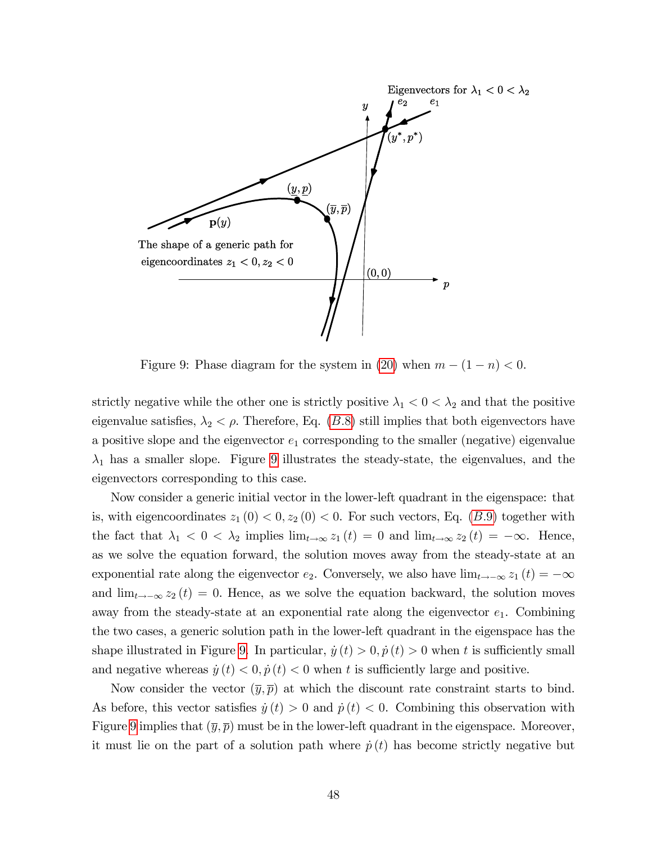

<span id="page-48-0"></span>Figure 9: Phase diagram for the system in [\(20\)](#page-19-1) when  $m - (1 - n) < 0$ .

strictly negative while the other one is strictly positive  $\lambda_1 < 0 < \lambda_2$  and that the positive eigenvalue satisfies,  $\lambda_2 < \rho$ . Therefore, Eq. (B.8) still implies that both eigenvectors have a positive slope and the eigenvector  $e_1$  corresponding to the smaller (negative) eigenvalue  $\lambda_1$  has a smaller slope. Figure [9](#page-48-0) illustrates the steady-state, the eigenvalues, and the eigenvectors corresponding to this case.

Now consider a generic initial vector in the lower-left quadrant in the eigenspace: that is, with eigencoordinates  $z_1(0) < 0$ ,  $z_2(0) < 0$ . For such vectors, Eq. (B.9) together with the fact that  $\lambda_1 < 0 < \lambda_2$  implies  $\lim_{t \to \infty} z_1(t) = 0$  and  $\lim_{t \to \infty} z_2(t) = -\infty$ . Hence, as we solve the equation forward, the solution moves away from the steady-state at an exponential rate along the eigenvector  $e_2$ . Conversely, we also have  $\lim_{t\to-\infty} z_1(t) = -\infty$ and  $\lim_{t\to\infty} z_2 (t) = 0$ . Hence, as we solve the equation backward, the solution moves away from the steady-state at an exponential rate along the eigenvector  $e_1$ . Combining the two cases, a generic solution path in the lower-left quadrant in the eigenspace has the shape illustrated in Figure [9.](#page-48-0) In particular,  $\dot{y} (t) > 0$ ,  $\dot{p} (t) > 0$  when t is sufficiently small and negative whereas  $\dot{y} (t) < 0$ ,  $\dot{p} (t) < 0$  when t is sufficiently large and positive.

Now consider the vector  $(\overline{y}, \overline{p})$  at which the discount rate constraint starts to bind. As before, this vector satisfies  $\dot{y}(t) > 0$  and  $\dot{p}(t) < 0$ . Combining this observation with Figure [9](#page-48-0) implies that  $(\overline{y}, \overline{p})$  must be in the lower-left quadrant in the eigenspace. Moreover, it must lie on the part of a solution path where  $\dot{p}(t)$  has become strictly negative but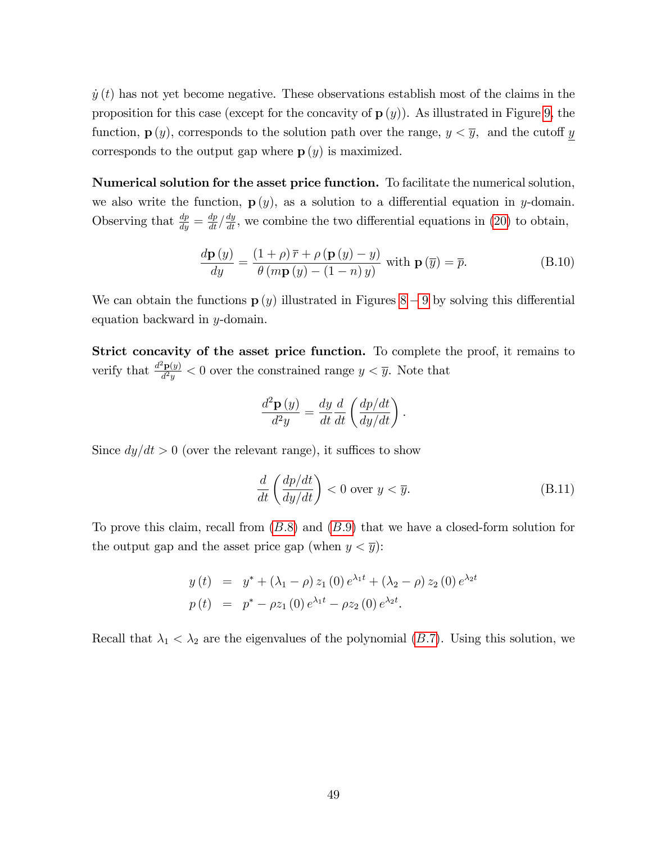$\dot{y}(t)$  has not yet become negative. These observations establish most of the claims in the proposition for this case (except for the concavity of  $p(y)$ ). As illustrated in Figure [9,](#page-48-0) the function,  $\mathbf{p}(y)$ , corresponds to the solution path over the range,  $y < \overline{y}$ , and the cutoff y corresponds to the output gap where  $p(y)$  is maximized.

Numerical solution for the asset price function. To facilitate the numerical solution, we also write the function,  $p(y)$ , as a solution to a differential equation in y-domain. Observing that  $\frac{dp}{dy} = \frac{dp}{dt} \left/ \frac{dy}{dt} \right$ , we combine the two differential equations in [\(20\)](#page-19-1) to obtain,

$$
\frac{d\mathbf{p}(y)}{dy} = \frac{(1+\rho)\,\overline{r} + \rho\left(\mathbf{p}(y) - y\right)}{\theta\left(m\mathbf{p}(y) - (1-n)\,y\right)}\text{ with } \mathbf{p}\left(\overline{y}\right) = \overline{p}.\tag{B.10}
$$

We can obtain the functions  $p(y)$  illustrated in Figures [8](#page-47-0) – [9](#page-48-0) by solving this differential equation backward in  $y$ -domain.

Strict concavity of the asset price function. To complete the proof, it remains to verify that  $\frac{d^2 \mathbf{p}(y)}{d^2 y}$  $\frac{\mathbf{P}(y)}{d^2y} < 0$  over the constrained range  $y < \overline{y}$ . Note that

$$
\frac{d^2\mathbf{p}\left(y\right)}{d^2y} = \frac{dy}{dt}\frac{d}{dt}\left(\frac{dp/dt}{dy/dt}\right).
$$

Since  $dy/dt > 0$  (over the relevant range), it suffices to show

<span id="page-49-0"></span>
$$
\frac{d}{dt}\left(\frac{dp/dt}{dy/dt}\right) < 0 \text{ over } y < \overline{y}.\tag{B.11}
$$

To prove this claim, recall from  $(B.8)$  and  $(B.9)$  that we have a closed-form solution for the output gap and the asset price gap (when  $y < \overline{y}$ ):

$$
y(t) = y^* + (\lambda_1 - \rho) z_1(0) e^{\lambda_1 t} + (\lambda_2 - \rho) z_2(0) e^{\lambda_2 t}
$$
  

$$
p(t) = p^* - \rho z_1(0) e^{\lambda_1 t} - \rho z_2(0) e^{\lambda_2 t}.
$$

Recall that  $\lambda_1 < \lambda_2$  are the eigenvalues of the polynomial (B.7). Using this solution, we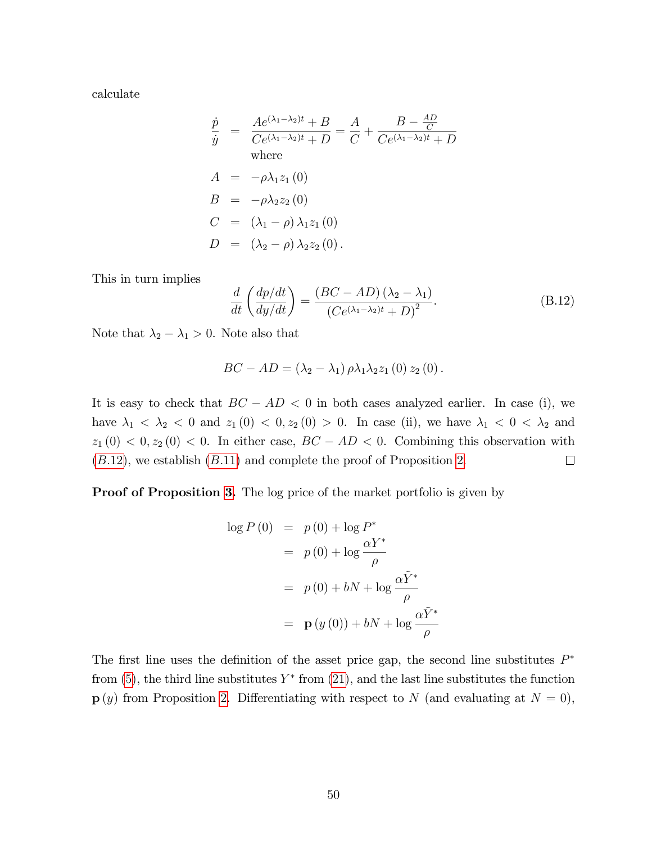calculate

$$
\frac{\dot{p}}{\dot{y}} = \frac{Ae^{(\lambda_1 - \lambda_2)t} + B}{Ce^{(\lambda_1 - \lambda_2)t} + D} = \frac{A}{C} + \frac{B - \frac{AD}{C}}{Ce^{(\lambda_1 - \lambda_2)t} + D}
$$
\nwhere\n
$$
A = -\rho \lambda_1 z_1(0)
$$
\n
$$
B = -\rho \lambda_2 z_2(0)
$$
\n
$$
C = (\lambda_1 - \rho) \lambda_1 z_1(0)
$$
\n
$$
D = (\lambda_2 - \rho) \lambda_2 z_2(0).
$$

This in turn implies

<span id="page-50-0"></span>
$$
\frac{d}{dt}\left(\frac{dp/dt}{dy/dt}\right) = \frac{\left(BC - AD\right)\left(\lambda_2 - \lambda_1\right)}{\left(Ce^{\left(\lambda_1 - \lambda_2\right)t} + D\right)^2}.\tag{B.12}
$$

Note that  $\lambda_2 - \lambda_1 > 0$ . Note also that

$$
BC - AD = (\lambda_2 - \lambda_1) \rho \lambda_1 \lambda_2 z_1 (0) z_2 (0).
$$

It is easy to check that  $BC - AD < 0$  in both cases analyzed earlier. In case (i), we have  $\lambda_1 < \lambda_2 < 0$  and  $z_1(0) < 0, z_2(0) > 0$ . In case (ii), we have  $\lambda_1 < 0 < \lambda_2$  and  $z_1(0) < 0, z_2(0) < 0.$  In either case,  $BC - AD < 0.$  Combining this observation with  $(B.12)$ , we establish  $(B.11)$  $(B.11)$  and complete the proof of Proposition [2.](#page-19-0)  $\Box$ 

Proof of Proposition [3.](#page-22-0) The log price of the market portfolio is given by

$$
\log P(0) = p(0) + \log P^*
$$
  
=  $p(0) + \log \frac{\alpha Y^*}{\rho}$   
=  $p(0) + bN + \log \frac{\alpha \tilde{Y}^*}{\rho}$   
=  $\mathbf{p}(y(0)) + bN + \log \frac{\alpha \tilde{Y}^*}{\rho}$ 

The first line uses the definition of the asset price gap, the second line substitutes  $P^*$ from  $(5)$ , the third line substitutes  $Y^*$  from  $(21)$ , and the last line substitutes the function  $p(y)$  from Proposition [2.](#page-19-0) Differentiating with respect to N (and evaluating at  $N = 0$ ),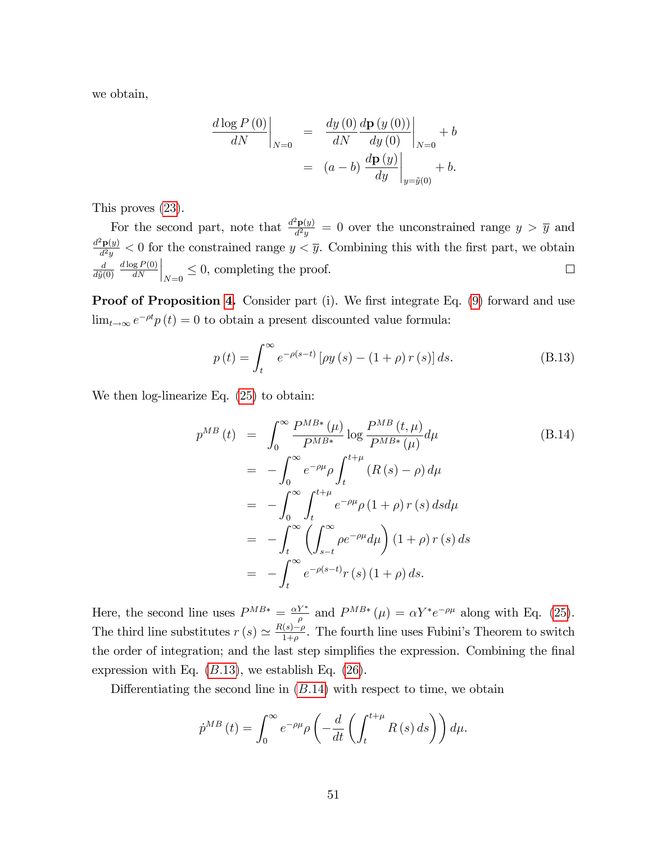we obtain,

$$
\frac{d \log P(0)}{dN} \bigg|_{N=0} = \frac{dy(0)}{dN} \frac{d\mathbf{p}(y(0))}{dy(0)} \bigg|_{N=0} + b
$$

$$
= (a - b) \frac{d\mathbf{p}(y)}{dy} \bigg|_{y=\tilde{y}(0)} + b.
$$

This proves [\(23\)](#page-22-2).

For the second part, note that  $\frac{d^2 \mathbf{p}(y)}{d^2 y}$  $\frac{d^2\mathbf{p}(y)}{d^2y} = 0$  over the unconstrained range  $y > \overline{y}$  and  $d^2\mathbf{p}(y)$  $\frac{dP(y)}{d^2y} < 0$  for the constrained range  $y < \overline{y}$ . Combining this with the first part, we obtain  $\Big|_{N=0} \leq 0$ , completing the proof.  $d \log P(0)$ d  $\Box$  $d\tilde{y}(0)$  $dN$ 

**Proof of Proposition [4.](#page-24-0)** Consider part (i). We first integrate Eq.  $(9)$  forward and use  $\lim_{t\to\infty} e^{-\rho t} p(t) = 0$  to obtain a present discounted value formula:

<span id="page-51-0"></span>
$$
p(t) = \int_{t}^{\infty} e^{-\rho(s-t)} \left[ \rho y(s) - (1+\rho) r(s) \right] ds.
$$
 (B.13)

We then log-linearize Eq. [\(25\)](#page-24-1) to obtain:

<span id="page-51-1"></span>
$$
p^{MB}(t) = \int_0^\infty \frac{P^{MB*}(\mu)}{P^{MB*}} \log \frac{P^{MB}(t, \mu)}{P^{MB*}(\mu)} d\mu
$$
\n
$$
= -\int_0^\infty e^{-\rho\mu} \rho \int_t^{t+\mu} (R(s) - \rho) d\mu
$$
\n
$$
= -\int_0^\infty \int_t^{t+\mu} e^{-\rho\mu} \rho (1 + \rho) r(s) ds d\mu
$$
\n
$$
= -\int_t^\infty \left( \int_{s-t}^\infty \rho e^{-\rho\mu} d\mu \right) (1 + \rho) r(s) ds
$$
\n
$$
= -\int_t^\infty e^{-\rho(s-t)} r(s) (1 + \rho) ds.
$$
\n(B.14)

Here, the second line uses  $P^{MB*} = \frac{\alpha Y^*}{g}$  $\frac{Y^*}{\rho}$  and  $P^{MB*}(\mu) = \alpha Y^* e^{-\rho\mu}$  along with Eq. [\(25\)](#page-24-1). The third line substitutes  $r(s) \simeq \frac{R(s)-\rho}{1+\rho}$ . The fourth line uses Fubini's Theorem to switch the order of integration; and the last step simplifies the expression. Combining the final expression with Eq.  $(B.13)$ , we establish Eq.  $(26)$ .

Differentiating the second line in  $(B.14)$  $(B.14)$  with respect to time, we obtain

$$
\dot{p}^{MB}(t) = \int_0^\infty e^{-\rho\mu} \rho \left( -\frac{d}{dt} \left( \int_t^{t+\mu} R(s) \, ds \right) \right) d\mu.
$$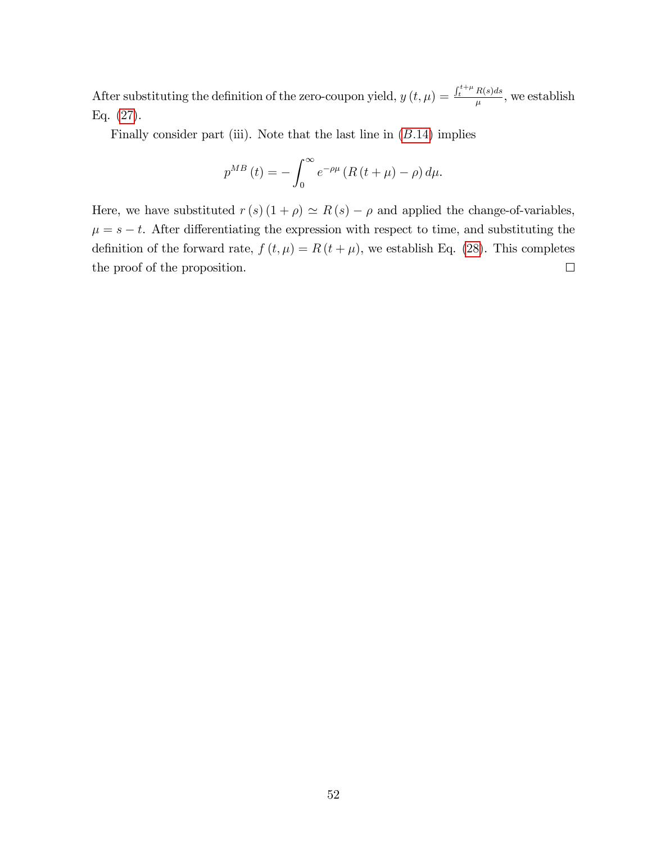After substituting the definition of the zero-coupon yield,  $y(t,\mu) = \frac{\int_t^{t+\mu} R(s) ds}{\mu}$  $\frac{n(s)ds}{\mu}$ , we establish Eq. [\(27\)](#page-24-3).

Finally consider part (iii). Note that the last line in  $(B.14)$  $(B.14)$  implies

$$
p^{MB}(t) = -\int_0^\infty e^{-\rho\mu} \left( R(t+\mu) - \rho \right) d\mu.
$$

Here, we have substituted  $r(s) (1 + \rho) \simeq R(s) - \rho$  and applied the change-of-variables,  $\mu = s - t$ . After differentiating the expression with respect to time, and substituting the definition of the forward rate,  $f(t, \mu) = R(t + \mu)$ , we establish Eq. [\(28\)](#page-25-0). This completes the proof of the proposition.  $\Box$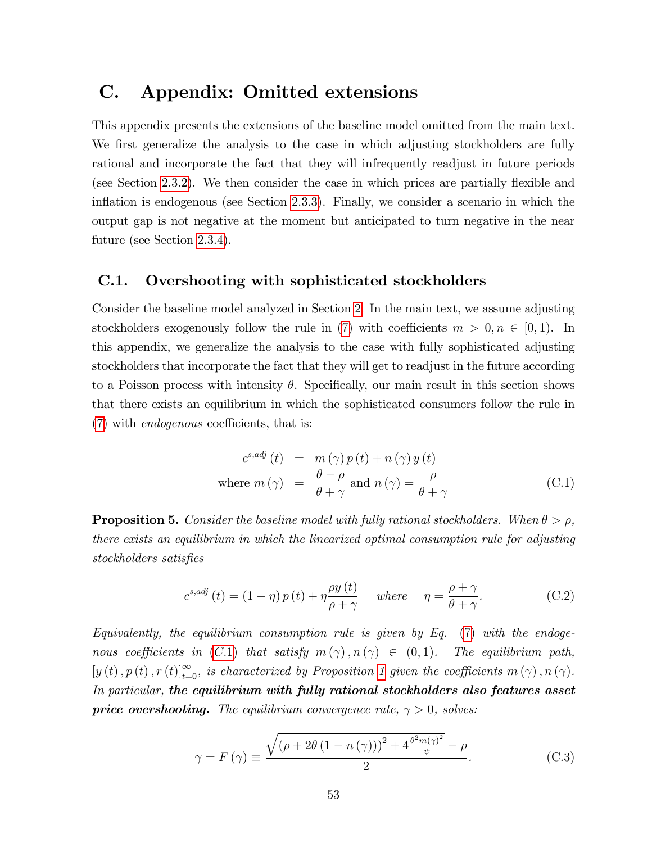## <span id="page-53-0"></span>C. Appendix: Omitted extensions

This appendix presents the extensions of the baseline model omitted from the main text. We first generalize the analysis to the case in which adjusting stockholders are fully rational and incorporate the fact that they will infrequently readjust in future periods (see Section [2.3.2\)](#page-15-0). We then consider the case in which prices are partially flexible and inflation is endogenous (see Section [2.3.3\)](#page-16-0). Finally, we consider a scenario in which the output gap is not negative at the moment but anticipated to turn negative in the near future (see Section [2.3.4\)](#page-16-1).

### <span id="page-53-1"></span>C.1. Overshooting with sophisticated stockholders

Consider the baseline model analyzed in Section [2.](#page-6-0) In the main text, we assume adjusting stockholders exogenously follow the rule in [\(7\)](#page-10-0) with coefficients  $m > 0, n \in (0, 1)$ . In this appendix, we generalize the analysis to the case with fully sophisticated adjusting stockholders that incorporate the fact that they will get to readjust in the future according to a Poisson process with intensity  $\theta$ . Specifically, our main result in this section shows that there exists an equilibrium in which the sophisticated consumers follow the rule in  $(7)$  with *endogenous* coefficients, that is:

<span id="page-53-2"></span>
$$
c^{s,adj}(t) = m(\gamma) p(t) + n(\gamma) y(t)
$$
  
where  $m(\gamma) = \frac{\theta - \rho}{\theta + \gamma}$  and  $n(\gamma) = \frac{\rho}{\theta + \gamma}$  (C.1)

<span id="page-53-4"></span>**Proposition 5.** Consider the baseline model with fully rational stockholders. When  $\theta > \rho$ , there exists an equilibrium in which the linearized optimal consumption rule for adjusting stockholders satisfies

<span id="page-53-3"></span>
$$
c^{s,adj}(t) = (1 - \eta) p(t) + \eta \frac{\rho y(t)}{\rho + \gamma} \quad \text{where} \quad \eta = \frac{\rho + \gamma}{\theta + \gamma}.
$$
 (C.2)

Equivalently, the equilibrium consumption rule is given by Eq.  $(7)$  with the endogenous coefficients in (C.1) that satisfy  $m(\gamma)$ ,  $n(\gamma) \in (0,1)$ . The equilibrium path,  $[y(t), p(t), r(t)]_{t=0}^{\infty}$ , is characterized by Proposition [1](#page-13-0) given the coefficients  $m(\gamma)$ ,  $n(\gamma)$ . In particular, the equilibrium with fully rational stockholders also features asset **price overshooting.** The equilibrium convergence rate,  $\gamma > 0$ , solves:

<span id="page-53-5"></span>
$$
\gamma = F(\gamma) \equiv \frac{\sqrt{\left(\rho + 2\theta \left(1 - n\left(\gamma\right)\right)\right)^2 + 4\frac{\theta^2 m(\gamma)^2}{\psi}} - \rho}{2}.
$$
 (C.3)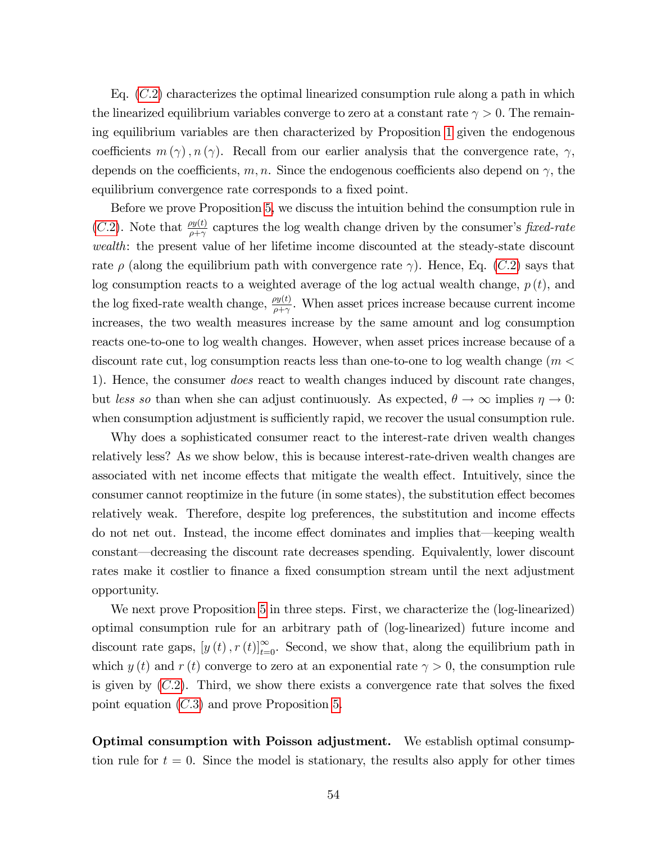Eq.  $(C.2)$  characterizes the optimal linearized consumption rule along a path in which the linearized equilibrium variables converge to zero at a constant rate  $\gamma > 0$ . The remaining equilibrium variables are then characterized by Proposition [1](#page-13-0) given the endogenous coefficients  $m(\gamma)$ ,  $n(\gamma)$ . Recall from our earlier analysis that the convergence rate,  $\gamma$ , depends on the coefficients, m, n. Since the endogenous coefficients also depend on  $\gamma$ , the equilibrium convergence rate corresponds to a fixed point.

Before we prove Proposition [5,](#page-53-4) we discuss the intuition behind the consumption rule in (C.2). Note that  $\frac{\rho y(t)}{\rho + \gamma}$  captures the log wealth change driven by the consumer's fixed-rate wealth: the present value of her lifetime income discounted at the steady-state discount rate  $\rho$  (along the equilibrium path with convergence rate  $\gamma$ ). Hence, Eq. (C.2) says that log consumption reacts to a weighted average of the log actual wealth change,  $p(t)$ , and the log fixed-rate wealth change,  $\frac{\rho y(t)}{\rho + \gamma}$ . When asset prices increase because current income increases, the two wealth measures increase by the same amount and log consumption reacts one-to-one to log wealth changes. However, when asset prices increase because of a discount rate cut, log consumption reacts less than one-to-one to log wealth change ( $m <$ 1). Hence, the consumer does react to wealth changes induced by discount rate changes, but less so than when she can adjust continuously. As expected,  $\theta \to \infty$  implies  $\eta \to 0$ : when consumption adjustment is sufficiently rapid, we recover the usual consumption rule.

Why does a sophisticated consumer react to the interest-rate driven wealth changes relatively less? As we show below, this is because interest-rate-driven wealth changes are associated with net income effects that mitigate the wealth effect. Intuitively, since the consumer cannot reoptimize in the future (in some states), the substitution effect becomes relatively weak. Therefore, despite log preferences, the substitution and income effects do not net out. Instead, the income effect dominates and implies that—keeping wealth constant—decreasing the discount rate decreases spending. Equivalently, lower discount rates make it costlier to finance a fixed consumption stream until the next adjustment opportunity.

We next prove Proposition [5](#page-53-4) in three steps. First, we characterize the (log-linearized) optimal consumption rule for an arbitrary path of (log-linearized) future income and discount rate gaps,  $[y(t), r(t)]_{t=0}^{\infty}$ . Second, we show that, along the equilibrium path in which  $y(t)$  and  $r(t)$  converge to zero at an exponential rate  $\gamma > 0$ , the consumption rule is given by  $(C.2)$ . Third, we show there exists a convergence rate that solves the fixed point equation ([C:](#page-53-5)3) and prove Proposition [5.](#page-53-4)

Optimal consumption with Poisson adjustment. We establish optimal consumption rule for  $t = 0$ . Since the model is stationary, the results also apply for other times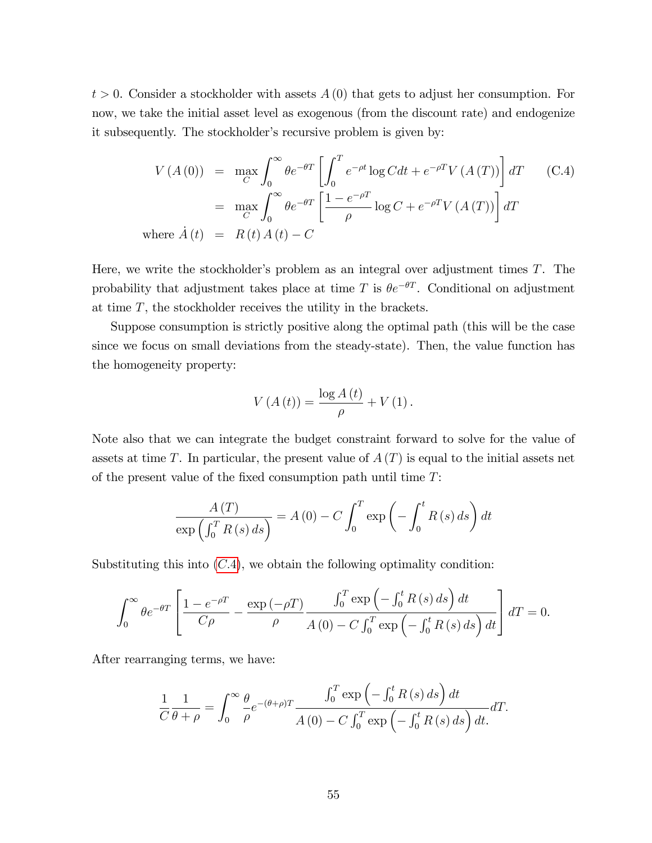$t > 0$ . Consider a stockholder with assets  $A(0)$  that gets to adjust her consumption. For now, we take the initial asset level as exogenous (from the discount rate) and endogenize it subsequently. The stockholder's recursive problem is given by:

<span id="page-55-0"></span>
$$
V(A(0)) = \max_{C} \int_{0}^{\infty} \theta e^{-\theta T} \left[ \int_{0}^{T} e^{-\rho t} \log C dt + e^{-\rho T} V(A(T)) \right] dT \qquad (C.4)
$$
  

$$
= \max_{C} \int_{0}^{\infty} \theta e^{-\theta T} \left[ \frac{1 - e^{-\rho T}}{\rho} \log C + e^{-\rho T} V(A(T)) \right] dT
$$
  
where  $\dot{A}(t) = R(t) A(t) - C$ 

Here, we write the stockholder's problem as an integral over adjustment times  $T$ . The probability that adjustment takes place at time T is  $\theta e^{-\theta T}$ . Conditional on adjustment at time  $T$ , the stockholder receives the utility in the brackets.

Suppose consumption is strictly positive along the optimal path (this will be the case since we focus on small deviations from the steady-state). Then, the value function has the homogeneity property:

$$
V(A(t)) = \frac{\log A(t)}{\rho} + V(1).
$$

Note also that we can integrate the budget constraint forward to solve for the value of assets at time T. In particular, the present value of  $A(T)$  is equal to the initial assets net of the present value of the fixed consumption path until time  $T$ :

$$
\frac{A(T)}{\exp\left(\int_0^T R(s) ds\right)} = A(0) - C \int_0^T \exp\left(-\int_0^t R(s) ds\right) dt
$$

Substituting this into  $(C.4)$ , we obtain the following optimality condition:

$$
\int_0^\infty \theta e^{-\theta T} \left[ \frac{1 - e^{-\rho T}}{C\rho} - \frac{\exp\left(-\rho T\right)}{\rho} \frac{\int_0^T \exp\left(-\int_0^t R\left(s\right) ds\right) dt}{A\left(0\right) - C \int_0^T \exp\left(-\int_0^t R\left(s\right) ds\right) dt} \right] dT = 0.
$$

After rearranging terms, we have:

$$
\frac{1}{C}\frac{1}{\theta+\rho} = \int_0^\infty \frac{\theta}{\rho} e^{-(\theta+\rho)T} \frac{\int_0^T \exp\left(-\int_0^t R(s) \, ds\right) dt}{A(0) - C \int_0^T \exp\left(-\int_0^t R(s) \, ds\right) dt} dT.
$$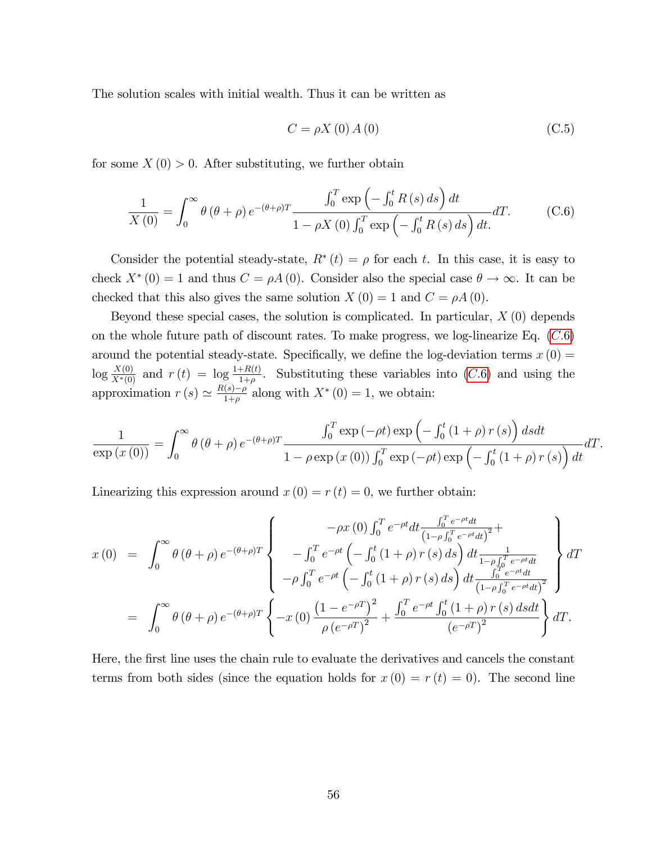The solution scales with initial wealth. Thus it can be written as

$$
C = \rho X(0) A(0) \tag{C.5}
$$

for some  $X(0) > 0$ . After substituting, we further obtain

<span id="page-56-0"></span>
$$
\frac{1}{X(0)} = \int_0^\infty \theta(\theta + \rho) e^{-(\theta + \rho)T} \frac{\int_0^T \exp\left(-\int_0^t R(s) ds\right) dt}{1 - \rho X(0) \int_0^T \exp\left(-\int_0^t R(s) ds\right) dt} dT.
$$
 (C.6)

Consider the potential steady-state,  $R^*(t) = \rho$  for each t. In this case, it is easy to check  $X^*(0) = 1$  and thus  $C = \rho A(0)$ . Consider also the special case  $\theta \to \infty$ . It can be checked that this also gives the same solution  $X(0) = 1$  and  $C = \rho A(0)$ .

Beyond these special cases, the solution is complicated. In particular,  $X(0)$  depends on the whole future path of discount rates. To make progress, we log-linearize Eq.  $(C.6)$ around the potential steady-state. Specifically, we define the log-deviation terms  $x(0) =$  $\log \frac{X(0)}{X^*(0)}$  and  $r(t) = \log \frac{1+R(t)}{1+\rho}$ . Substituting these variables into (C.6) and using the approximation  $r(s) \simeq \frac{R(s)-\rho}{1+\rho}$  along with  $X^*(0) = 1$ , we obtain:

$$
\frac{1}{\exp(x(0))} = \int_0^\infty \theta(\theta + \rho) e^{-(\theta + \rho)T} \frac{\int_0^T \exp(-\rho t) \exp\left(-\int_0^t (1 + \rho) r(s)\right) ds dt}{1 - \rho \exp(x(0)) \int_0^T \exp(-\rho t) \exp\left(-\int_0^t (1 + \rho) r(s)\right) dt} dT.
$$

Linearizing this expression around  $x(0) = r(t) = 0$ , we further obtain:

$$
x(0) = \int_0^{\infty} \theta(\theta + \rho) e^{-(\theta + \rho)T} \begin{cases} -\rho x(0) \int_0^T e^{-\rho t} dt \frac{\int_0^T e^{-\rho t} dt}{(1 - \rho \int_0^T e^{-\rho t} dt)^2} + \\ -\int_0^T e^{-\rho t} \left( -\int_0^t (1 + \rho) r(s) ds \right) dt \frac{1}{1 - \rho \int_0^T e^{-\rho t} dt} \\ -\rho \int_0^T e^{-\rho t} \left( -\int_0^t (1 + \rho) r(s) ds \right) dt \frac{\int_0^T e^{-\rho t} dt}{(1 - \rho \int_0^T e^{-\rho t} dt)^2} \end{cases} dT
$$
  
= 
$$
\int_0^{\infty} \theta(\theta + \rho) e^{-(\theta + \rho)T} \left\{ -x(0) \frac{(1 - e^{-\rho T})^2}{\rho (e^{-\rho T})^2} + \frac{\int_0^T e^{-\rho t} \int_0^t (1 + \rho) r(s) ds dt}{(e^{-\rho T})^2} \right\} dT.
$$

Here, the first line uses the chain rule to evaluate the derivatives and cancels the constant terms from both sides (since the equation holds for  $x(0) = r(t) = 0$ ). The second line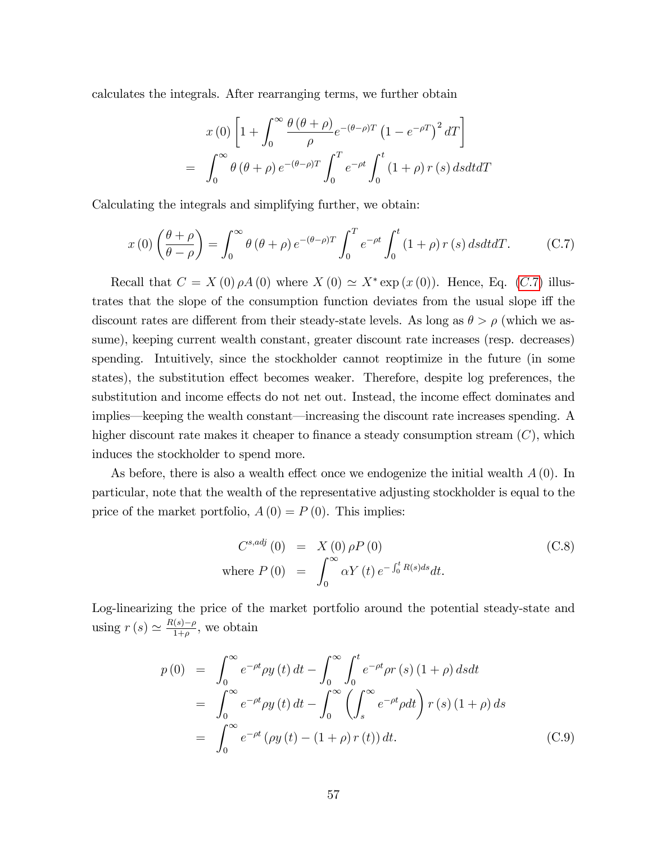calculates the integrals. After rearranging terms, we further obtain

$$
x(0) \left[ 1 + \int_0^\infty \frac{\theta(\theta + \rho)}{\rho} e^{-(\theta - \rho)T} \left( 1 - e^{-\rho T} \right)^2 dT \right]
$$

$$
= \int_0^\infty \theta(\theta + \rho) e^{-(\theta - \rho)T} \int_0^T e^{-\rho t} \int_0^t (1 + \rho) r(s) ds dt dT
$$

Calculating the integrals and simplifying further, we obtain:

<span id="page-57-0"></span>
$$
x(0)\left(\frac{\theta+\rho}{\theta-\rho}\right) = \int_0^\infty \theta\left(\theta+\rho\right)e^{-(\theta-\rho)T} \int_0^T e^{-\rho t} \int_0^t \left(1+\rho\right) r\left(s\right) ds dt dT. \tag{C.7}
$$

Recall that  $C = X(0) \rho A(0)$  where  $X(0) \simeq X^*$  exp $(x(0))$ . Hence, Eq. (C.7) illustrates that the slope of the consumption function deviates from the usual slope iff the discount rates are different from their steady-state levels. As long as  $\theta > \rho$  (which we assume), keeping current wealth constant, greater discount rate increases (resp. decreases) spending. Intuitively, since the stockholder cannot reoptimize in the future (in some states), the substitution effect becomes weaker. Therefore, despite log preferences, the substitution and income effects do not net out. Instead, the income effect dominates and implies—keeping the wealth constant—increasing the discount rate increases spending. A higher discount rate makes it cheaper to finance a steady consumption stream  $(C)$ , which induces the stockholder to spend more.

As before, there is also a wealth effect once we endogenize the initial wealth  $A(0)$ . In particular, note that the wealth of the representative adjusting stockholder is equal to the price of the market portfolio,  $A(0) = P(0)$ . This implies:

<span id="page-57-1"></span>
$$
C^{s,adj}(0) = X(0) \rho P(0)
$$
  
where  $P(0) = \int_0^\infty \alpha Y(t) e^{-\int_0^t R(s)ds} dt$ . (C.8)

Log-linearizing the price of the market portfolio around the potential steady-state and using  $r(s) \simeq \frac{R(s)-\rho}{1+\rho}$ , we obtain

<span id="page-57-2"></span>
$$
p(0) = \int_0^\infty e^{-\rho t} \rho y(t) dt - \int_0^\infty \int_0^t e^{-\rho t} \rho r(s) (1 + \rho) ds dt
$$
  
\n
$$
= \int_0^\infty e^{-\rho t} \rho y(t) dt - \int_0^\infty \left( \int_s^\infty e^{-\rho t} \rho dt \right) r(s) (1 + \rho) ds
$$
  
\n
$$
= \int_0^\infty e^{-\rho t} (\rho y(t) - (1 + \rho) r(t)) dt.
$$
 (C.9)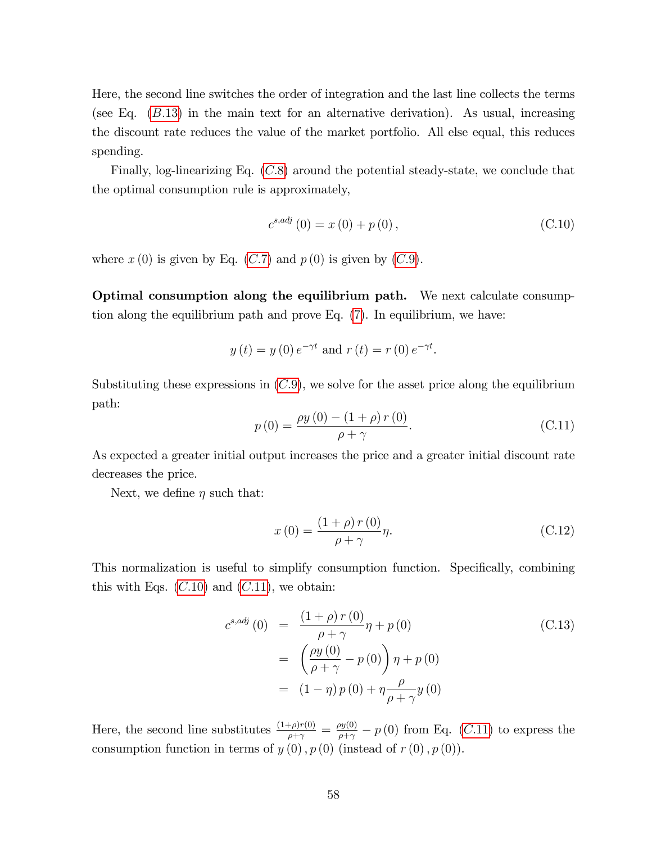Here, the second line switches the order of integration and the last line collects the terms (see Eq.  $(B.13)$  in the main text for an alternative derivation). As usual, increasing the discount rate reduces the value of the market portfolio. All else equal, this reduces spending.

Finally, log-linearizing Eq.  $(C.8)$  around the potential steady-state, we conclude that the optimal consumption rule is approximately,

<span id="page-58-0"></span>
$$
c^{s,adj}(0) = x(0) + p(0),
$$
\n(C.10)

where  $x(0)$  is given by Eq.  $(C.7)$  and  $p(0)$  is given by  $(C.9)$ .

Optimal consumption along the equilibrium path. We next calculate consumption along the equilibrium path and prove Eq. [\(7\)](#page-10-0). In equilibrium, we have:

$$
y(t) = y(0) e^{-\gamma t}
$$
 and  $r(t) = r(0) e^{-\gamma t}$ .

Substituting these expressions in  $(C.9)$ , we solve for the asset price along the equilibrium path:

<span id="page-58-1"></span>
$$
p(0) = \frac{\rho y(0) - (1 + \rho) r(0)}{\rho + \gamma}.
$$
 (C.11)

As expected a greater initial output increases the price and a greater initial discount rate decreases the price.

Next, we define  $\eta$  such that:

<span id="page-58-2"></span>
$$
x(0) = \frac{(1+\rho)r(0)}{\rho+\gamma}\eta.
$$
\n(C.12)

This normalization is useful to simplify consumption function. Specifically, combining this with Eqs.  $(C.10)$  $(C.10)$  and  $(C.11)$  $(C.11)$ , we obtain:

<span id="page-58-3"></span>
$$
c^{s,adj}(0) = \frac{(1+\rho) r (0)}{\rho + \gamma} \eta + p(0)
$$
\n
$$
= \left(\frac{\rho y(0)}{\rho + \gamma} - p(0)\right) \eta + p(0)
$$
\n
$$
= (1-\eta) p(0) + \eta \frac{\rho}{\rho + \gamma} y(0)
$$
\n(C.13)

Here, the second line substitutes  $\frac{(1+\rho)r(0)}{\rho+\gamma} = \frac{\rho y(0)}{\rho+\gamma} - p(0)$  from Eq. (C.[11\)](#page-58-1) to express the consumption function in terms of  $y(0)$ ,  $p(0)$  (instead of  $r(0)$ ,  $p(0)$ ).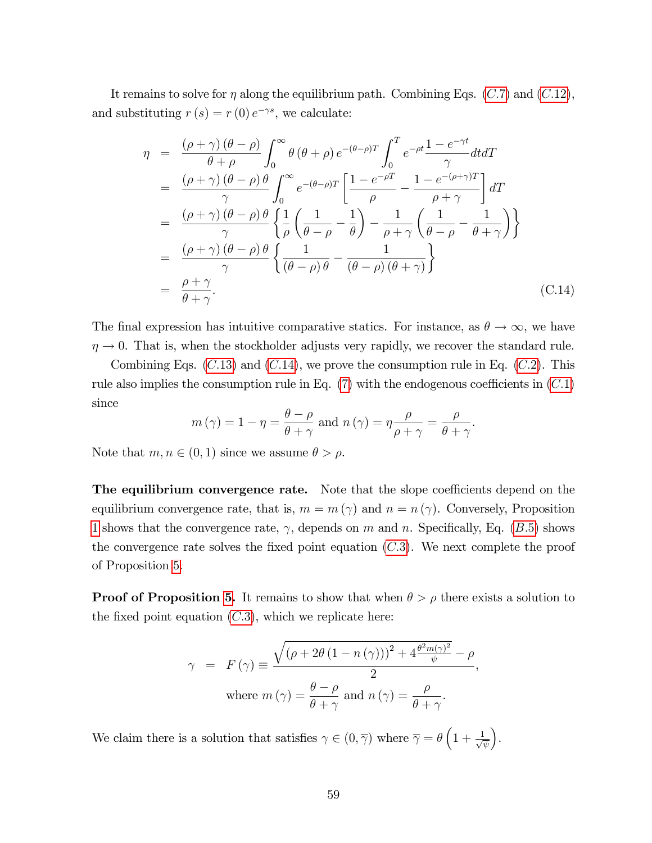It remains to solve for  $\eta$  along the equilibrium path. Combining Eqs. (C.7) and (C.[12\)](#page-58-2), and substituting  $r(s) = r(0) e^{-\gamma s}$ , we calculate:

<span id="page-59-0"></span>
$$
\eta = \frac{(\rho + \gamma)(\theta - \rho)}{\theta + \rho} \int_0^\infty \theta (\theta + \rho) e^{-(\theta - \rho)T} \int_0^T e^{-\rho t} \frac{1 - e^{-\gamma t}}{\gamma} dt dT
$$
  
\n
$$
= \frac{(\rho + \gamma)(\theta - \rho) \theta}{\gamma} \int_0^\infty e^{-(\theta - \rho)T} \left[ \frac{1 - e^{-\rho T}}{\rho} - \frac{1 - e^{-(\rho + \gamma)T}}{\rho + \gamma} \right] dT
$$
  
\n
$$
= \frac{(\rho + \gamma)(\theta - \rho) \theta}{\gamma} \left\{ \frac{1}{\rho} \left( \frac{1}{\theta - \rho} - \frac{1}{\theta} \right) - \frac{1}{\rho + \gamma} \left( \frac{1}{\theta - \rho} - \frac{1}{\theta + \gamma} \right) \right\}
$$
  
\n
$$
= \frac{(\rho + \gamma)(\theta - \rho) \theta}{\gamma} \left\{ \frac{1}{(\theta - \rho) \theta} - \frac{1}{(\theta - \rho)(\theta + \gamma)} \right\}
$$
  
\n
$$
= \frac{\rho + \gamma}{\theta + \gamma}.
$$
 (C.14)

The final expression has intuitive comparative statics. For instance, as  $\theta \to \infty$ , we have  $\eta \rightarrow 0$ . That is, when the stockholder adjusts very rapidly, we recover the standard rule.

Combining Eqs.  $(C.13)$  $(C.13)$  and  $(C.14)$  $(C.14)$ , we prove the consumption rule in Eq.  $(C.2)$ . This rule also implies the consumption rule in Eq.  $(7)$  with the endogenous coefficients in  $(C.1)$ since

$$
m(\gamma) = 1 - \eta = \frac{\theta - \rho}{\theta + \gamma}
$$
 and  $n(\gamma) = \eta \frac{\rho}{\rho + \gamma} = \frac{\rho}{\theta + \gamma}$ .

Note that  $m, n \in (0, 1)$  since we assume  $\theta > \rho$ .

**The equilibrium convergence rate.** Note that the slope coefficients depend on the equilibrium convergence rate, that is,  $m = m(\gamma)$  and  $n = n(\gamma)$ . Conversely, Proposition [1](#page-13-0) shows that the convergence rate,  $\gamma$ , depends on m and n. Specifically, Eq. (B.5) shows the convergence rate solves the fixed point equation  $(C.3)$ . We next complete the proof of Proposition [5.](#page-53-4)

**Proof of Proposition [5.](#page-53-4)** It remains to show that when  $\theta > \rho$  there exists a solution to the fixed point equation  $(C.3)$ , which we replicate here:

$$
\gamma = F(\gamma) \equiv \frac{\sqrt{(\rho + 2\theta (1 - n(\gamma)))^2 + 4\frac{\theta^2 m(\gamma)^2}{\psi}} - \rho}{2},
$$
  
where  $m(\gamma) = \frac{\theta - \rho}{\theta + \gamma}$  and  $n(\gamma) = \frac{\rho}{\theta + \gamma}$ .

We claim there is a solution that satisfies  $\gamma \in (0, \overline{\gamma})$  where  $\overline{\gamma} = \theta \left(1 + \frac{1}{\sqrt{3}}\right)$  $\overline{\psi}$ .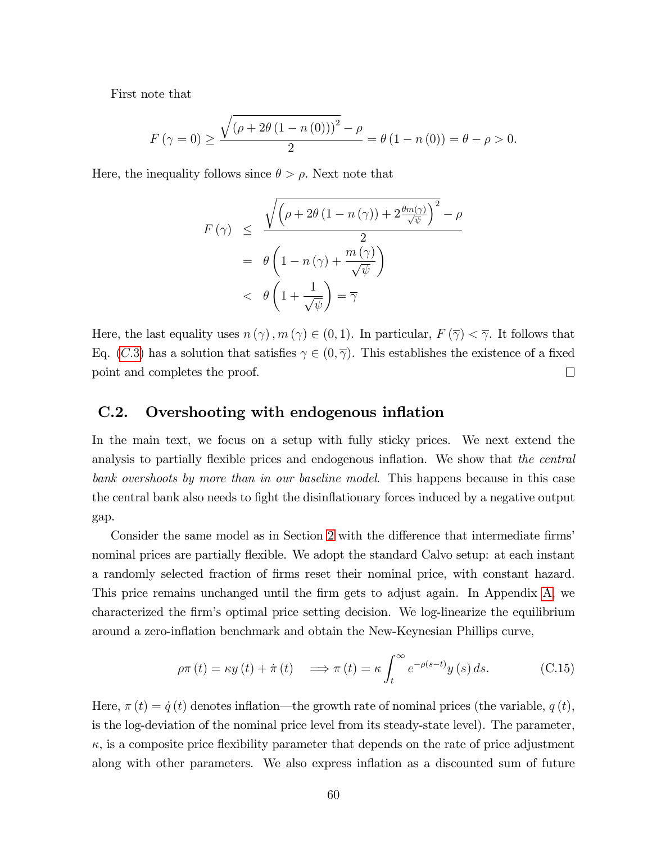First note that

$$
F(\gamma = 0) \ge \frac{\sqrt{(\rho + 2\theta (1 - n(0)))^2} - \rho}{2} = \theta (1 - n(0)) = \theta - \rho > 0.
$$

Here, the inequality follows since  $\theta > \rho$ . Next note that

$$
F(\gamma) \leq \frac{\sqrt{\left(\rho + 2\theta (1 - n(\gamma)) + 2\frac{\theta m(\gamma)}{\sqrt{\psi}}\right)^2} - \rho}{2}
$$
  
=  $\theta \left(1 - n(\gamma) + \frac{m(\gamma)}{\sqrt{\psi}}\right)$   
<  $\theta \left(1 + \frac{1}{\sqrt{\psi}}\right) = \overline{\gamma}$ 

Here, the last equality uses  $n(\gamma)$ ,  $m(\gamma) \in (0,1)$ . In particular,  $F(\overline{\gamma}) < \overline{\gamma}$ . It follows that Eq. (C.3) has a solution that satisfies  $\gamma \in (0, \overline{\gamma})$ . This establishes the existence of a fixed point and completes the proof.  $\Box$ 

### <span id="page-60-0"></span>C.2. Overshooting with endogenous inflation

In the main text, we focus on a setup with fully sticky prices. We next extend the analysis to partially flexible prices and endogenous inflation. We show that the central bank overshoots by more than in our baseline model. This happens because in this case the central bank also needs to fight the disinflationary forces induced by a negative output gap.

Consider the same model as in Section [2](#page-6-0) with the difference that intermediate firms' nominal prices are partially flexible. We adopt the standard Calvo setup: at each instant a randomly selected fraction of Örms reset their nominal price, with constant hazard. This price remains unchanged until the firm gets to adjust again. In Appendix [A,](#page-37-0) we characterized the Örmís optimal price setting decision. We log-linearize the equilibrium around a zero-inflation benchmark and obtain the New-Keynesian Phillips curve,

<span id="page-60-1"></span>
$$
\rho \pi(t) = \kappa y(t) + \dot{\pi}(t) \implies \pi(t) = \kappa \int_{t}^{\infty} e^{-\rho(s-t)} y(s) ds.
$$
 (C.15)

Here,  $\pi(t) = \dot{q}(t)$  denotes inflation—the growth rate of nominal prices (the variable,  $q(t)$ , is the log-deviation of the nominal price level from its steady-state level). The parameter,  $\kappa$ , is a composite price flexibility parameter that depends on the rate of price adjustment along with other parameters. We also express inflation as a discounted sum of future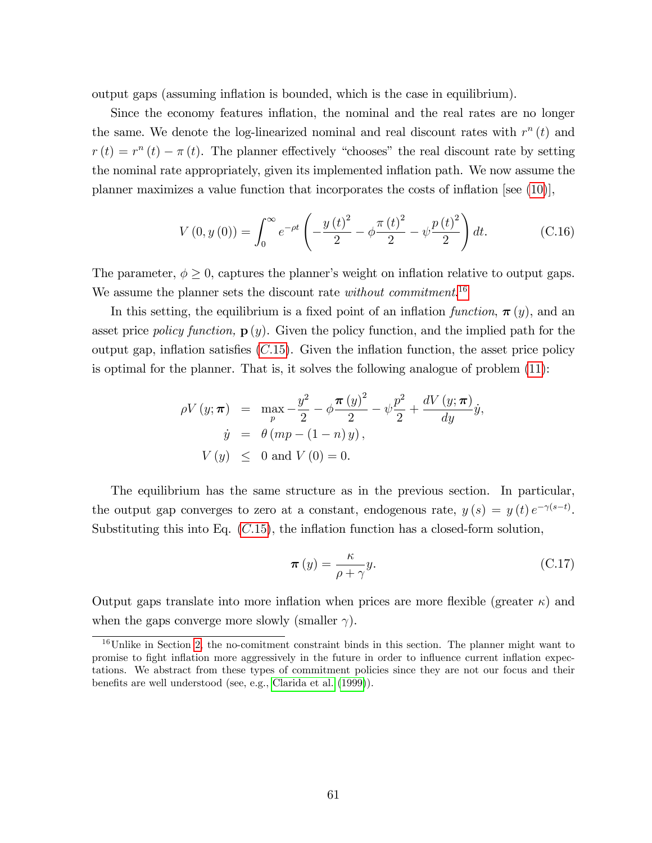output gaps (assuming ináation is bounded, which is the case in equilibrium).

Since the economy features inflation, the nominal and the real rates are no longer the same. We denote the log-linearized nominal and real discount rates with  $r^n(t)$  and  $r(t) = r^{n}(t) - \pi(t)$ . The planner effectively "chooses" the real discount rate by setting the nominal rate appropriately, given its implemented inflation path. We now assume the planner maximizes a value function that incorporates the costs of inflation [see  $(10)$ ],

$$
V(0, y(0)) = \int_0^\infty e^{-\rho t} \left( -\frac{y(t)^2}{2} - \phi \frac{\pi (t)^2}{2} - \psi \frac{p(t)^2}{2} \right) dt.
$$
 (C.16)

The parameter,  $\phi \geq 0$ , captures the planner's weight on inflation relative to output gaps. We assume the planner sets the discount rate *without commitment*.<sup>[16](#page-61-0)</sup>

In this setting, the equilibrium is a fixed point of an inflation function,  $\pi(y)$ , and an asset price *policy function*,  $\mathbf{p}(y)$ . Given the policy function, and the implied path for the output gap, inflation satisfies  $(C.15)$  $(C.15)$ . Given the inflation function, the asset price policy is optimal for the planner. That is, it solves the following analogue of problem [\(11\)](#page-12-1):

$$
\rho V(y; \pi) = \max_{p} -\frac{y^2}{2} - \phi \frac{\pi (y)^2}{2} - \psi \frac{p^2}{2} + \frac{dV(y; \pi)}{dy} \dot{y},
$$
  
\n
$$
\dot{y} = \theta (mp - (1 - n) y),
$$
  
\n
$$
V(y) \le 0 \text{ and } V(0) = 0.
$$

The equilibrium has the same structure as in the previous section. In particular, the output gap converges to zero at a constant, endogenous rate,  $y(s) = y(t) e^{-\gamma(s-t)}$ . Substituting this into Eq.  $(C.15)$  $(C.15)$ , the inflation function has a closed-form solution,

<span id="page-61-1"></span>
$$
\boldsymbol{\pi}(y) = \frac{\kappa}{\rho + \gamma} y. \tag{C.17}
$$

Output gaps translate into more inflation when prices are more flexible (greater  $\kappa$ ) and when the gaps converge more slowly (smaller  $\gamma$ ).

<span id="page-61-0"></span><sup>16</sup>Unlike in Section [2,](#page-6-0) the no-comitment constraint binds in this section. The planner might want to promise to Öght ináation more aggressively in the future in order to ináuence current ináation expectations. We abstract from these types of commitment policies since they are not our focus and their benefits are well understood (see, e.g., [Clarida et al.](#page-33-0) [\(1999\)](#page-33-0)).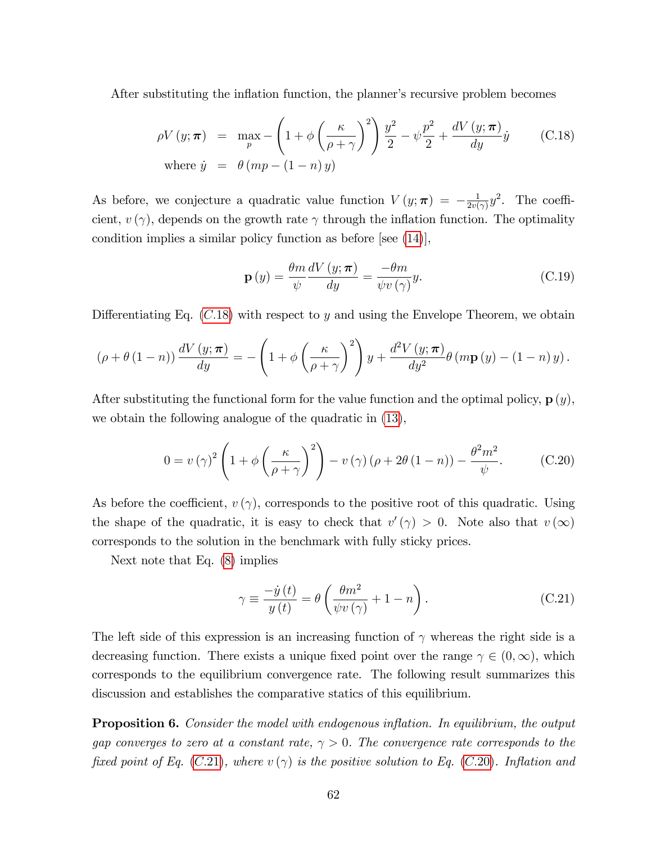After substituting the inflation function, the planner's recursive problem becomes

<span id="page-62-0"></span>
$$
\rho V(y; \boldsymbol{\pi}) = \max_{p} - \left(1 + \phi \left(\frac{\kappa}{\rho + \gamma}\right)^2\right) \frac{y^2}{2} - \psi \frac{p^2}{2} + \frac{dV(y; \boldsymbol{\pi})}{dy} \dot{y} \qquad (C.18)
$$
  
where  $\dot{y} = \theta (mp - (1 - n) y)$ 

As before, we conjecture a quadratic value function  $V(y; \pi) = -\frac{1}{2v(y)}$  $\frac{1}{2v(\gamma)}y^2$ . The coefficient,  $v(\gamma)$ , depends on the growth rate  $\gamma$  through the inflation function. The optimality condition implies a similar policy function as before [see [\(14\)](#page-13-2)],

<span id="page-62-3"></span>
$$
\mathbf{p}(y) = \frac{\theta m}{\psi} \frac{dV(y; \pi)}{dy} = \frac{-\theta m}{\psi v(\gamma)} y.
$$
 (C.19)

Differentiating Eq.  $(C.18)$  $(C.18)$  with respect to y and using the Envelope Theorem, we obtain

$$
(\rho + \theta (1 - n)) \frac{dV(y; \pi)}{dy} = -\left(1 + \phi \left(\frac{\kappa}{\rho + \gamma}\right)^2\right) y + \frac{d^2V(y; \pi)}{dy^2} \theta (m \mathbf{p}(y) - (1 - n) y).
$$

After substituting the functional form for the value function and the optimal policy,  $\mathbf{p}(y)$ , we obtain the following analogue of the quadratic in [\(13\)](#page-12-0),

<span id="page-62-2"></span>
$$
0 = v(\gamma)^2 \left( 1 + \phi \left( \frac{\kappa}{\rho + \gamma} \right)^2 \right) - v(\gamma) \left( \rho + 2\theta (1 - n) \right) - \frac{\theta^2 m^2}{\psi}.
$$
 (C.20)

As before the coefficient,  $v(\gamma)$ , corresponds to the positive root of this quadratic. Using the shape of the quadratic, it is easy to check that  $v'(\gamma) > 0$ . Note also that  $v(\infty)$ corresponds to the solution in the benchmark with fully sticky prices.

Next note that Eq. [\(8\)](#page-10-1) implies

<span id="page-62-1"></span>
$$
\gamma \equiv \frac{-\dot{y}(t)}{y(t)} = \theta \left( \frac{\theta m^2}{\psi v(\gamma)} + 1 - n \right). \tag{C.21}
$$

The left side of this expression is an increasing function of  $\gamma$  whereas the right side is a decreasing function. There exists a unique fixed point over the range  $\gamma \in (0, \infty)$ , which corresponds to the equilibrium convergence rate. The following result summarizes this discussion and establishes the comparative statics of this equilibrium.

<span id="page-62-4"></span>**Proposition 6.** Consider the model with endogenous inflation. In equilibrium, the output gap converges to zero at a constant rate,  $\gamma > 0$ . The convergence rate corresponds to the fixed point of Eq. (C.[21\)](#page-62-1), where  $v(\gamma)$  is the positive solution to Eq. (C.[20\)](#page-62-2). Inflation and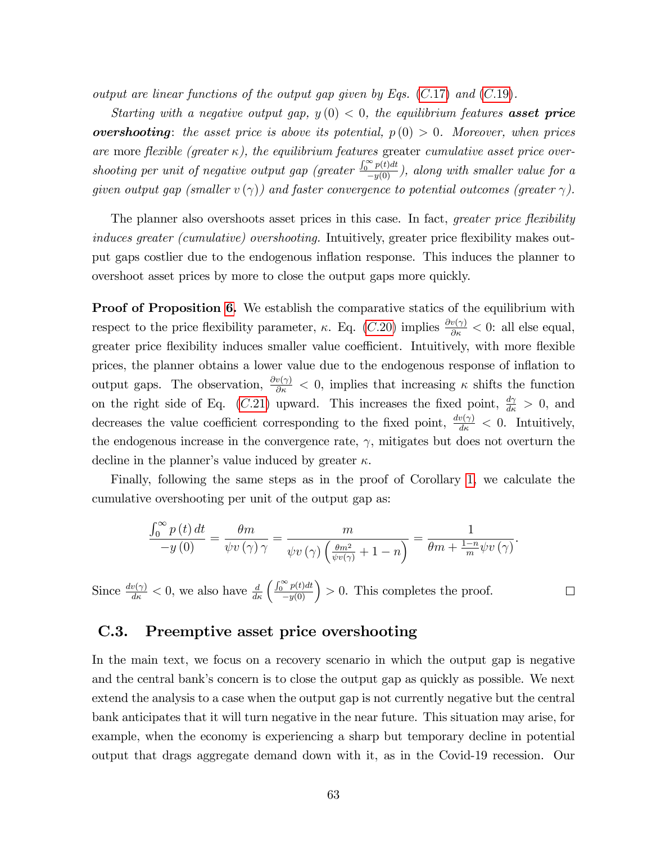output are linear functions of the output gap given by Eqs.  $(C.17)$  $(C.17)$  and  $(C.19)$  $(C.19)$ .

Starting with a negative output gap,  $y(0) < 0$ , the equilibrium features **asset price overshooting**: the asset price is above its potential,  $p(0) > 0$ . Moreover, when prices are more flexible (greater  $\kappa$ ), the equilibrium features greater cumulative asset price overshooting per unit of negative output gap (greater  $\frac{\int_0^\infty p(t)dt}{-y(0)}$ ), along with smaller value for a given output gap (smaller  $v(\gamma)$ ) and faster convergence to potential outcomes (greater  $\gamma$ ).

The planner also overshoots asset prices in this case. In fact, *greater price flexibility* induces greater (cumulative) overshooting. Intuitively, greater price flexibility makes output gaps costlier due to the endogenous ináation response. This induces the planner to overshoot asset prices by more to close the output gaps more quickly.

**Proof of Proposition [6.](#page-62-4)** We establish the comparative statics of the equilibrium with respect to the price flexibility parameter,  $\kappa$ . Eq. (*C*.[20\)](#page-62-2) implies  $\frac{\partial v(\gamma)}{\partial \kappa} < 0$ : all else equal, greater price flexibility induces smaller value coefficient. Intuitively, with more flexible prices, the planner obtains a lower value due to the endogenous response of ináation to output gaps. The observation,  $\frac{\partial v(\gamma)}{\partial \kappa} < 0$ , implies that increasing  $\kappa$  shifts the function on the right side of Eq. (C.[21\)](#page-62-1) upward. This increases the fixed point,  $\frac{d\gamma}{d\kappa} > 0$ , and decreases the value coefficient corresponding to the fixed point,  $\frac{dv(\gamma)}{d\kappa} < 0$ . Intuitively, the endogenous increase in the convergence rate,  $\gamma$ , mitigates but does not overturn the decline in the planner's value induced by greater  $\kappa$ .

Finally, following the same steps as in the proof of Corollary [1,](#page-14-0) we calculate the cumulative overshooting per unit of the output gap as:

$$
\frac{\int_0^\infty p(t) dt}{-y(0)} = \frac{\theta m}{\psi v(\gamma) \gamma} = \frac{m}{\psi v(\gamma) \left(\frac{\theta m^2}{\psi v(\gamma)} + 1 - n\right)} = \frac{1}{\theta m + \frac{1-n}{m} \psi v(\gamma)}.
$$

Since  $\frac{dv(\gamma)}{d\kappa} < 0$ , we also have  $\frac{d}{d\kappa} \left( \frac{\int_0^\infty p(t)dt}{-y(0)} \right) > 0$ . This completes the proof.  $\Box$ 

### C.3. Preemptive asset price overshooting

In the main text, we focus on a recovery scenario in which the output gap is negative and the central bank's concern is to close the output gap as quickly as possible. We next extend the analysis to a case when the output gap is not currently negative but the central bank anticipates that it will turn negative in the near future. This situation may arise, for example, when the economy is experiencing a sharp but temporary decline in potential output that drags aggregate demand down with it, as in the Covid-19 recession. Our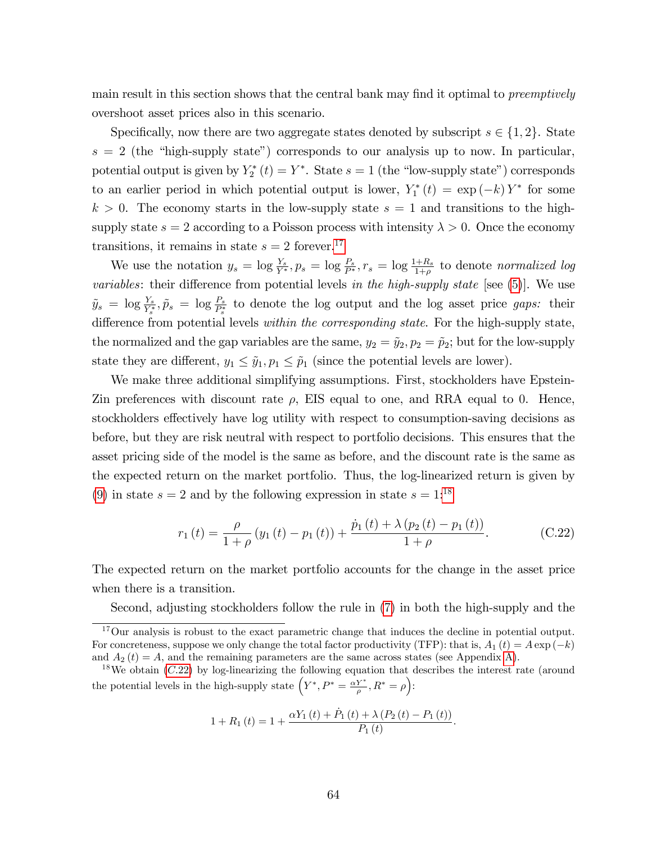main result in this section shows that the central bank may find it optimal to *preemptively* overshoot asset prices also in this scenario.

Specifically, now there are two aggregate states denoted by subscript  $s \in \{1, 2\}$ . State  $s = 2$  (the "high-supply state") corresponds to our analysis up to now. In particular, potential output is given by  $Y_2^*(t) = Y^*$ . State  $s = 1$  (the "low-supply state") corresponds to an earlier period in which potential output is lower,  $Y_1^*(t) = \exp(-k) Y^*$  for some  $k > 0$ . The economy starts in the low-supply state  $s = 1$  and transitions to the highsupply state  $s = 2$  according to a Poisson process with intensity  $\lambda > 0$ . Once the economy transitions, it remains in state  $s = 2$  forever.<sup>[17](#page-64-0)</sup>

We use the notation  $y_s = \log \frac{Y_s}{Y^*}, p_s = \log \frac{P_s}{P^*}, r_s = \log \frac{1+R_s}{1+\rho}$  to denote normalized log variables: their difference from potential levels in the high-supply state [see  $(5)$ ]. We use  $\tilde{y}_s = \log \frac{Y_s}{Y_s^*}, \tilde{p}_s = \log \frac{P_s}{P_s^*}$  to denote the log output and the log asset price gaps: their difference from potential levels within the corresponding state. For the high-supply state, the normalized and the gap variables are the same,  $y_2 = \tilde{y}_2, p_2 = \tilde{p}_2$ ; but for the low-supply state they are different,  $y_1 \leq \tilde{y}_1, p_1 \leq \tilde{p}_1$  (since the potential levels are lower).

We make three additional simplifying assumptions. First, stockholders have Epstein-Zin preferences with discount rate  $\rho$ , EIS equal to one, and RRA equal to 0. Hence, stockholders effectively have log utility with respect to consumption-saving decisions as before, but they are risk neutral with respect to portfolio decisions. This ensures that the asset pricing side of the model is the same as before, and the discount rate is the same as the expected return on the market portfolio. Thus, the log-linearized return is given by [\(9\)](#page-11-0) in state  $s = 2$  and by the following expression in state  $s = 1$ <sup>[18](#page-64-1)</sup>

<span id="page-64-2"></span>
$$
r_{1}(t) = \frac{\rho}{1+\rho} \left( y_{1}(t) - p_{1}(t) \right) + \frac{\dot{p}_{1}(t) + \lambda \left( p_{2}(t) - p_{1}(t) \right)}{1+\rho}.
$$
 (C.22)

The expected return on the market portfolio accounts for the change in the asset price when there is a transition.

Second, adjusting stockholders follow the rule in [\(7\)](#page-10-0) in both the high-supply and the

$$
1 + R_1(t) = 1 + \frac{\alpha Y_1(t) + \dot{P}_1(t) + \lambda (P_2(t) - P_1(t))}{P_1(t)}.
$$

<span id="page-64-0"></span><sup>&</sup>lt;sup>17</sup>Our analysis is robust to the exact parametric change that induces the decline in potential output. For concreteness, suppose we only change the total factor productivity (TFP): that is,  $A_1(t) = A \exp(-k)$ and  $A_2(t) = A$ , and the remaining parameters are the same across states (see Appendix [A\)](#page-37-0).

<span id="page-64-1"></span><sup>&</sup>lt;sup>18</sup>We obtain  $(C.22)$  $(C.22)$  by log-linearizing the following equation that describes the interest rate (around the potential levels in the high-supply state  $(Y^*, P^* = \frac{\alpha Y^*}{\rho}, R^* = \rho)$ :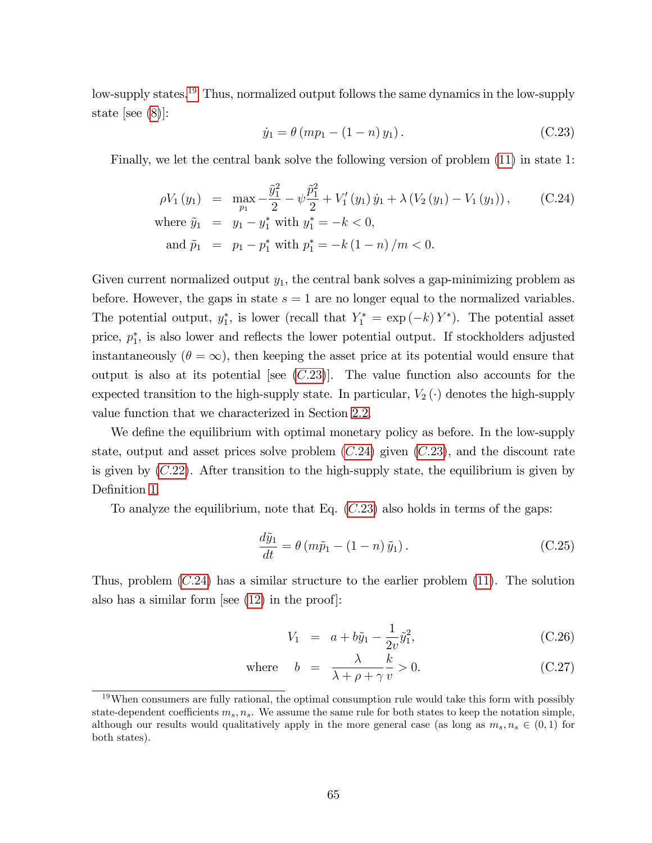low-supply states.[19](#page-65-0) Thus, normalized output follows the same dynamics in the low-supply state [see [\(8\)](#page-10-1)]:

<span id="page-65-1"></span>
$$
\dot{y}_1 = \theta (m p_1 - (1 - n) y_1).
$$
 (C.23)

Finally, we let the central bank solve the following version of problem [\(11\)](#page-12-1) in state 1:

<span id="page-65-2"></span>
$$
\rho V_1(y_1) = \max_{p_1} -\frac{\tilde{y}_1^2}{2} - \psi \frac{\tilde{p}_1^2}{2} + V_1'(y_1) \dot{y}_1 + \lambda (V_2(y_1) - V_1(y_1)), \qquad (C.24)
$$
  
where  $\tilde{y}_1 = y_1 - y_1^*$  with  $y_1^* = -k < 0$ ,  
and  $\tilde{p}_1 = p_1 - p_1^*$  with  $p_1^* = -k(1 - n)/m < 0$ .

Given current normalized output  $y_1$ , the central bank solves a gap-minimizing problem as before. However, the gaps in state  $s = 1$  are no longer equal to the normalized variables. The potential output,  $y_1^*$ , is lower (recall that  $Y_1^* = \exp(-k) Y^*$ ). The potential asset price,  $p_1^*$ , is also lower and reflects the lower potential output. If stockholders adjusted instantaneously  $(\theta = \infty)$ , then keeping the asset price at its potential would ensure that output is also at its potential [see  $(C.23)$  $(C.23)$ ]. The value function also accounts for the expected transition to the high-supply state. In particular,  $V_2(\cdot)$  denotes the high-supply value function that we characterized in Section [2.2.](#page-12-2)

We define the equilibrium with optimal monetary policy as before. In the low-supply state, output and asset prices solve problem  $(C.24)$  $(C.24)$  given  $(C.23)$  $(C.23)$ , and the discount rate is given by  $(C.22)$  $(C.22)$ . After transition to the high-supply state, the equilibrium is given by Definition [1.](#page-12-3)

To analyze the equilibrium, note that Eq.  $(C.23)$  $(C.23)$  also holds in terms of the gaps:

<span id="page-65-4"></span>
$$
\frac{d\tilde{y}_1}{dt} = \theta \left( m\tilde{p}_1 - (1 - n)\tilde{y}_1 \right). \tag{C.25}
$$

Thus, problem  $(C.24)$  $(C.24)$  has a similar structure to the earlier problem  $(11)$ . The solution also has a similar form [see [\(12\)](#page-12-0) in the proof]:

<span id="page-65-3"></span>
$$
V_1 = a + b\tilde{y}_1 - \frac{1}{2v}\tilde{y}_1^2, \tag{C.26}
$$

where 
$$
b = \frac{\lambda}{\lambda + \rho + \gamma} \frac{k}{v} > 0.
$$
 (C.27)

<span id="page-65-0"></span> $19$ When consumers are fully rational, the optimal consumption rule would take this form with possibly state-dependent coefficients  $m_s$ ,  $n_s$ . We assume the same rule for both states to keep the notation simple, although our results would qualitatively apply in the more general case (as long as  $m_s, n_s \in (0, 1)$  for both states).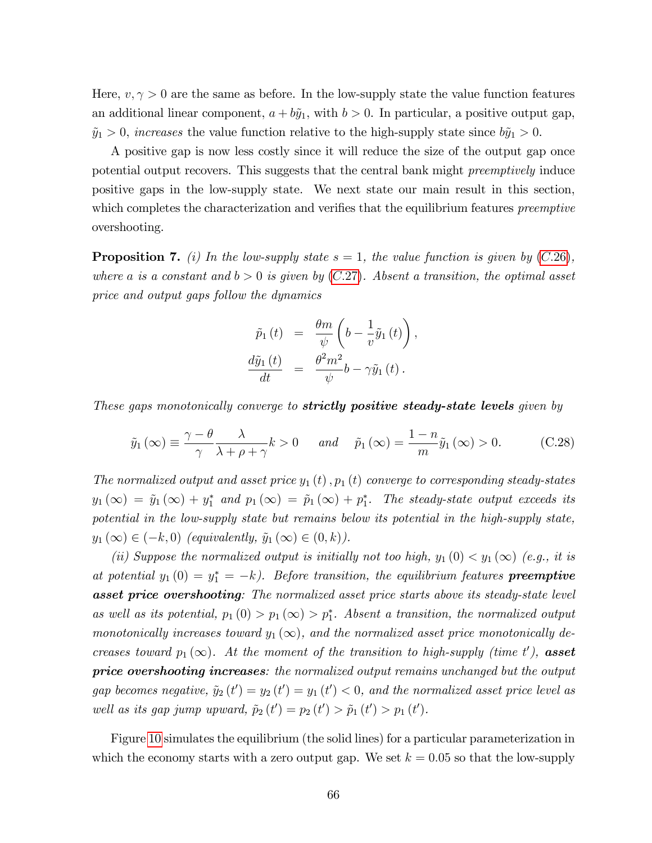Here,  $v, \gamma > 0$  are the same as before. In the low-supply state the value function features an additional linear component,  $a + b\tilde{y}_1$ , with  $b > 0$ . In particular, a positive output gap,  $\tilde{y}_1 > 0$ , increases the value function relative to the high-supply state since  $b\tilde{y}_1 > 0$ .

A positive gap is now less costly since it will reduce the size of the output gap once potential output recovers. This suggests that the central bank might preemptively induce positive gaps in the low-supply state. We next state our main result in this section, which completes the characterization and verifies that the equilibrium features *preemptive* overshooting.

<span id="page-66-1"></span>**Proposition 7.** (i) In the low-supply state  $s = 1$ , the value function is given by (C.[26\)](#page-65-3), where a is a constant and  $b > 0$  is given by  $(C.27)$  $(C.27)$ . Absent a transition, the optimal asset price and output gaps follow the dynamics

$$
\tilde{p}_1(t) = \frac{\theta m}{\psi} \left( b - \frac{1}{v} \tilde{y}_1(t) \right),
$$
  

$$
\frac{d\tilde{y}_1(t)}{dt} = \frac{\theta^2 m^2}{\psi} b - \gamma \tilde{y}_1(t).
$$

These gaps monotonically converge to **strictly positive steady-state levels** given by

<span id="page-66-0"></span>
$$
\tilde{y}_1(\infty) \equiv \frac{\gamma - \theta}{\gamma} \frac{\lambda}{\lambda + \rho + \gamma} k > 0 \quad and \quad \tilde{p}_1(\infty) = \frac{1 - n}{m} \tilde{y}_1(\infty) > 0.
$$
 (C.28)

The normalized output and asset price  $y_1(t)$ ,  $p_1(t)$  converge to corresponding steady-states  $y_1(\infty) = \tilde{y}_1(\infty) + y_1^*$  and  $p_1(\infty) = \tilde{p}_1(\infty) + p_1^*$ . The steady-state output exceeds its potential in the low-supply state but remains below its potential in the high-supply state,  $y_1(\infty) \in (-k, 0)$  (equivalently,  $\tilde{y}_1(\infty) \in (0, k)$ ).

(ii) Suppose the normalized output is initially not too high,  $y_1(0) < y_1(\infty)$  (e.g., it is at potential  $y_1(0) = y_1^* = -k$ ). Before transition, the equilibrium features **preemptive asset price overshooting**: The normalized asset price starts above its steady-state level as well as its potential,  $p_1(0) > p_1(\infty) > p_1^*$ . Absent a transition, the normalized output monotonically increases toward  $y_1(\infty)$ , and the normalized asset price monotonically decreases toward  $p_1(\infty)$ . At the moment of the transition to high-supply (time t'), **asset** price overshooting increases: the normalized output remains unchanged but the output gap becomes negative,  $\tilde{y}_2(t') = y_2(t') = y_1(t') < 0$ , and the normalized asset price level as well as its gap jump upward,  $\tilde{p}_2(t') = p_2(t') > \tilde{p}_1(t') > p_1(t')$ .

Figure [10](#page-67-0) simulates the equilibrium (the solid lines) for a particular parameterization in which the economy starts with a zero output gap. We set  $k = 0.05$  so that the low-supply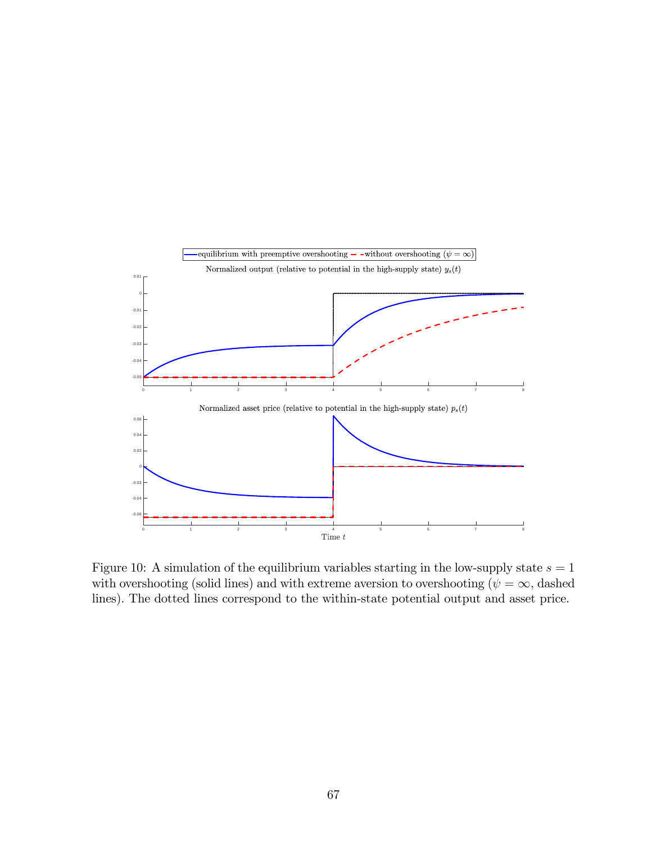

<span id="page-67-0"></span>Figure 10: A simulation of the equilibrium variables starting in the low-supply state  $s = 1$ with overshooting (solid lines) and with extreme aversion to overshooting ( $\psi = \infty$ , dashed lines). The dotted lines correspond to the within-state potential output and asset price.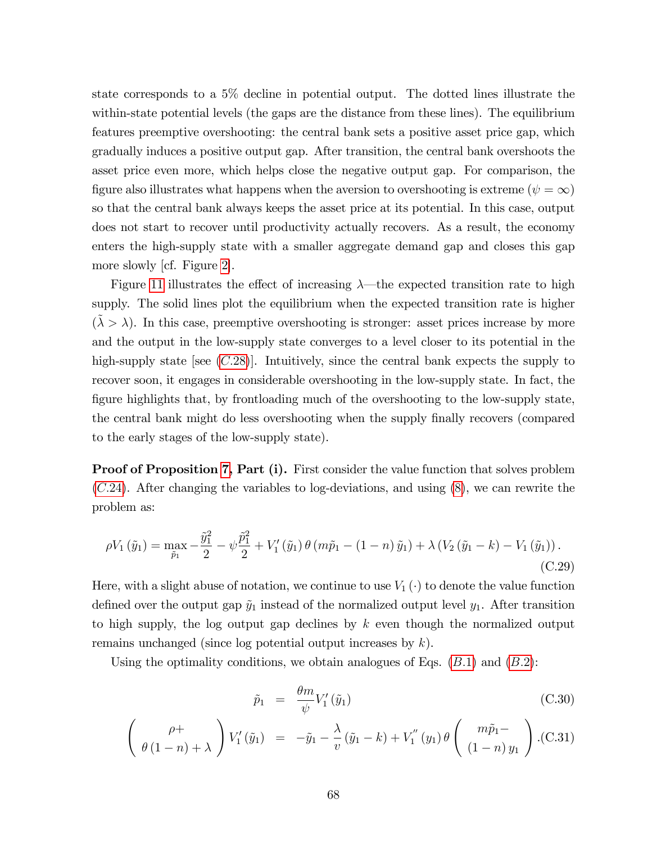state corresponds to a 5% decline in potential output. The dotted lines illustrate the within-state potential levels (the gaps are the distance from these lines). The equilibrium features preemptive overshooting: the central bank sets a positive asset price gap, which gradually induces a positive output gap. After transition, the central bank overshoots the asset price even more, which helps close the negative output gap. For comparison, the figure also illustrates what happens when the aversion to overshooting is extreme ( $\psi = \infty$ ) so that the central bank always keeps the asset price at its potential. In this case, output does not start to recover until productivity actually recovers. As a result, the economy enters the high-supply state with a smaller aggregate demand gap and closes this gap more slowly [cf. Figure [2\]](#page-14-1).

Figure [11](#page-69-0) illustrates the effect of increasing  $\lambda$ —the expected transition rate to high supply. The solid lines plot the equilibrium when the expected transition rate is higher  $({\tilde{\lambda}} > \lambda)$ . In this case, preemptive overshooting is stronger: asset prices increase by more and the output in the low-supply state converges to a level closer to its potential in the high-supply state [see  $(C.28)$  $(C.28)$ ]. Intuitively, since the central bank expects the supply to recover soon, it engages in considerable overshooting in the low-supply state. In fact, the figure highlights that, by frontloading much of the overshooting to the low-supply state, the central bank might do less overshooting when the supply finally recovers (compared to the early stages of the low-supply state).

**Proof of Proposition [7,](#page-66-1) Part (i).** First consider the value function that solves problem (C:[24\)](#page-65-2). After changing the variables to log-deviations, and using [\(8\)](#page-10-1), we can rewrite the problem as:

$$
\rho V_1(\tilde{y}_1) = \max_{\tilde{p}_1} -\frac{\tilde{y}_1^2}{2} - \psi \frac{\tilde{p}_1^2}{2} + V_1'(\tilde{y}_1) \theta (m\tilde{p}_1 - (1 - n)\tilde{y}_1) + \lambda (V_2(\tilde{y}_1 - k) - V_1(\tilde{y}_1)).
$$
\n(C.29)

Here, with a slight abuse of notation, we continue to use  $V_1(\cdot)$  to denote the value function defined over the output gap  $\tilde{y}_1$  instead of the normalized output level  $y_1$ . After transition to high supply, the log output gap declines by  $k$  even though the normalized output remains unchanged (since log potential output increases by  $k$ ).

Using the optimality conditions, we obtain analogues of Eqs.  $(B.1)$  and  $(B.2)$ :

<span id="page-68-0"></span>
$$
\tilde{p}_1 = \frac{\theta m}{\psi} V_1' (\tilde{y}_1) \tag{C.30}
$$

$$
\left(\begin{array}{c}\n\rho + \\
\theta(1-n) + \lambda\n\end{array}\right) V_1'(\tilde{y}_1) = -\tilde{y}_1 - \frac{\lambda}{v} (\tilde{y}_1 - k) + V_1''(y_1) \theta \left(\begin{array}{c}\nm\tilde{p}_1 - \\
(1-n)\,y_1\n\end{array}\right). (C.31)
$$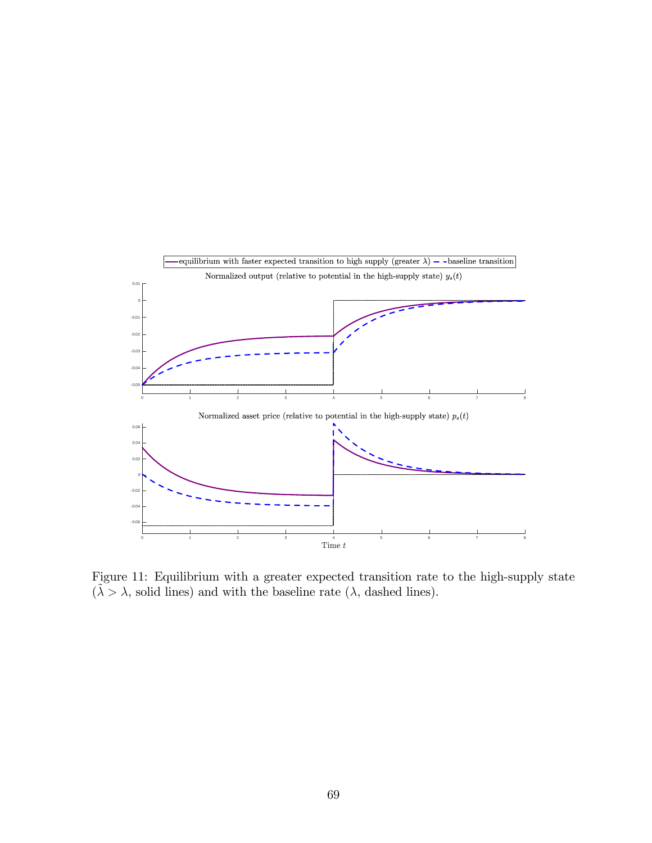

<span id="page-69-0"></span>Figure 11: Equilibrium with a greater expected transition rate to the high-supply state  $(\tilde{\lambda} > \lambda, \text{ solid lines})$  and with the baseline rate  $(\lambda, \text{ dashed lines})$ .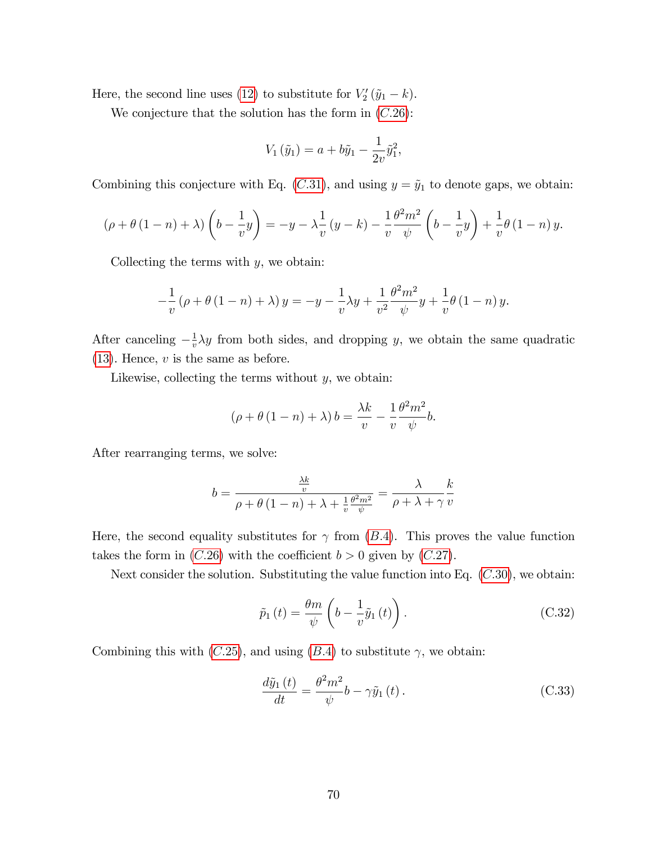Here, the second line uses [\(12\)](#page-12-0) to substitute for  $V_2'(\tilde{y}_1 - k)$ .

We conjecture that the solution has the form in  $(C.26)$  $(C.26)$ :

$$
V_1(\tilde{y}_1) = a + b\tilde{y}_1 - \frac{1}{2v}\tilde{y}_1^2,
$$

Combining this conjecture with Eq.  $(C.31)$  $(C.31)$ , and using  $y = \tilde{y}_1$  to denote gaps, we obtain:

$$
(\rho + \theta (1 - n) + \lambda) \left(b - \frac{1}{v}y\right) = -y - \lambda \frac{1}{v}(y - k) - \frac{1}{v} \frac{\theta^2 m^2}{\psi} \left(b - \frac{1}{v}y\right) + \frac{1}{v} \theta (1 - n) y.
$$

Collecting the terms with  $y$ , we obtain:

$$
-\frac{1}{v}(\rho + \theta(1 - n) + \lambda) y = -y - \frac{1}{v}\lambda y + \frac{1}{v^2}\frac{\theta^2 m^2}{\psi}y + \frac{1}{v}\theta(1 - n) y.
$$

After canceling  $-\frac{1}{v}$  $\frac{1}{v} \lambda y$  from both sides, and dropping y, we obtain the same quadratic  $(13)$ . Hence, v is the same as before.

Likewise, collecting the terms without  $y$ , we obtain:

$$
(\rho + \theta (1 - n) + \lambda) b = \frac{\lambda k}{v} - \frac{1}{v} \frac{\theta^2 m^2}{\psi} b.
$$

After rearranging terms, we solve:

$$
b = \frac{\frac{\lambda k}{v}}{\rho + \theta (1 - n) + \lambda + \frac{1}{v} \frac{\theta^2 m^2}{\psi}} = \frac{\lambda}{\rho + \lambda + \gamma} \frac{k}{v}
$$

Here, the second equality substitutes for  $\gamma$  from (B.4). This proves the value function takes the form in  $(C.26)$  $(C.26)$  with the coefficient  $b > 0$  given by  $(C.27)$  $(C.27)$ .

Next consider the solution. Substituting the value function into Eq.  $(C.30)$  $(C.30)$ , we obtain:

<span id="page-70-1"></span>
$$
\tilde{p}_1(t) = \frac{\theta m}{\psi} \left( b - \frac{1}{v} \tilde{y}_1(t) \right). \tag{C.32}
$$

Combining this with  $(C.25)$  $(C.25)$ , and using  $(B.4)$  to substitute  $\gamma$ , we obtain:

<span id="page-70-0"></span>
$$
\frac{d\tilde{y}_1(t)}{dt} = \frac{\theta^2 m^2}{\psi} b - \gamma \tilde{y}_1(t).
$$
\n(C.33)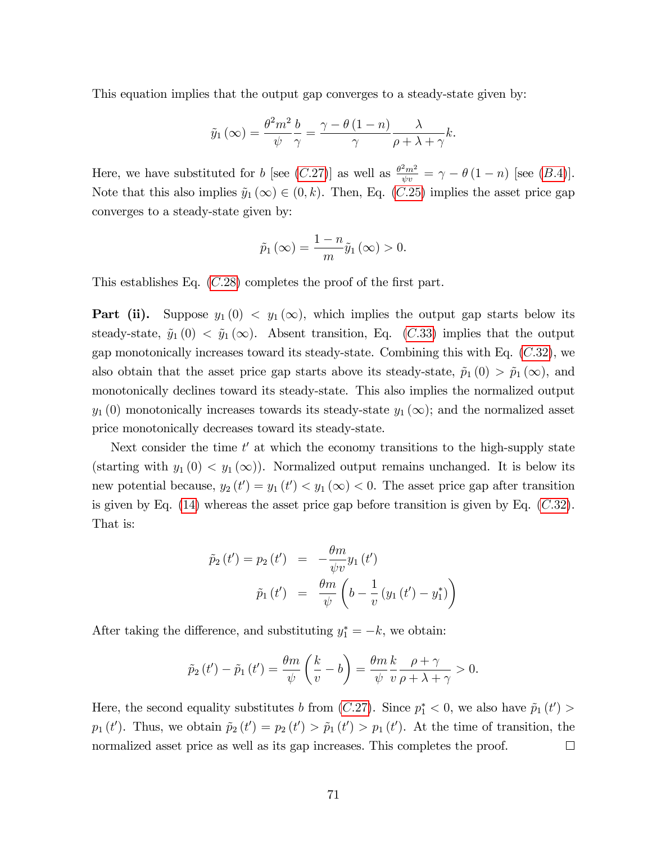This equation implies that the output gap converges to a steady-state given by:

$$
\tilde{y}_1(\infty) = \frac{\theta^2 m^2}{\psi} \frac{b}{\gamma} = \frac{\gamma - \theta (1 - n)}{\gamma} \frac{\lambda}{\rho + \lambda + \gamma} k.
$$

Here, we have substituted for b [see (C.[27\)](#page-65-3)] as well as  $\frac{\theta^2 m^2}{\psi v} = \gamma - \theta (1 - n)$  [see (B.4)]. Note that this also implies  $\tilde{y}_1(\infty) \in (0, k)$ . Then, Eq. (C.[25\)](#page-65-4) implies the asset price gap converges to a steady-state given by:

$$
\tilde{p}_1(\infty) = \frac{1-n}{m}\tilde{y}_1(\infty) > 0.
$$

This establishes Eq.  $(C.28)$  $(C.28)$  completes the proof of the first part.

**Part (ii).** Suppose  $y_1(0) \le y_1(\infty)$ , which implies the output gap starts below its steady-state,  $\tilde{y}_1(0) < \tilde{y}_1(\infty)$ . Absent transition, Eq. (C.[33\)](#page-70-0) implies that the output gap monotonically increases toward its steady-state. Combining this with Eq.  $(C.32)$  $(C.32)$ , we also obtain that the asset price gap starts above its steady-state,  $\tilde{p}_1(0) > \tilde{p}_1(\infty)$ , and monotonically declines toward its steady-state. This also implies the normalized output  $y_1(0)$  monotonically increases towards its steady-state  $y_1(\infty)$ ; and the normalized asset price monotonically decreases toward its steady-state.

Next consider the time  $t'$  at which the economy transitions to the high-supply state (starting with  $y_1(0) < y_1(\infty)$ ). Normalized output remains unchanged. It is below its new potential because,  $y_2(t') = y_1(t') < y_1(\infty) < 0$ . The asset price gap after transition is given by Eq.  $(14)$  whereas the asset price gap before transition is given by Eq.  $(C.32)$  $(C.32)$ . That is:

$$
\tilde{p}_2(t') = p_2(t') = -\frac{\theta m}{\psi v} y_1(t')
$$

$$
\tilde{p}_1(t') = \frac{\theta m}{\psi} \left( b - \frac{1}{v} (y_1(t') - y_1^*) \right)
$$

After taking the difference, and substituting  $y_1^* = -k$ , we obtain:

$$
\tilde{p}_2(t') - \tilde{p}_1(t') = \frac{\theta m}{\psi} \left(\frac{k}{v} - b\right) = \frac{\theta m}{\psi} \frac{k}{v} \frac{\rho + \gamma}{\rho + \lambda + \gamma} > 0.
$$

Here, the second equality substitutes b from  $(C.27)$  $(C.27)$ . Since  $p_1^* < 0$ , we also have  $\tilde{p}_1(t') >$  $p_1(t')$ . Thus, we obtain  $\tilde{p}_2(t') = p_2(t') > \tilde{p}_1(t') > p_1(t')$ . At the time of transition, the normalized asset price as well as its gap increases. This completes the proof.  $\Box$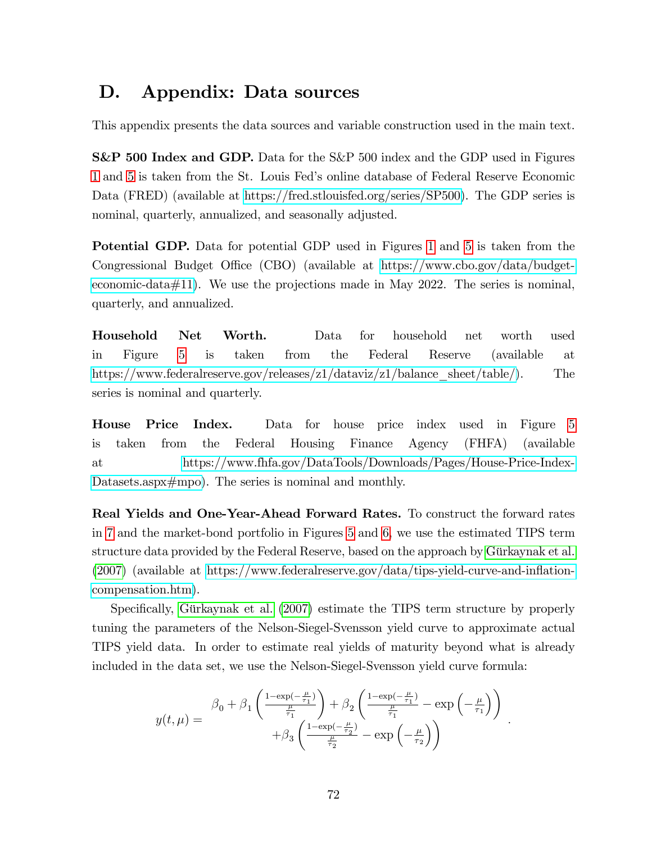## D. Appendix: Data sources

This appendix presents the data sources and variable construction used in the main text.

S&P 500 Index and GDP. Data for the S&P 500 index and the GDP used in Figures [1](#page-3-0) and [5](#page-26-0) is taken from the St. Louis Fedís online database of Federal Reserve Economic Data (FRED) (available at [https://fred.stlouisfed.org/series/SP500\)](https://fred.stlouisfed.org/series/SP500). The GDP series is nominal, quarterly, annualized, and seasonally adjusted.

Potential GDP. Data for potential GDP used in Figures [1](#page-3-0) and [5](#page-26-0) is taken from the Congressional Budget Office (CBO) (available at [https://www.cbo.gov/data/budget](https://www.cbo.gov/data/budget-economic-data#11)[economic-data#11\)](https://www.cbo.gov/data/budget-economic-data#11). We use the projections made in May 2022. The series is nominal, quarterly, and annualized.

Household Net Worth. Data for household net worth used in Figure [5](#page-26-0) is taken from the Federal Reserve (available at [https://www.federalreserve.gov/releases/z1/dataviz/z1/balance\\_sheet/table/\)](https://www.federalreserve.gov/releases/z1/dataviz/z1/balance_sheet/table/). The series is nominal and quarterly.

House Price Index. Data for house price index used in Figure [5](#page-26-0) is taken from the Federal Housing Finance Agency (FHFA) (available at [https://www.fhfa.gov/DataTools/Downloads/Pages/House-Price-Index-](https://www.fhfa.gov/DataTools/Downloads/Pages/House-Price-Index-Datasets.aspx#mpo)[Datasets.aspx#mpo\)](https://www.fhfa.gov/DataTools/Downloads/Pages/House-Price-Index-Datasets.aspx#mpo). The series is nominal and monthly.

Real Yields and One-Year-Ahead Forward Rates. To construct the forward rates in [7](#page-28-0) and the market-bond portfolio in Figures [5](#page-26-0) and [6,](#page-27-0) we use the estimated TIPS term structure data provided by the Federal Reserve, based on the approach by Gürkaynak et al.  $(2007)$  (available at https://www.federalreserve.gov/data/tips-yield-curve-and-inflation[compensation.htm\)](https://www.federalreserve.gov/data/tips-yield-curve-and-inflation-compensation.htm).

Specifically, Gürkaynak et al. [\(2007\)](#page-34-0) estimate the TIPS term structure by properly tuning the parameters of the Nelson-Siegel-Svensson yield curve to approximate actual TIPS yield data. In order to estimate real yields of maturity beyond what is already included in the data set, we use the Nelson-Siegel-Svensson yield curve formula:

$$
y(t,\mu) = \frac{\beta_0 + \beta_1 \left( \frac{1-\exp(-\frac{\mu}{\tau_1})}{\frac{\mu}{\tau_1}} \right) + \beta_2 \left( \frac{1-\exp(-\frac{\mu}{\tau_1})}{\frac{\mu}{\tau_1}} - \exp\left(-\frac{\mu}{\tau_1}\right) \right)}{+\beta_3 \left( \frac{1-\exp(-\frac{\mu}{\tau_2})}{\frac{\mu}{\tau_2}} - \exp\left(-\frac{\mu}{\tau_2}\right) \right)}.
$$